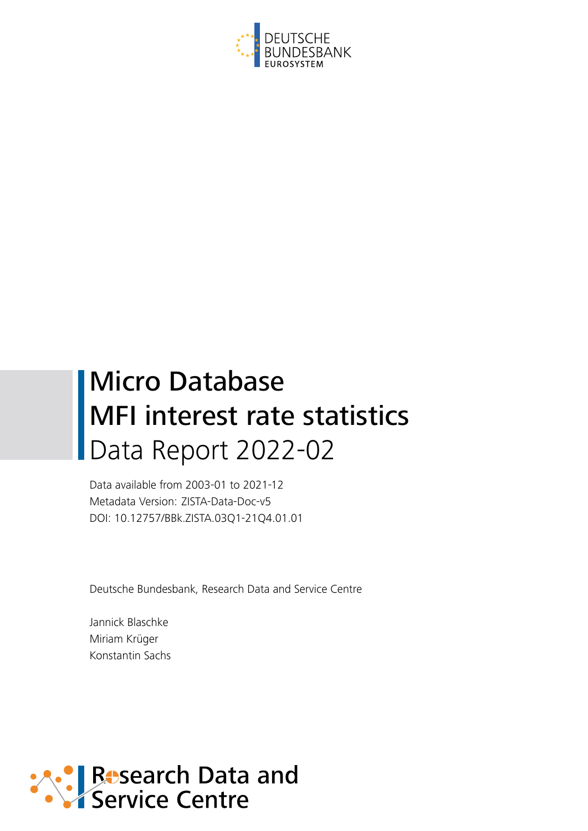

# Micro Database MFI interest rate statistics Data Report 2022-02

Data available from 2003-01 to 2021-12 Metadata Version: ZISTA-Data-Doc-v5 DOI: 10.12757/BBk.ZISTA.03Q1-21Q4.01.01

Deutsche Bundesbank, Research Data and Service Centre

Jannick Blaschke Miriam Krüger Konstantin Sachs

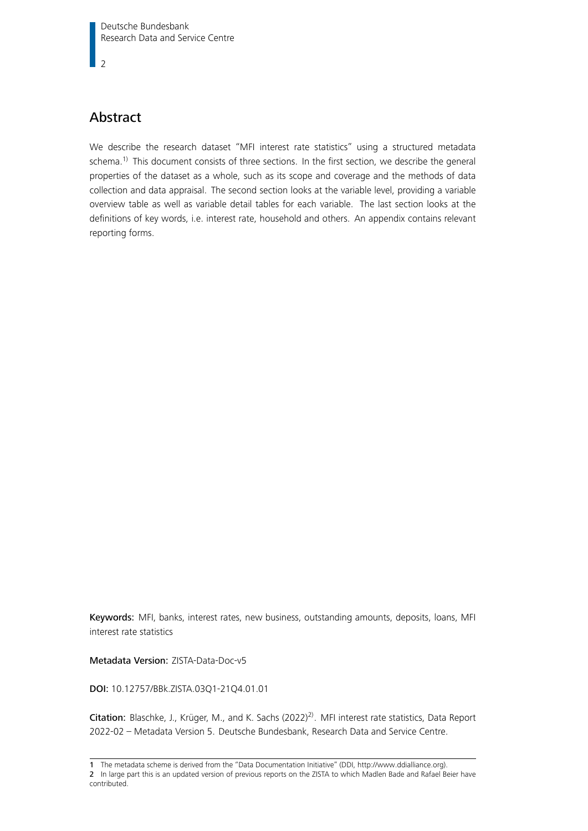$\overline{2}$ 

# Abstract

We describe the research dataset "MFI interest rate statistics" using a structured metadata schema.<sup>[1\)](#page-1-0)</sup> This document consists of three sections. In the first section, we describe the general properties of the dataset as a whole, such as its scope and coverage and the methods of data collection and data appraisal. The second section looks at the variable level, providing a variable overview table as well as variable detail tables for each variable. The last section looks at the definitions of key words, i.e. interest rate, household and others. An appendix contains relevant reporting forms.

Keywords: MFI, banks, interest rates, new business, outstanding amounts, deposits, loans, MFI interest rate statistics

Metadata Version: ZISTA-Data-Doc-v5

DOI: 10.12757/BBk.ZISTA.03Q1-21Q4.01.01

Citation: Blaschke, J., Krüger, M., and K. Sachs (2022)[2\)](#page-1-1). MFI interest rate statistics, Data Report 2022-02 – Metadata Version 5. Deutsche Bundesbank, Research Data and Service Centre.

<span id="page-1-0"></span><sup>1</sup> The metadata scheme is derived from the "Data Documentation Initiative" (DDI, [http://www.ddialliance.org\)](http://www.ddialliance.org).

<span id="page-1-1"></span><sup>2</sup> In large part this is an updated version of previous reports on the ZISTA to which Madlen Bade and Rafael Beier have contributed.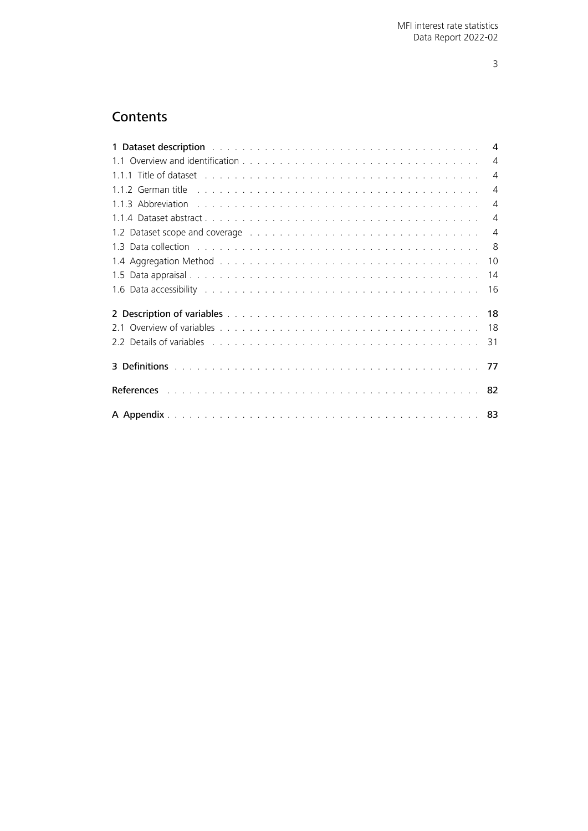# **Contents**

<span id="page-2-0"></span>

| 1 Dataset description with a subsequently subsequently service and subsequently service services and service s                                                                                                                 |    |
|--------------------------------------------------------------------------------------------------------------------------------------------------------------------------------------------------------------------------------|----|
|                                                                                                                                                                                                                                |    |
|                                                                                                                                                                                                                                |    |
|                                                                                                                                                                                                                                |    |
|                                                                                                                                                                                                                                |    |
|                                                                                                                                                                                                                                |    |
| 1.2 Dataset scope and coverage entertainment contracts and coverage entertainment contracts of the contracts of                                                                                                                |    |
| 1.3 Data collection (and all and all and all and all and all and all and all and all and all and all and all a                                                                                                                 |    |
|                                                                                                                                                                                                                                | 10 |
|                                                                                                                                                                                                                                | 14 |
| 1.6 Data accessibility (and according to the control of the control of the control of the control of the control of the control of the control of the control of the control of the control of the control of the control of t |    |
|                                                                                                                                                                                                                                |    |
|                                                                                                                                                                                                                                |    |
| 2.2 Details of variables entering to the contract of the contract of the contract of the contract of the contract of the contract of the contract of the contract of the contract of the contract of the contract of the contr |    |
|                                                                                                                                                                                                                                |    |
|                                                                                                                                                                                                                                |    |
|                                                                                                                                                                                                                                |    |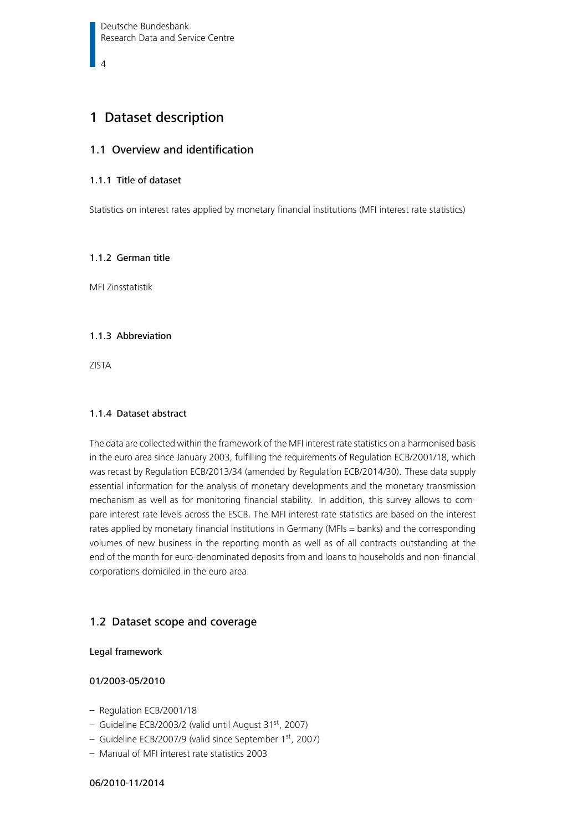## <span id="page-3-0"></span>1 Dataset description

## <span id="page-3-1"></span>1.1 Overview and identification

## 1.1.1 Title of dataset

Statistics on interest rates applied by monetary financial institutions (MFI interest rate statistics)

#### <span id="page-3-2"></span>1.1.2 German title

MFI Zinsstatistik

#### <span id="page-3-3"></span>1.1.3 Abbreviation

ZISTA

#### <span id="page-3-4"></span>1.1.4 Dataset abstract

The data are collected within the framework of the MFI interest rate statistics on a harmonised basis in the euro area since January 2003, fulfilling the requirements of Regulation ECB/2001/18, which was recast by Regulation ECB/2013/34 (amended by Regulation ECB/2014/30). These data supply essential information for the analysis of monetary developments and the monetary transmission mechanism as well as for monitoring financial stability. In addition, this survey allows to compare interest rate levels across the ESCB. The MFI interest rate statistics are based on the interest rates applied by monetary financial institutions in Germany (MFIs = banks) and the corresponding volumes of new business in the reporting month as well as of all contracts outstanding at the end of the month for euro-denominated deposits from and loans to households and non-financial corporations domiciled in the euro area.

## <span id="page-3-5"></span>1.2 Dataset scope and coverage

#### Legal framework

## 01/2003-05/2010

- Regulation ECB/2001/18
- Guideline ECB/2003/2 (valid until August 31st, 2007)
- Guideline ECB/2007/9 (valid since September 1st, 2007)
- Manual of MFI interest rate statistics 2003

#### 06/2010-11/2014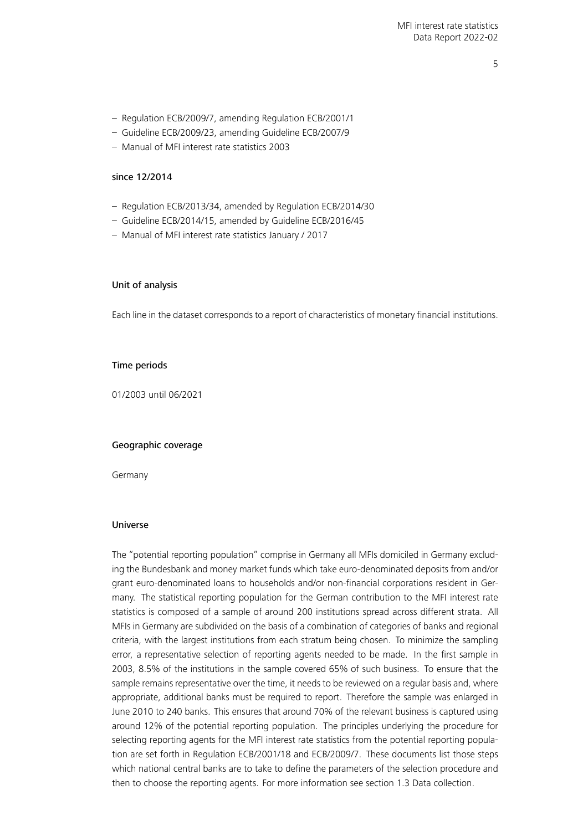5

- Regulation ECB/2009/7, amending Regulation ECB/2001/1
- Guideline ECB/2009/23, amending Guideline ECB/2007/9
- Manual of MFI interest rate statistics 2003

#### since 12/2014

- Regulation ECB/2013/34, amended by Regulation ECB/2014/30
- Guideline ECB/2014/15, amended by Guideline ECB/2016/45
- Manual of MFI interest rate statistics January / 2017

#### Unit of analysis

Each line in the dataset corresponds to a report of characteristics of monetary financial institutions.

#### Time periods

01/2003 until 06/2021

#### Geographic coverage

Germany

#### Universe

The "potential reporting population" comprise in Germany all MFIs domiciled in Germany excluding the Bundesbank and money market funds which take euro-denominated deposits from and/or grant euro-denominated loans to households and/or non-financial corporations resident in Germany. The statistical reporting population for the German contribution to the MFI interest rate statistics is composed of a sample of around 200 institutions spread across different strata. All MFIs in Germany are subdivided on the basis of a combination of categories of banks and regional criteria, with the largest institutions from each stratum being chosen. To minimize the sampling error, a representative selection of reporting agents needed to be made. In the first sample in 2003, 8.5% of the institutions in the sample covered 65% of such business. To ensure that the sample remains representative over the time, it needs to be reviewed on a regular basis and, where appropriate, additional banks must be required to report. Therefore the sample was enlarged in June 2010 to 240 banks. This ensures that around 70% of the relevant business is captured using around 12% of the potential reporting population. The principles underlying the procedure for selecting reporting agents for the MFI interest rate statistics from the potential reporting population are set forth in Regulation ECB/2001/18 and ECB/2009/7. These documents list those steps which national central banks are to take to define the parameters of the selection procedure and then to choose the reporting agents. For more information see section [1.3 Data collection.](#page-7-0)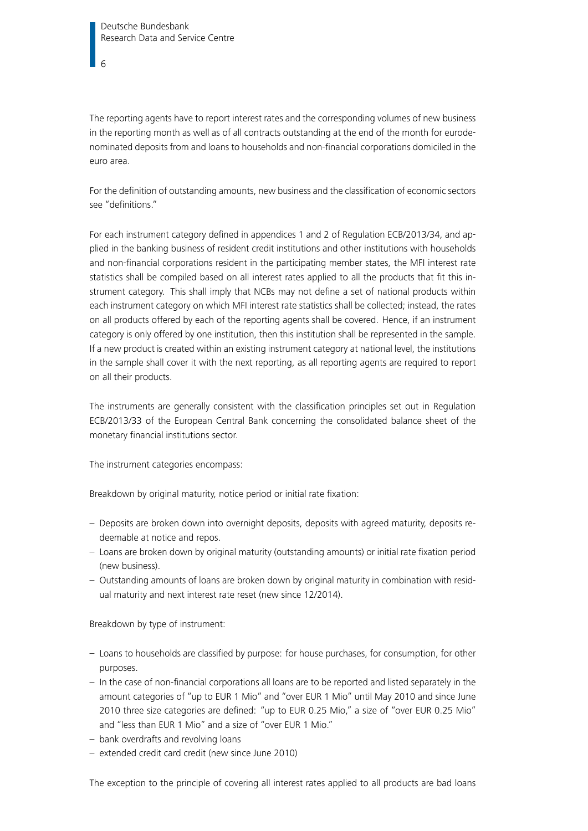The reporting agents have to report interest rates and the corresponding volumes of new business in the reporting month as well as of all contracts outstanding at the end of the month for eurodenominated deposits from and loans to households and non-financial corporations domiciled in the euro area.

For the definition of outstanding amounts, new business and the classification of economic sectors see "definitions."

For each instrument category defined in appendices 1 and 2 of Regulation ECB/2013/34, and applied in the banking business of resident credit institutions and other institutions with households and non-financial corporations resident in the participating member states, the MFI interest rate statistics shall be compiled based on all interest rates applied to all the products that fit this instrument category. This shall imply that NCBs may not define a set of national products within each instrument category on which MFI interest rate statistics shall be collected; instead, the rates on all products offered by each of the reporting agents shall be covered. Hence, if an instrument category is only offered by one institution, then this institution shall be represented in the sample. If a new product is created within an existing instrument category at national level, the institutions in the sample shall cover it with the next reporting, as all reporting agents are required to report on all their products.

The instruments are generally consistent with the classification principles set out in Regulation ECB/2013/33 of the European Central Bank concerning the consolidated balance sheet of the monetary financial institutions sector.

The instrument categories encompass:

Breakdown by original maturity, notice period or initial rate fixation:

- Deposits are broken down into overnight deposits, deposits with agreed maturity, deposits redeemable at notice and repos.
- Loans are broken down by original maturity (outstanding amounts) or initial rate fixation period (new business).
- Outstanding amounts of loans are broken down by original maturity in combination with residual maturity and next interest rate reset (new since 12/2014).

Breakdown by type of instrument:

- Loans to households are classified by purpose: for house purchases, for consumption, for other purposes.
- In the case of non-financial corporations all loans are to be reported and listed separately in the amount categories of "up to EUR 1 Mio" and "over EUR 1 Mio" until May 2010 and since June 2010 three size categories are defined: "up to EUR 0.25 Mio," a size of "over EUR 0.25 Mio" and "less than EUR 1 Mio" and a size of "over EUR 1 Mio."
- bank overdrafts and revolving loans
- extended credit card credit (new since June 2010)

The exception to the principle of covering all interest rates applied to all products are bad loans

6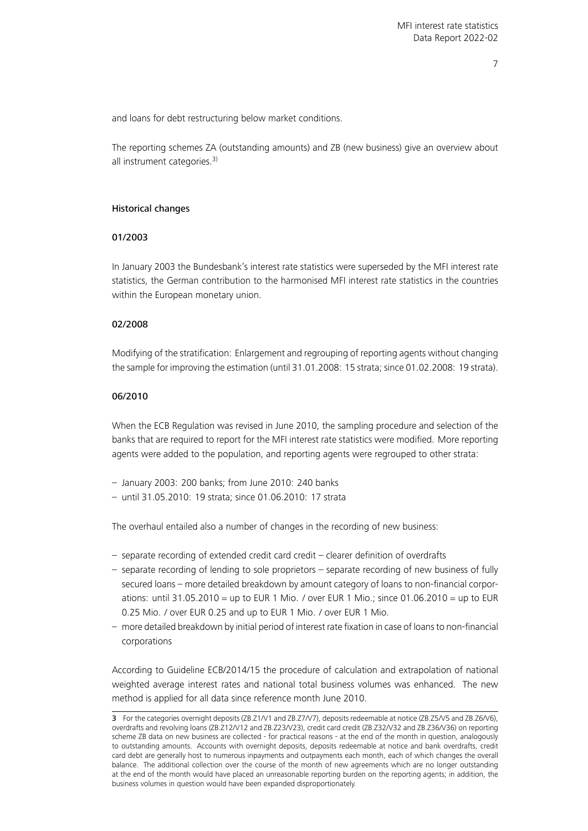and loans for debt restructuring below market conditions.

The reporting schemes ZA (outstanding amounts) and ZB (new business) give an overview about all instrument categories.<sup>[3\)](#page-6-0)</sup>

#### Historical changes

#### 01/2003

In January 2003 the Bundesbank's interest rate statistics were superseded by the MFI interest rate statistics, the German contribution to the harmonised MFI interest rate statistics in the countries within the European monetary union.

#### 02/2008

Modifying of the stratification: Enlargement and regrouping of reporting agents without changing the sample for improving the estimation (until 31.01.2008: 15 strata; since 01.02.2008: 19 strata).

#### 06/2010

When the ECB Regulation was revised in June 2010, the sampling procedure and selection of the banks that are required to report for the MFI interest rate statistics were modified. More reporting agents were added to the population, and reporting agents were regrouped to other strata:

- January 2003: 200 banks; from June 2010: 240 banks
- until 31.05.2010: 19 strata; since 01.06.2010: 17 strata

The overhaul entailed also a number of changes in the recording of new business:

- separate recording of extended credit card credit clearer definition of overdrafts
- separate recording of lending to sole proprietors separate recording of new business of fully secured loans – more detailed breakdown by amount category of loans to non-financial corporations: until 31.05.2010 = up to EUR 1 Mio. / over EUR 1 Mio.; since 01.06.2010 = up to EUR 0.25 Mio. / over EUR 0.25 and up to EUR 1 Mio. / over EUR 1 Mio.
- more detailed breakdown by initial period of interest rate fixation in case of loans to non-financial corporations

According to Guideline ECB/2014/15 the procedure of calculation and extrapolation of national weighted average interest rates and national total business volumes was enhanced. The new method is applied for all data since reference month June 2010.

<span id="page-6-0"></span><sup>3</sup> For the categories overnight deposits (ZB.Z1/V1 and ZB.Z7/V7), deposits redeemable at notice (ZB.Z5/V5 and ZB.Z6/V6), overdrafts and revolving loans (ZB.Z12/V12 and ZB.Z23/V23), credit card credit (ZB.Z32/V32 and ZB.Z36/V36) on reporting scheme ZB data on new business are collected - for practical reasons - at the end of the month in question, analogously to outstanding amounts. Accounts with overnight deposits, deposits redeemable at notice and bank overdrafts, credit card debt are generally host to numerous inpayments and outpayments each month, each of which changes the overall balance. The additional collection over the course of the month of new agreements which are no longer outstanding at the end of the month would have placed an unreasonable reporting burden on the reporting agents; in addition, the business volumes in question would have been expanded disproportionately.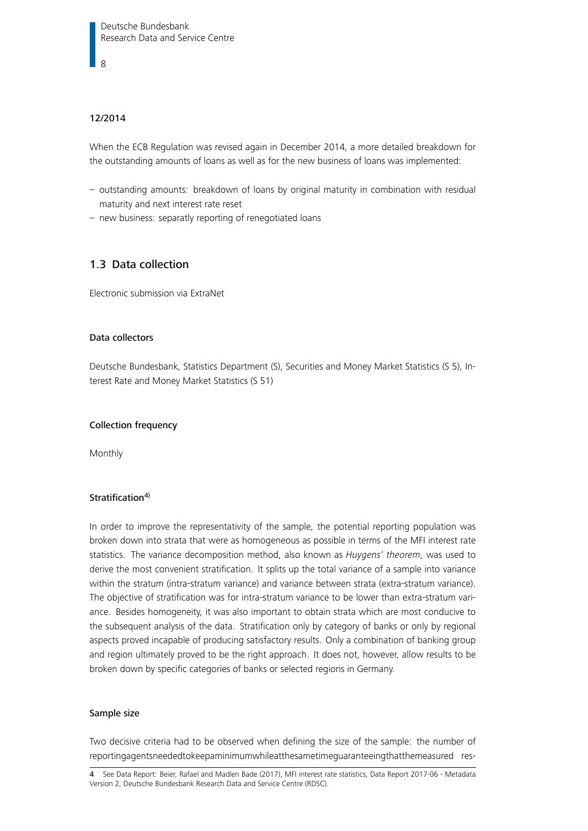8

## 12/2014

When the ECB Regulation was revised again in December 2014, a more detailed breakdown for the outstanding amounts of loans as well as for the new business of loans was implemented:

- outstanding amounts: breakdown of loans by original maturity in combination with residual maturity and next interest rate reset
- new business: separatly reporting of renegotiated loans

## <span id="page-7-0"></span>1.3 Data collection

Electronic submission via ExtraNet

#### Data collectors

Deutsche Bundesbank, Statistics Department (S), Securities and Money Market Statistics (S 5), Interest Rate and Money Market Statistics (S 51)

#### Collection frequency

Monthly

#### Stratification<sup>[4\)](#page-7-1)</sup>

In order to improve the representativity of the sample, the potential reporting population was broken down into strata that were as homogeneous as possible in terms of the MFI interest rate statistics. The variance decomposition method, also known as Huygens' theorem, was used to derive the most convenient stratification. It splits up the total variance of a sample into variance within the stratum (intra-stratum variance) and variance between strata (extra-stratum variance). The objective of stratification was for intra-stratum variance to be lower than extra-stratum variance. Besides homogeneity, it was also important to obtain strata which are most conducive to the subsequent analysis of the data. Stratification only by category of banks or only by regional aspects proved incapable of producing satisfactory results. Only a combination of banking group and region ultimately proved to be the right approach. It does not, however, allow results to be broken down by specific categories of banks or selected regions in Germany.

#### Sample size

Two decisive criteria had to be observed when defining the size of the sample: the number of reportingagentsneededtokeepaminimumwhileatthesametimeguaranteeingthatthemeasured res-

<span id="page-7-1"></span>4 See Data Report: [Beier, Rafael and Madlen Bade \(2017\), MFI interest rate statistics, Data Report 2017-06 - Metadata](https://www.bundesbank.de/resource/blob/604796/d52dbf21479d4be76e0afd0d3d50e7bb/mL/research-data-micro-data-zista-2017-data-report-data.pdf) [Version 2, Deutsche Bundesbank Research Data and Service Centre \(RDSC\).](https://www.bundesbank.de/resource/blob/604796/d52dbf21479d4be76e0afd0d3d50e7bb/mL/research-data-micro-data-zista-2017-data-report-data.pdf)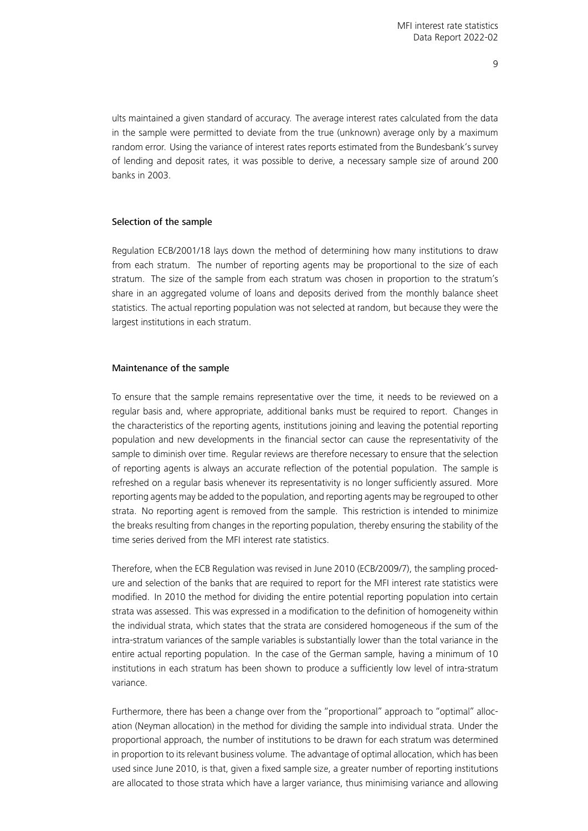ults maintained a given standard of accuracy. The average interest rates calculated from the data in the sample were permitted to deviate from the true (unknown) average only by a maximum random error. Using the variance of interest rates reports estimated from the Bundesbank's survey of lending and deposit rates, it was possible to derive, a necessary sample size of around 200 banks in 2003.

#### Selection of the sample

Regulation ECB/2001/18 lays down the method of determining how many institutions to draw from each stratum. The number of reporting agents may be proportional to the size of each stratum. The size of the sample from each stratum was chosen in proportion to the stratum's share in an aggregated volume of loans and deposits derived from the monthly balance sheet statistics. The actual reporting population was not selected at random, but because they were the largest institutions in each stratum.

#### Maintenance of the sample

To ensure that the sample remains representative over the time, it needs to be reviewed on a regular basis and, where appropriate, additional banks must be required to report. Changes in the characteristics of the reporting agents, institutions joining and leaving the potential reporting population and new developments in the financial sector can cause the representativity of the sample to diminish over time. Regular reviews are therefore necessary to ensure that the selection of reporting agents is always an accurate reflection of the potential population. The sample is refreshed on a regular basis whenever its representativity is no longer sufficiently assured. More reporting agents may be added to the population, and reporting agents may be regrouped to other strata. No reporting agent is removed from the sample. This restriction is intended to minimize the breaks resulting from changes in the reporting population, thereby ensuring the stability of the time series derived from the MFI interest rate statistics.

Therefore, when the ECB Regulation was revised in June 2010 (ECB/2009/7), the sampling procedure and selection of the banks that are required to report for the MFI interest rate statistics were modified. In 2010 the method for dividing the entire potential reporting population into certain strata was assessed. This was expressed in a modification to the definition of homogeneity within the individual strata, which states that the strata are considered homogeneous if the sum of the intra-stratum variances of the sample variables is substantially lower than the total variance in the entire actual reporting population. In the case of the German sample, having a minimum of 10 institutions in each stratum has been shown to produce a sufficiently low level of intra-stratum variance.

Furthermore, there has been a change over from the "proportional" approach to "optimal" allocation (Neyman allocation) in the method for dividing the sample into individual strata. Under the proportional approach, the number of institutions to be drawn for each stratum was determined in proportion to its relevant business volume. The advantage of optimal allocation, which has been used since June 2010, is that, given a fixed sample size, a greater number of reporting institutions are allocated to those strata which have a larger variance, thus minimising variance and allowing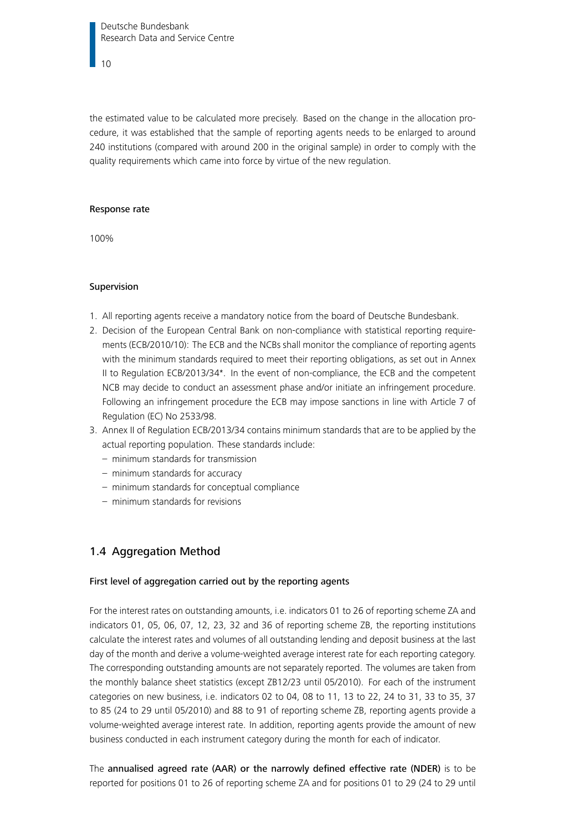Deutsche Bundesbank Research Data and Service Centre

10

the estimated value to be calculated more precisely. Based on the change in the allocation procedure, it was established that the sample of reporting agents needs to be enlarged to around 240 institutions (compared with around 200 in the original sample) in order to comply with the quality requirements which came into force by virtue of the new regulation.

#### Response rate

100%

#### Supervision

- 1. All reporting agents receive a mandatory notice from the board of Deutsche Bundesbank.
- 2. Decision of the European Central Bank on non-compliance with statistical reporting requirements (ECB/2010/10): The ECB and the NCBs shall monitor the compliance of reporting agents with the minimum standards required to meet their reporting obligations, as set out in Annex II to Regulation ECB/2013/34\*. In the event of non-compliance, the ECB and the competent NCB may decide to conduct an assessment phase and/or initiate an infringement procedure. Following an infringement procedure the ECB may impose sanctions in line with Article 7 of Regulation (EC) No 2533/98.
- 3. Annex II of Regulation ECB/2013/34 contains minimum standards that are to be applied by the actual reporting population. These standards include:
	- minimum standards for transmission
	- minimum standards for accuracy
	- minimum standards for conceptual compliance
	- minimum standards for revisions

## <span id="page-9-0"></span>1.4 Aggregation Method

#### First level of aggregation carried out by the reporting agents

For the interest rates on outstanding amounts, i.e. indicators 01 to 26 of reporting scheme ZA and indicators 01, 05, 06, 07, 12, 23, 32 and 36 of reporting scheme ZB, the reporting institutions calculate the interest rates and volumes of all outstanding lending and deposit business at the last day of the month and derive a volume-weighted average interest rate for each reporting category. The corresponding outstanding amounts are not separately reported. The volumes are taken from the monthly balance sheet statistics (except ZB12/23 until 05/2010). For each of the instrument categories on new business, i.e. indicators 02 to 04, 08 to 11, 13 to 22, 24 to 31, 33 to 35, 37 to 85 (24 to 29 until 05/2010) and 88 to 91 of reporting scheme ZB, reporting agents provide a volume-weighted average interest rate. In addition, reporting agents provide the amount of new business conducted in each instrument category during the month for each of indicator.

The annualised agreed rate (AAR) or the narrowly defined effective rate (NDER) is to be reported for positions 01 to 26 of reporting scheme ZA and for positions 01 to 29 (24 to 29 until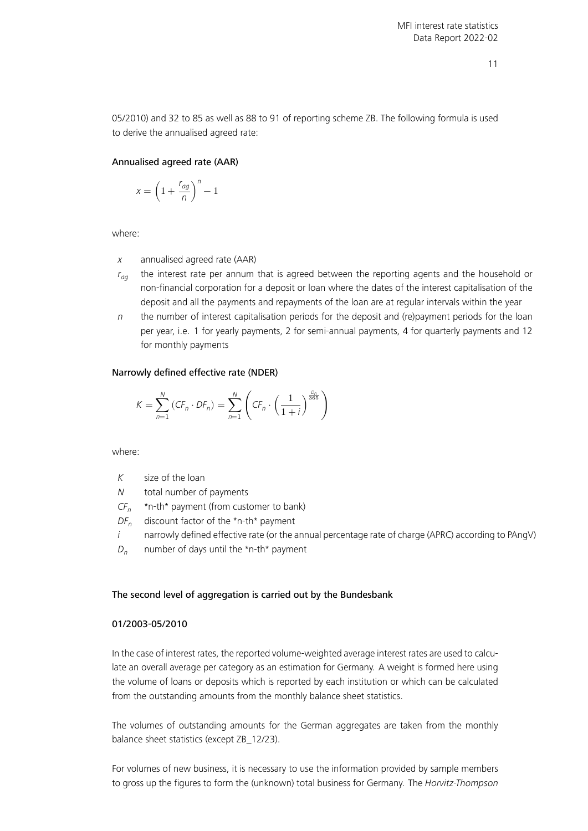05/2010) and 32 to 85 as well as 88 to 91 of reporting scheme ZB. The following formula is used to derive the annualised agreed rate:

#### Annualised agreed rate (AAR)

$$
x = \left(1 + \frac{r_{ag}}{n}\right)^n - 1
$$

where:

- $x$  annualised agreed rate (AAR)
- $r_{aa}$  the interest rate per annum that is agreed between the reporting agents and the household or non-financial corporation for a deposit or loan where the dates of the interest capitalisation of the deposit and all the payments and repayments of the loan are at regular intervals within the year
- $n$  the number of interest capitalisation periods for the deposit and (re)payment periods for the loan per year, i.e. 1 for yearly payments, 2 for semi-annual payments, 4 for quarterly payments and 12 for monthly payments

#### Narrowly defined effective rate (NDER)

$$
K = \sum_{n=1}^{N} (CF_n \cdot DF_n) = \sum_{n=1}^{N} \left( CF_n \cdot \left( \frac{1}{1+i} \right)^{\frac{D_n}{365}} \right)
$$

where:

| К |  |  |  | size of the loan |  |
|---|--|--|--|------------------|--|
|---|--|--|--|------------------|--|

- N total number of payments
- $CF_n$ \*n-th\* payment (from customer to bank)
- $DF_n$  discount factor of the \*n-th\* payment
- $i$  narrowly defined effective rate (or the annual percentage rate of charge (APRC) according to PAngV)
- $D_n$  number of days until the \*n-th\* payment

#### The second level of aggregation is carried out by the Bundesbank

#### 01/2003-05/2010

In the case of interest rates, the reported volume-weighted average interest rates are used to calculate an overall average per category as an estimation for Germany. A weight is formed here using the volume of loans or deposits which is reported by each institution or which can be calculated from the outstanding amounts from the monthly balance sheet statistics.

The volumes of outstanding amounts for the German aggregates are taken from the monthly balance sheet statistics (except ZB\_12/23).

For volumes of new business, it is necessary to use the information provided by sample members to gross up the figures to form the (unknown) total business for Germany. The Horvitz-Thompson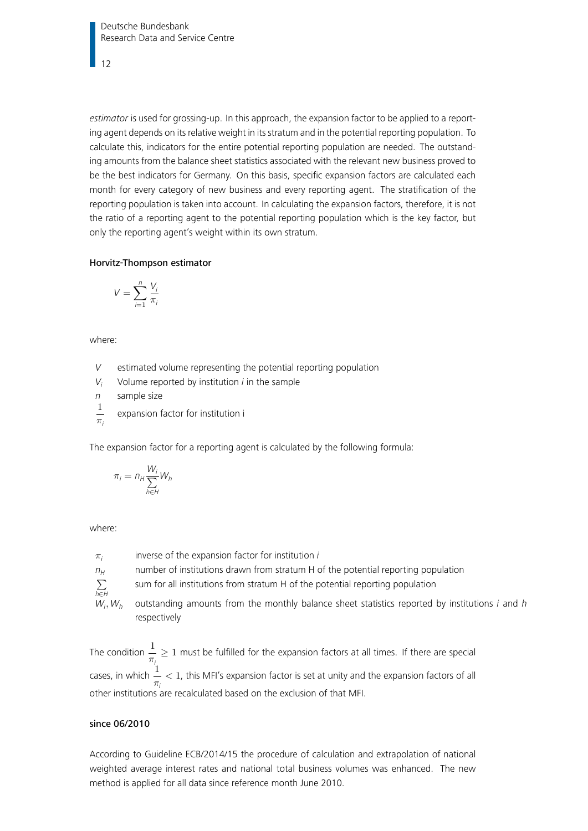Deutsche Bundesbank Research Data and Service Centre

12

estimator is used for grossing-up. In this approach, the expansion factor to be applied to a reporting agent depends on its relative weight in its stratum and in the potential reporting population. To calculate this, indicators for the entire potential reporting population are needed. The outstanding amounts from the balance sheet statistics associated with the relevant new business proved to be the best indicators for Germany. On this basis, specific expansion factors are calculated each month for every category of new business and every reporting agent. The stratification of the reporting population is taken into account. In calculating the expansion factors, therefore, it is not the ratio of a reporting agent to the potential reporting population which is the key factor, but only the reporting agent's weight within its own stratum.

#### Horvitz-Thompson estimator

$$
V = \sum_{i=1}^{n} \frac{V_i}{\pi_i}
$$

where:

- V estimated volume representing the potential reporting population
- $V_i$  Volume reported by institution *i* in the sample

n sample size

1  $\pi_i$ expansion factor for institution i

The expansion factor for a reporting agent is calculated by the following formula:

$$
\pi_i = n_H \frac{W_i}{\sum_{h \in H} W_h}
$$

where:

 $\pi_i$ inverse of the expansion factor for institution i  $n_H$  number of institutions drawn from stratum H of the potential reporting population ∑ h∈H sum for all institutions from stratum H of the potential reporting population  $W_i, W_h$ outstanding amounts from the monthly balance sheet statistics reported by institutions  $i$  and  $h$ respectively

The condition  $\frac{1}{1}$  $\frac{1}{\pi} \geq 1$  must be fulfilled for the expansion factors at all times. If there are special cases, in which  $\frac{1}{1}$  $\frac{1}{\pi}$  < 1, this MFI's expansion factor is set at unity and the expansion factors of all other institutions are recalculated based on the exclusion of that MFI.

## since 06/2010

According to Guideline ECB/2014/15 the procedure of calculation and extrapolation of national weighted average interest rates and national total business volumes was enhanced. The new method is applied for all data since reference month June 2010.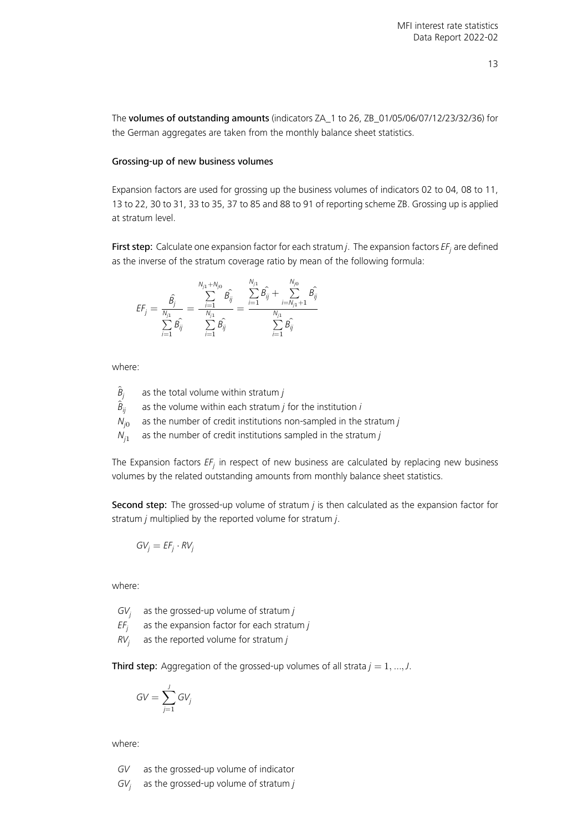The volumes of outstanding amounts (indicators ZA\_1 to 26, ZB\_01/05/06/07/12/23/32/36) for the German aggregates are taken from the monthly balance sheet statistics.

#### Grossing-up of new business volumes

Expansion factors are used for grossing up the business volumes of indicators 02 to 04, 08 to 11, 13 to 22, 30 to 31, 33 to 35, 37 to 85 and 88 to 91 of reporting scheme ZB. Grossing up is applied at stratum level.

**First step**: Calculate one expansion factor for each stratum j. The expansion factors EF<sub>j</sub> are defined as the inverse of the stratum coverage ratio by mean of the following formula:

$$
\mathit{EF}_j = \frac{\hat{\beta_j}}{\sum\limits_{i=1}^{N_{j1}} \hat{\beta_{ij}}}= \frac{\sum\limits_{i=1}^{N_{j1} + N_{j0}} \hat{\beta_{ij}}}{\sum\limits_{i=1}^{N_{j1}} \hat{\beta_{ij}}}= \frac{\sum\limits_{i=1}^{N_{j1}} \hat{\beta_{ij}} + \sum\limits_{i=N_{j1} + 1}^{N_{j0}} \hat{\beta_{ij}}}{\sum\limits_{i=1}^{N_{j1}} \hat{\beta_{ij}}}
$$

where:

- $\widehat{B}_j$ as the total volume within stratum  $j$
- $\widetilde{B}_{ii}$ as the volume within each stratum  $j$  for the institution  $i$
- $N_{i0}$ as the number of credit institutions non-sampled in the stratum  $j$

 $N_{i1}$ as the number of credit institutions sampled in the stratum  $j$ 

The Expansion factors  $\mathit{EF}_j$  in respect of new business are calculated by replacing new business volumes by the related outstanding amounts from monthly balance sheet statistics.

Second step: The grossed-up volume of stratum  $j$  is then calculated as the expansion factor for stratum  $j$  multiplied by the reported volume for stratum  $j$ .

$$
GV_j = EF_j \cdot RV_j
$$

where:

 $GV<sub>i</sub>$ as the grossed-up volume of stratum  $j$ 

- $EF_i$ as the expansion factor for each stratum  $j$
- $RV<sub>i</sub>$ as the reported volume for stratum  $j$

Third step: Aggregation of the grossed-up volumes of all strata  $j = 1, ..., J$ .

$$
GV=\sum_{j=1}^J GV_j
$$

where:

GV as the grossed-up volume of indicator

 $GV<sub>i</sub>$ as the grossed-up volume of stratum  $j$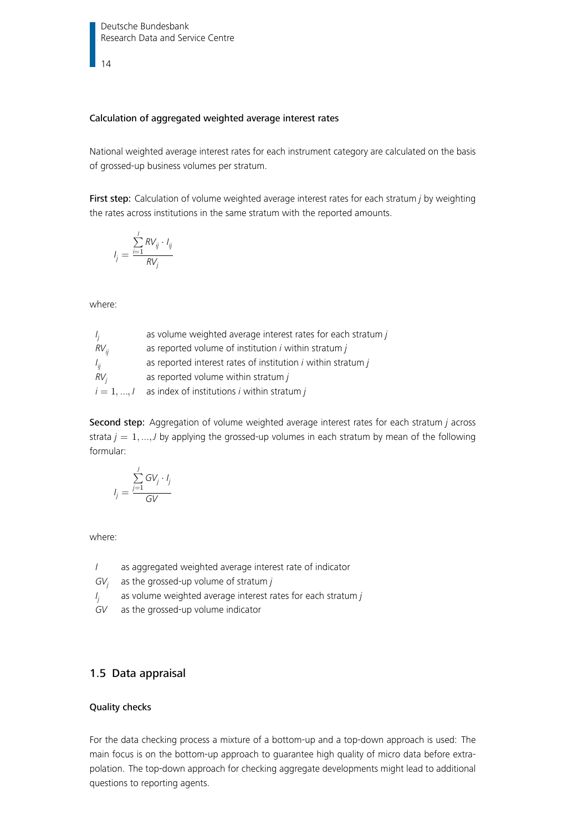14

#### Calculation of aggregated weighted average interest rates

National weighted average interest rates for each instrument category are calculated on the basis of grossed-up business volumes per stratum.

First step: Calculation of volume weighted average interest rates for each stratum *j* by weighting the rates across institutions in the same stratum with the reported amounts.

$$
I_j = \frac{\sum_{i=1}^l RV_{ij} \cdot I_{ij}}{RV_j}
$$

where:

| $I_i$           | as volume weighted average interest rates for each stratum j     |
|-----------------|------------------------------------------------------------------|
| $RV_{ii}$       | as reported volume of institution i within stratum j             |
| $I_{ii}$        | as reported interest rates of institution $i$ within stratum $j$ |
| RV <sub>i</sub> | as reported volume within stratum $j$                            |
| $i = 1, , l$    | as index of institutions $i$ within stratum $j$                  |

Second step: Aggregation of volume weighted average interest rates for each stratum j across strata  $j = 1, ..., J$  by applying the grossed-up volumes in each stratum by mean of the following formular:

$$
I_j = \frac{\sum_{j=1}^J GV_j \cdot I_j}{GV}
$$

where:

I as aggregated weighted average interest rate of indicator

GV<sub>j</sub> as the grossed-up volume of stratum j

- I j as volume weighted average interest rates for each stratum j
- GV as the grossed-up volume indicator

## <span id="page-13-0"></span>1.5 Data appraisal

## Quality checks

For the data checking process a mixture of a bottom-up and a top-down approach is used: The main focus is on the bottom-up approach to guarantee high quality of micro data before extrapolation. The top-down approach for checking aggregate developments might lead to additional questions to reporting agents.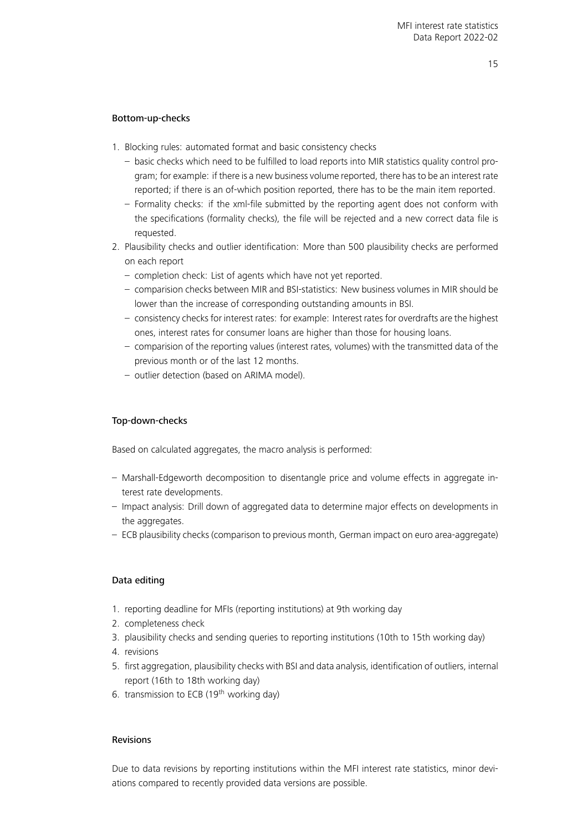## Bottom-up-checks

- 1. Blocking rules: automated format and basic consistency checks
	- basic checks which need to be fulfilled to load reports into MIR statistics quality control program; for example: if there is a new business volume reported, there has to be an interest rate reported; if there is an of-which position reported, there has to be the main item reported.
	- Formality checks: if the xml-file submitted by the reporting agent does not conform with the specifications (formality checks), the file will be rejected and a new correct data file is requested.
- 2. Plausibility checks and outlier identification: More than 500 plausibility checks are performed on each report
	- completion check: List of agents which have not yet reported.
	- comparision checks between MIR and BSI-statistics: New business volumes in MIR should be lower than the increase of corresponding outstanding amounts in BSI.
	- consistency checks for interest rates: for example: Interest rates for overdrafts are the highest ones, interest rates for consumer loans are higher than those for housing loans.
	- comparision of the reporting values (interest rates, volumes) with the transmitted data of the previous month or of the last 12 months.
	- outlier detection (based on ARIMA model).

## Top-down-checks

Based on calculated aggregates, the macro analysis is performed:

- Marshall-Edgeworth decomposition to disentangle price and volume effects in aggregate interest rate developments.
- Impact analysis: Drill down of aggregated data to determine major effects on developments in the aggregates.
- ECB plausibility checks (comparison to previous month, German impact on euro area-aggregate)

## Data editing

- 1. reporting deadline for MFIs (reporting institutions) at 9th working day
- 2. completeness check
- 3. plausibility checks and sending queries to reporting institutions (10th to 15th working day)
- 4. revisions
- 5. first aggregation, plausibility checks with BSI and data analysis, identification of outliers, internal report (16th to 18th working day)
- 6. transmission to ECB (19<sup>th</sup> working day)

#### Revisions

Due to data revisions by reporting institutions within the MFI interest rate statistics, minor deviations compared to recently provided data versions are possible.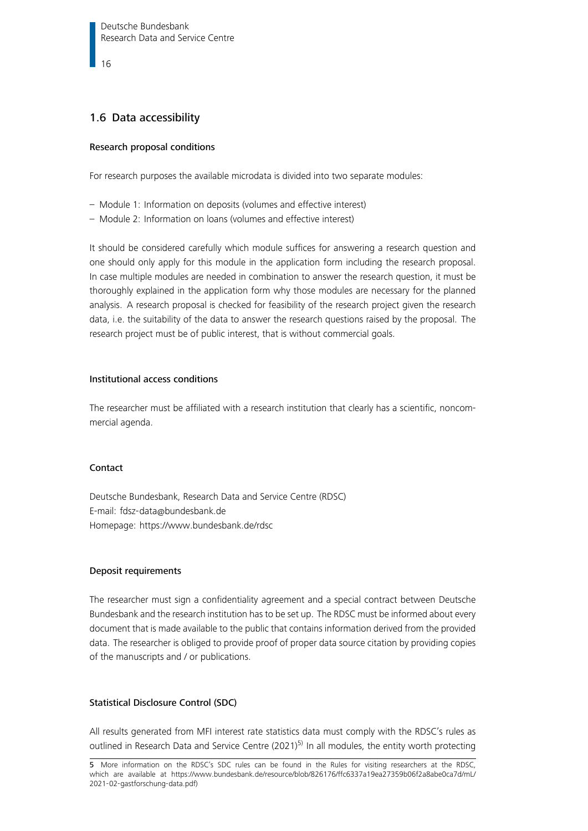16

## <span id="page-15-0"></span>1.6 Data accessibility

## Research proposal conditions

For research purposes the available microdata is divided into two separate modules:

- Module 1: Information on deposits (volumes and effective interest)
- Module 2: Information on loans (volumes and effective interest)

It should be considered carefully which module suffices for answering a research question and one should only apply for this module in the application form including the research proposal. In case multiple modules are needed in combination to answer the research question, it must be thoroughly explained in the application form why those modules are necessary for the planned analysis. A research proposal is checked for feasibility of the research project given the research data, i.e. the suitability of the data to answer the research questions raised by the proposal. The research project must be of public interest, that is without commercial goals.

## Institutional access conditions

The researcher must be affiliated with a research institution that clearly has a scientific, noncommercial agenda.

## Contact

Deutsche Bundesbank, Research Data and Service Centre (RDSC) E-mail: [fdsz-data@bundesbank.de](mailto:fdsz-data@bundesbank.de) Homepage:<https://www.bundesbank.de/rdsc>

## Deposit requirements

The researcher must sign a confidentiality agreement and a special contract between Deutsche Bundesbank and the research institution has to be set up. The RDSC must be informed about every document that is made available to the public that contains information derived from the provided data. The researcher is obliged to provide proof of proper data source citation by providing copies of the manuscripts and / or publications.

## Statistical Disclosure Control (SDC)

All results generated from MFI interest rate statistics data must comply with the RDSC's rules as outlined in Research Data and Service Centre  $(2021)^{5}$  In all modules, the entity worth protecting

<span id="page-15-1"></span><sup>5</sup> More information on the RDSC's SDC rules can be found in the Rules for visiting researchers at the RDSC, which are available at [https://www.bundesbank.de/resource/blob/826176/ffc6337a19ea27359b06f2a8abe0ca7d/mL/](https://www.bundesbank.de/resource/blob/826176/ffc6337a19ea27359b06f2a8abe0ca7d/mL/2021-02-gastforschung-data.pdf) [2021-02-gastforschung-data.pdf\)](https://www.bundesbank.de/resource/blob/826176/ffc6337a19ea27359b06f2a8abe0ca7d/mL/2021-02-gastforschung-data.pdf)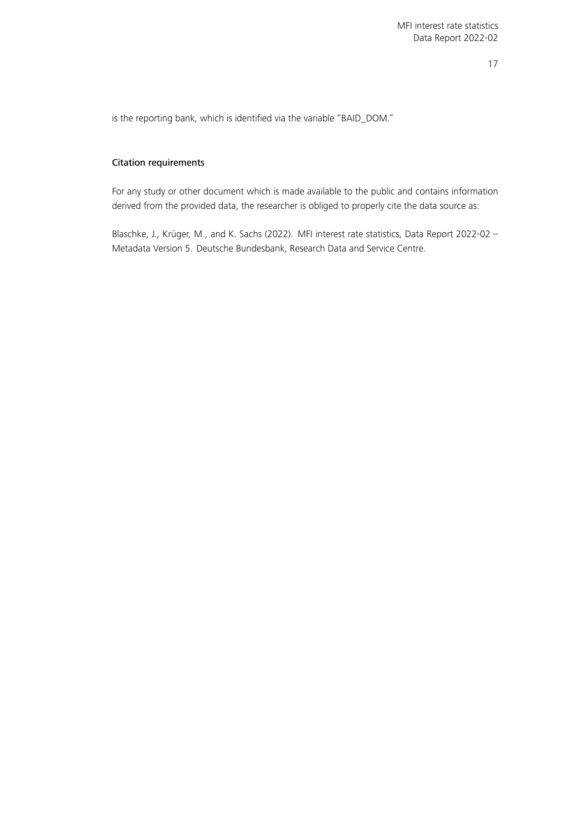is the reporting bank, which is identified via the variable "BAID\_DOM."

#### Citation requirements

For any study or other document which is made available to the public and contains information derived from the provided data, the researcher is obliged to properly cite the data source as:

<span id="page-16-0"></span>Blaschke, J., Krüger, M., and K. Sachs (2022). MFI interest rate statistics, Data Report 2022-02 – Metadata Version 5. Deutsche Bundesbank, Research Data and Service Centre.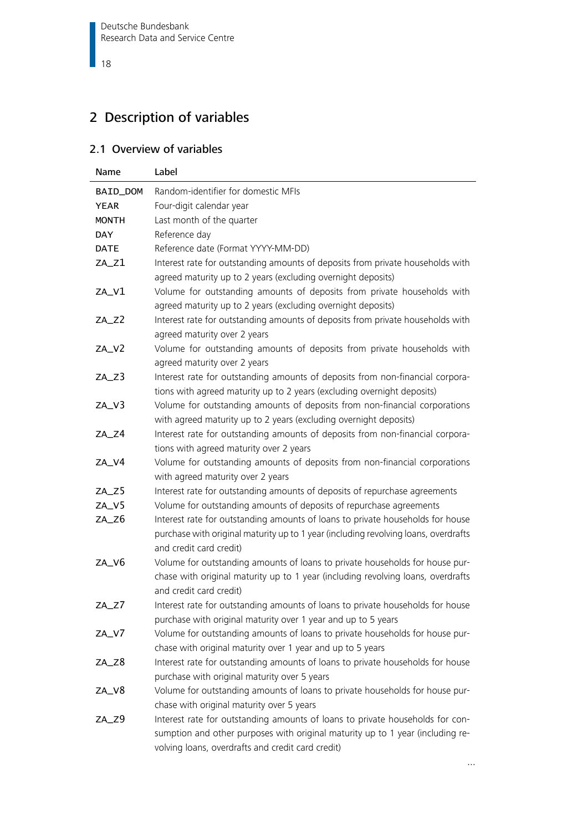# 2 Description of variables

## <span id="page-17-0"></span>2.1 Overview of variables

| Name         | Label                                                                                                                                                                                                                |
|--------------|----------------------------------------------------------------------------------------------------------------------------------------------------------------------------------------------------------------------|
| BAID_DOM     | Random-identifier for domestic MFIs                                                                                                                                                                                  |
| <b>YEAR</b>  | Four-digit calendar year                                                                                                                                                                                             |
| <b>MONTH</b> | Last month of the quarter                                                                                                                                                                                            |
| <b>DAY</b>   | Reference day                                                                                                                                                                                                        |
| <b>DATE</b>  | Reference date (Format YYYY-MM-DD)                                                                                                                                                                                   |
| $ZA_Z1$      | Interest rate for outstanding amounts of deposits from private households with                                                                                                                                       |
|              | agreed maturity up to 2 years (excluding overnight deposits)                                                                                                                                                         |
| ZA_V1        | Volume for outstanding amounts of deposits from private households with<br>agreed maturity up to 2 years (excluding overnight deposits)                                                                              |
| ZA_Z2        | Interest rate for outstanding amounts of deposits from private households with<br>agreed maturity over 2 years                                                                                                       |
| ZA_V2        | Volume for outstanding amounts of deposits from private households with                                                                                                                                              |
|              | agreed maturity over 2 years                                                                                                                                                                                         |
| ZA_Z3        | Interest rate for outstanding amounts of deposits from non-financial corpora-<br>tions with agreed maturity up to 2 years (excluding overnight deposits)                                                             |
| $ZA_V3$      | Volume for outstanding amounts of deposits from non-financial corporations<br>with agreed maturity up to 2 years (excluding overnight deposits)                                                                      |
| ZA_Z4        | Interest rate for outstanding amounts of deposits from non-financial corpora-<br>tions with agreed maturity over 2 years                                                                                             |
| ZA_V4        | Volume for outstanding amounts of deposits from non-financial corporations<br>with agreed maturity over 2 years                                                                                                      |
| ZA_Z5        | Interest rate for outstanding amounts of deposits of repurchase agreements                                                                                                                                           |
| ZA_V5        | Volume for outstanding amounts of deposits of repurchase agreements                                                                                                                                                  |
| ZA_Z6        | Interest rate for outstanding amounts of loans to private households for house                                                                                                                                       |
|              | purchase with original maturity up to 1 year (including revolving loans, overdrafts<br>and credit card credit)                                                                                                       |
| ZA_V6        | Volume for outstanding amounts of loans to private households for house pur-<br>chase with original maturity up to 1 year (including revolving loans, overdrafts<br>and credit card credit)                          |
| $ZA_ZZ$      | Interest rate for outstanding amounts of loans to private households for house<br>purchase with original maturity over 1 year and up to 5 years                                                                      |
| ZA_V7        | Volume for outstanding amounts of loans to private households for house pur-<br>chase with original maturity over 1 year and up to 5 years                                                                           |
| ZA_Z8        | Interest rate for outstanding amounts of loans to private households for house<br>purchase with original maturity over 5 years                                                                                       |
| ZA_V8        | Volume for outstanding amounts of loans to private households for house pur-<br>chase with original maturity over 5 years                                                                                            |
| ZA_Z9        | Interest rate for outstanding amounts of loans to private households for con-<br>sumption and other purposes with original maturity up to 1 year (including re-<br>volving loans, overdrafts and credit card credit) |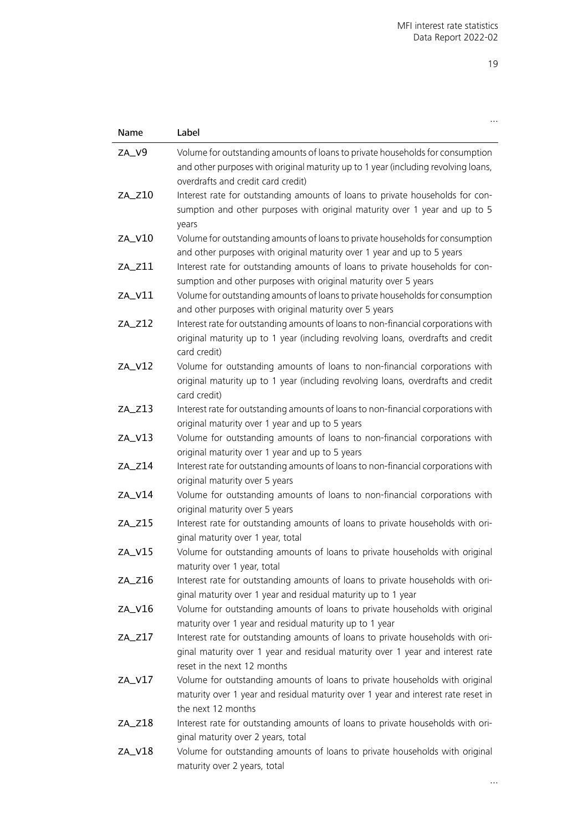| Name     | Label                                                                                                                                                                                                     |
|----------|-----------------------------------------------------------------------------------------------------------------------------------------------------------------------------------------------------------|
| ZA_V9    | Volume for outstanding amounts of loans to private households for consumption<br>and other purposes with original maturity up to 1 year (including revolving loans,<br>overdrafts and credit card credit) |
| $ZA_210$ | Interest rate for outstanding amounts of loans to private households for con-<br>sumption and other purposes with original maturity over 1 year and up to 5<br>years                                      |
| ZA_V10   | Volume for outstanding amounts of loans to private households for consumption<br>and other purposes with original maturity over 1 year and up to 5 years                                                  |
| $ZA_211$ | Interest rate for outstanding amounts of loans to private households for con-<br>sumption and other purposes with original maturity over 5 years                                                          |
| ZA_V11   | Volume for outstanding amounts of loans to private households for consumption<br>and other purposes with original maturity over 5 years                                                                   |
| $ZA_212$ | Interest rate for outstanding amounts of loans to non-financial corporations with<br>original maturity up to 1 year (including revolving loans, overdrafts and credit<br>card credit)                     |
| ZA_V12   | Volume for outstanding amounts of loans to non-financial corporations with<br>original maturity up to 1 year (including revolving loans, overdrafts and credit<br>card credit)                            |
| $ZA_213$ | Interest rate for outstanding amounts of loans to non-financial corporations with<br>original maturity over 1 year and up to 5 years                                                                      |
| $ZA_V13$ | Volume for outstanding amounts of loans to non-financial corporations with<br>original maturity over 1 year and up to 5 years                                                                             |
| $ZA_214$ | Interest rate for outstanding amounts of loans to non-financial corporations with<br>original maturity over 5 years                                                                                       |
| ZA_V14   | Volume for outstanding amounts of loans to non-financial corporations with<br>original maturity over 5 years                                                                                              |
| $ZA_215$ | Interest rate for outstanding amounts of loans to private households with ori-<br>ginal maturity over 1 year, total                                                                                       |
| ZA_V15   | Volume for outstanding amounts of loans to private households with original<br>maturity over 1 year, total                                                                                                |
| $ZA_216$ | Interest rate for outstanding amounts of loans to private households with ori-<br>ginal maturity over 1 year and residual maturity up to 1 year                                                           |
| ZA_V16   | Volume for outstanding amounts of loans to private households with original<br>maturity over 1 year and residual maturity up to 1 year                                                                    |
| $ZA_217$ | Interest rate for outstanding amounts of loans to private households with ori-<br>ginal maturity over 1 year and residual maturity over 1 year and interest rate<br>reset in the next 12 months           |
| ZA_V17   | Volume for outstanding amounts of loans to private households with original<br>maturity over 1 year and residual maturity over 1 year and interest rate reset in<br>the next 12 months                    |
| $ZA_218$ | Interest rate for outstanding amounts of loans to private households with ori-<br>ginal maturity over 2 years, total                                                                                      |
| ZA_V18   | Volume for outstanding amounts of loans to private households with original<br>maturity over 2 years, total                                                                                               |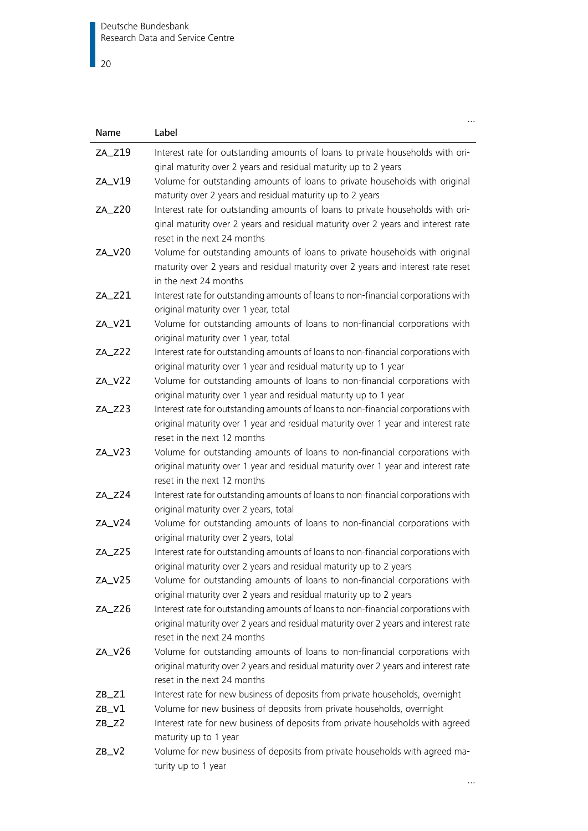$\overline{\phantom{0}}$  20

| Name      | Label                                                                                                                                                                                                   |
|-----------|---------------------------------------------------------------------------------------------------------------------------------------------------------------------------------------------------------|
| ZA_Z19    | Interest rate for outstanding amounts of loans to private households with ori-<br>ginal maturity over 2 years and residual maturity up to 2 years                                                       |
| ZA_V19    | Volume for outstanding amounts of loans to private households with original<br>maturity over 2 years and residual maturity up to 2 years                                                                |
| ZA_Z20    | Interest rate for outstanding amounts of loans to private households with ori-<br>ginal maturity over 2 years and residual maturity over 2 years and interest rate<br>reset in the next 24 months       |
| ZA_V20    | Volume for outstanding amounts of loans to private households with original<br>maturity over 2 years and residual maturity over 2 years and interest rate reset<br>in the next 24 months                |
| ZA_Z21    | Interest rate for outstanding amounts of loans to non-financial corporations with<br>original maturity over 1 year, total                                                                               |
| ZA_V21    | Volume for outstanding amounts of loans to non-financial corporations with<br>original maturity over 1 year, total                                                                                      |
| ZA_Z22    | Interest rate for outstanding amounts of loans to non-financial corporations with<br>original maturity over 1 year and residual maturity up to 1 year                                                   |
| ZA_V22    | Volume for outstanding amounts of loans to non-financial corporations with<br>original maturity over 1 year and residual maturity up to 1 year                                                          |
| $ZA_zz23$ | Interest rate for outstanding amounts of loans to non-financial corporations with<br>original maturity over 1 year and residual maturity over 1 year and interest rate<br>reset in the next 12 months   |
| ZA_V23    | Volume for outstanding amounts of loans to non-financial corporations with<br>original maturity over 1 year and residual maturity over 1 year and interest rate<br>reset in the next 12 months          |
| ZA_Z24    | Interest rate for outstanding amounts of loans to non-financial corporations with<br>original maturity over 2 years, total                                                                              |
| ZA_V24    | Volume for outstanding amounts of loans to non-financial corporations with<br>original maturity over 2 years, total                                                                                     |
| $ZA_ZZ5$  | Interest rate for outstanding amounts of loans to non-financial corporations with<br>original maturity over 2 years and residual maturity up to 2 years                                                 |
| ZA_V25    | Volume for outstanding amounts of loans to non-financial corporations with<br>original maturity over 2 years and residual maturity up to 2 years                                                        |
| ZA_Z26    | Interest rate for outstanding amounts of loans to non-financial corporations with<br>original maturity over 2 years and residual maturity over 2 years and interest rate<br>reset in the next 24 months |
| ZA_V26    | Volume for outstanding amounts of loans to non-financial corporations with<br>original maturity over 2 years and residual maturity over 2 years and interest rate<br>reset in the next 24 months        |
| ZB_Z1     | Interest rate for new business of deposits from private households, overnight                                                                                                                           |
| ZB_V1     | Volume for new business of deposits from private households, overnight                                                                                                                                  |
| $ZB_Z2$   | Interest rate for new business of deposits from private households with agreed<br>maturity up to 1 year                                                                                                 |
| $ZB_V2$   | Volume for new business of deposits from private households with agreed ma-<br>turity up to 1 year                                                                                                      |

…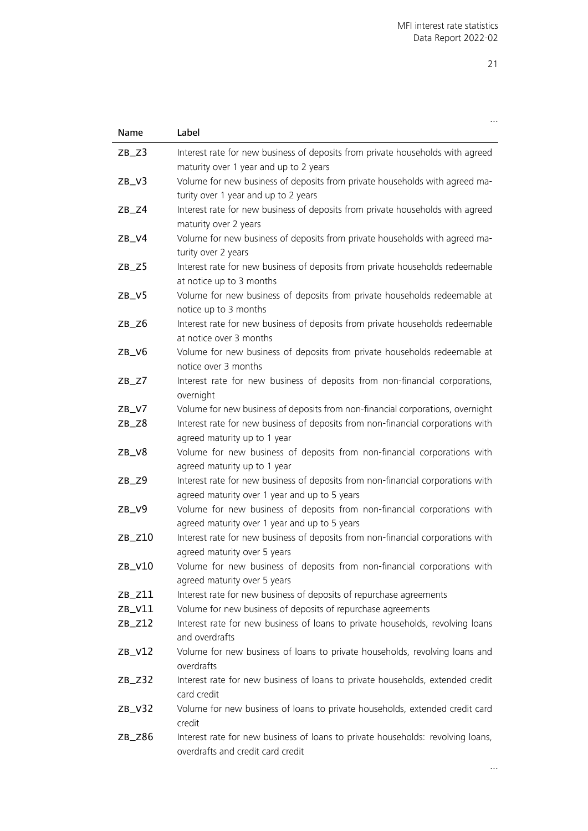| Name               | Label                                                                                                                                                             |
|--------------------|-------------------------------------------------------------------------------------------------------------------------------------------------------------------|
| $ZB_Z3$            | Interest rate for new business of deposits from private households with agreed                                                                                    |
|                    | maturity over 1 year and up to 2 years                                                                                                                            |
| ZB/V3              | Volume for new business of deposits from private households with agreed ma-                                                                                       |
|                    | turity over 1 year and up to 2 years                                                                                                                              |
| $ZB_Z4$            | Interest rate for new business of deposits from private households with agreed                                                                                    |
|                    | maturity over 2 years                                                                                                                                             |
| $ZB_V4$            | Volume for new business of deposits from private households with agreed ma-                                                                                       |
|                    | turity over 2 years                                                                                                                                               |
| $ZB_Z5$            | Interest rate for new business of deposits from private households redeemable                                                                                     |
|                    | at notice up to 3 months                                                                                                                                          |
| $ZB_V5$            | Volume for new business of deposits from private households redeemable at                                                                                         |
|                    | notice up to 3 months                                                                                                                                             |
| $ZB_Z6$            | Interest rate for new business of deposits from private households redeemable                                                                                     |
|                    | at notice over 3 months                                                                                                                                           |
| ZB/V6              | Volume for new business of deposits from private households redeemable at                                                                                         |
|                    | notice over 3 months                                                                                                                                              |
| $ZB_ZZ$            | Interest rate for new business of deposits from non-financial corporations,                                                                                       |
|                    | overnight                                                                                                                                                         |
| $ZB_V7$<br>$ZB_Z8$ | Volume for new business of deposits from non-financial corporations, overnight<br>Interest rate for new business of deposits from non-financial corporations with |
|                    | agreed maturity up to 1 year                                                                                                                                      |
| ZB/V8              | Volume for new business of deposits from non-financial corporations with                                                                                          |
|                    | agreed maturity up to 1 year                                                                                                                                      |
| $ZB_Z9$            | Interest rate for new business of deposits from non-financial corporations with                                                                                   |
|                    | agreed maturity over 1 year and up to 5 years                                                                                                                     |
| $ZB_V9$            | Volume for new business of deposits from non-financial corporations with                                                                                          |
|                    | agreed maturity over 1 year and up to 5 years                                                                                                                     |
| $ZB_$ Z10          | Interest rate for new business of deposits from non-financial corporations with                                                                                   |
|                    | agreed maturity over 5 years                                                                                                                                      |
| ZB_V10             | Volume for new business of deposits from non-financial corporations with                                                                                          |
|                    | agreed maturity over 5 years                                                                                                                                      |
| $ZB_Z11$           | Interest rate for new business of deposits of repurchase agreements                                                                                               |
| $ZB_V11$           | Volume for new business of deposits of repurchase agreements                                                                                                      |
| $ZB_Z12$           | Interest rate for new business of loans to private households, revolving loans                                                                                    |
|                    | and overdrafts                                                                                                                                                    |
| $ZB_V12$           | Volume for new business of loans to private households, revolving loans and<br>overdrafts                                                                         |
| $ZB_Z32$           | Interest rate for new business of loans to private households, extended credit                                                                                    |
|                    | card credit                                                                                                                                                       |
| $ZB_V32$           | Volume for new business of loans to private households, extended credit card                                                                                      |
|                    | credit                                                                                                                                                            |
| $ZB_Z86$           | Interest rate for new business of loans to private households: revolving loans,                                                                                   |
|                    | overdrafts and credit card credit                                                                                                                                 |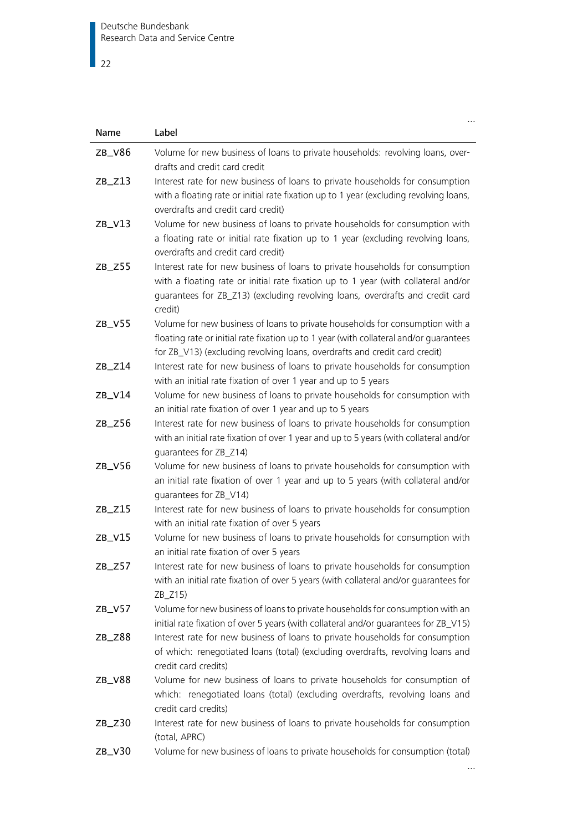## $\overline{\phantom{1}}$  22

| Name      | Label                                                                                                                                                                                                                                                           |
|-----------|-----------------------------------------------------------------------------------------------------------------------------------------------------------------------------------------------------------------------------------------------------------------|
| ZB_V86    | Volume for new business of loans to private households: revolving loans, over-                                                                                                                                                                                  |
|           | drafts and credit card credit                                                                                                                                                                                                                                   |
| $ZB_Z13$  | Interest rate for new business of loans to private households for consumption<br>with a floating rate or initial rate fixation up to 1 year (excluding revolving loans,<br>overdrafts and credit card credit)                                                   |
| $ZB_V13$  | Volume for new business of loans to private households for consumption with<br>a floating rate or initial rate fixation up to 1 year (excluding revolving loans,<br>overdrafts and credit card credit)                                                          |
| $ZB_2Z55$ | Interest rate for new business of loans to private households for consumption<br>with a floating rate or initial rate fixation up to 1 year (with collateral and/or<br>guarantees for ZB_Z13) (excluding revolving loans, overdrafts and credit card<br>credit) |
| $ZB_V55$  | Volume for new business of loans to private households for consumption with a<br>floating rate or initial rate fixation up to 1 year (with collateral and/or quarantees<br>for ZB_V13) (excluding revolving loans, overdrafts and credit card credit)           |
| $ZB_Z14$  | Interest rate for new business of loans to private households for consumption<br>with an initial rate fixation of over 1 year and up to 5 years                                                                                                                 |
| $ZB_V14$  | Volume for new business of loans to private households for consumption with<br>an initial rate fixation of over 1 year and up to 5 years                                                                                                                        |
| $ZB_Z56$  | Interest rate for new business of loans to private households for consumption<br>with an initial rate fixation of over 1 year and up to 5 years (with collateral and/or<br>quarantees for ZB_Z14)                                                               |
| $ZB_V56$  | Volume for new business of loans to private households for consumption with<br>an initial rate fixation of over 1 year and up to 5 years (with collateral and/or<br>quarantees for ZB_V14)                                                                      |
| $ZB_Z15$  | Interest rate for new business of loans to private households for consumption<br>with an initial rate fixation of over 5 years                                                                                                                                  |
| $ZB_V15$  | Volume for new business of loans to private households for consumption with<br>an initial rate fixation of over 5 years                                                                                                                                         |
| $ZB_Z57$  | Interest rate for new business of loans to private households for consumption<br>with an initial rate fixation of over 5 years (with collateral and/or guarantees for<br>$ZB_Z15$                                                                               |
| $ZB_V57$  | Volume for new business of loans to private households for consumption with an<br>initial rate fixation of over 5 years (with collateral and/or guarantees for ZB_V15)                                                                                          |
| $ZB_Z88$  | Interest rate for new business of loans to private households for consumption<br>of which: renegotiated loans (total) (excluding overdrafts, revolving loans and<br>credit card credits)                                                                        |
| $ZB_V88$  | Volume for new business of loans to private households for consumption of<br>which: renegotiated loans (total) (excluding overdrafts, revolving loans and<br>credit card credits)                                                                               |
| $ZB_2Z30$ | Interest rate for new business of loans to private households for consumption<br>(total, APRC)                                                                                                                                                                  |
| ZB_V30    | Volume for new business of loans to private households for consumption (total)                                                                                                                                                                                  |

…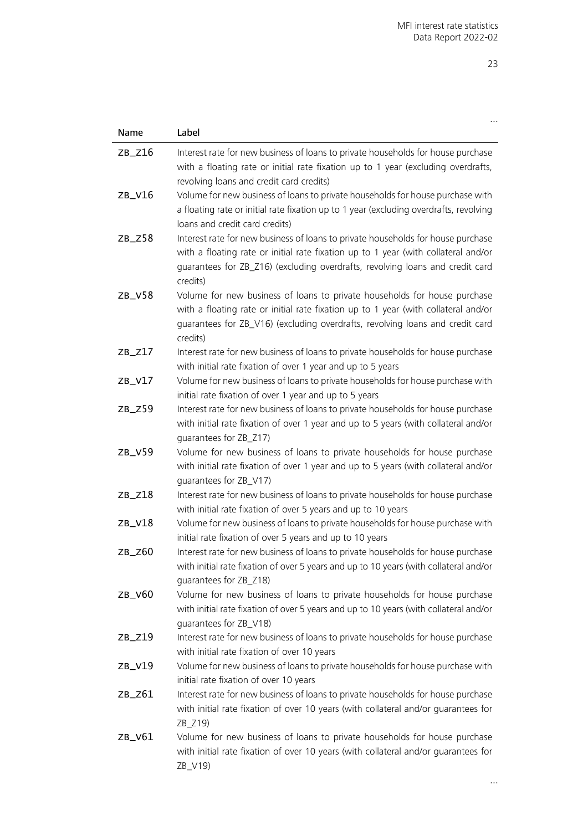| Name      | Label                                                                                                                                           |
|-----------|-------------------------------------------------------------------------------------------------------------------------------------------------|
| $ZB_Z16$  | Interest rate for new business of loans to private households for house purchase                                                                |
|           | with a floating rate or initial rate fixation up to 1 year (excluding overdrafts,                                                               |
|           | revolving loans and credit card credits)                                                                                                        |
| $ZB_V16$  | Volume for new business of loans to private households for house purchase with                                                                  |
|           | a floating rate or initial rate fixation up to 1 year (excluding overdrafts, revolving                                                          |
|           | loans and credit card credits)                                                                                                                  |
| $ZB_Z58$  | Interest rate for new business of loans to private households for house purchase                                                                |
|           | with a floating rate or initial rate fixation up to 1 year (with collateral and/or                                                              |
|           | guarantees for ZB_Z16) (excluding overdrafts, revolving loans and credit card                                                                   |
|           | credits)                                                                                                                                        |
| $ZB_V58$  | Volume for new business of loans to private households for house purchase                                                                       |
|           | with a floating rate or initial rate fixation up to 1 year (with collateral and/or                                                              |
|           | guarantees for ZB_V16) (excluding overdrafts, revolving loans and credit card<br>credits)                                                       |
| $ZB_Z17$  | Interest rate for new business of loans to private households for house purchase                                                                |
|           | with initial rate fixation of over 1 year and up to 5 years                                                                                     |
| $ZB_V17$  | Volume for new business of loans to private households for house purchase with                                                                  |
|           | initial rate fixation of over 1 year and up to 5 years                                                                                          |
| $ZB_Z59$  | Interest rate for new business of loans to private households for house purchase                                                                |
|           | with initial rate fixation of over 1 year and up to 5 years (with collateral and/or                                                             |
|           | quarantees for ZB_Z17)                                                                                                                          |
| ZB_V59    | Volume for new business of loans to private households for house purchase                                                                       |
|           | with initial rate fixation of over 1 year and up to 5 years (with collateral and/or                                                             |
|           | quarantees for ZB_V17)                                                                                                                          |
| $ZB_Z18$  | Interest rate for new business of loans to private households for house purchase                                                                |
| ZB_V18    | with initial rate fixation of over 5 years and up to 10 years<br>Volume for new business of loans to private households for house purchase with |
|           | initial rate fixation of over 5 years and up to 10 years                                                                                        |
| $ZB_$ Z60 | Interest rate for new business of loans to private households for house purchase                                                                |
|           | with initial rate fixation of over 5 years and up to 10 years (with collateral and/or                                                           |
|           | quarantees for ZB_Z18)                                                                                                                          |
| $ZB_V60$  | Volume for new business of loans to private households for house purchase                                                                       |
|           | with initial rate fixation of over 5 years and up to 10 years (with collateral and/or                                                           |
|           | guarantees for ZB_V18)                                                                                                                          |
| $ZB_Z19$  | Interest rate for new business of loans to private households for house purchase                                                                |
|           | with initial rate fixation of over 10 years                                                                                                     |
| ZB_V19    | Volume for new business of loans to private households for house purchase with                                                                  |
|           | initial rate fixation of over 10 years                                                                                                          |
| ZB_Z61    | Interest rate for new business of loans to private households for house purchase                                                                |
|           | with initial rate fixation of over 10 years (with collateral and/or guarantees for<br>ZB_Z19)                                                   |
| ZB_V61    | Volume for new business of loans to private households for house purchase                                                                       |
|           | with initial rate fixation of over 10 years (with collateral and/or guarantees for                                                              |
|           | ZB_V19)                                                                                                                                         |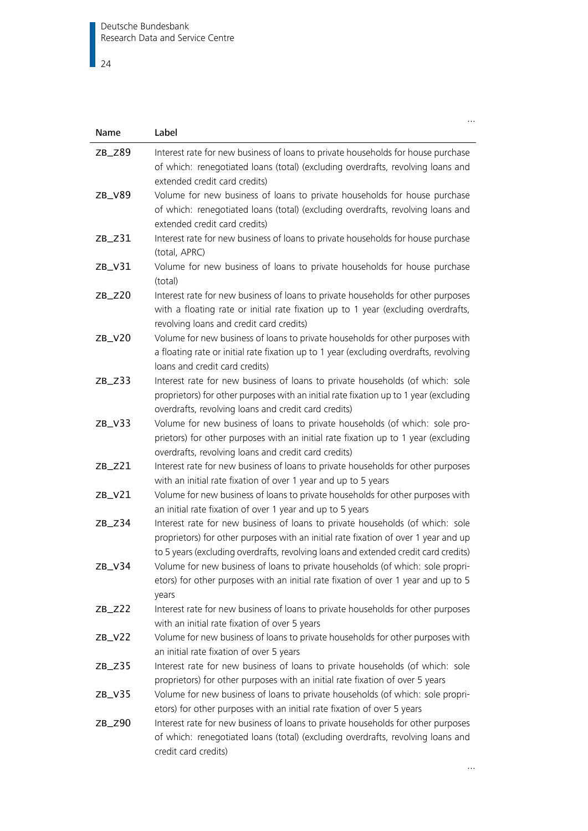## $\overline{\phantom{1}}$  24

| Name      | Label                                                                                                                                                                                                                                                       |
|-----------|-------------------------------------------------------------------------------------------------------------------------------------------------------------------------------------------------------------------------------------------------------------|
| $ZB_$ Z89 | Interest rate for new business of loans to private households for house purchase<br>of which: renegotiated loans (total) (excluding overdrafts, revolving loans and<br>extended credit card credits)                                                        |
| ZB_V89    | Volume for new business of loans to private households for house purchase<br>of which: renegotiated loans (total) (excluding overdrafts, revolving loans and<br>extended credit card credits)                                                               |
| $ZB_2Z31$ | Interest rate for new business of loans to private households for house purchase<br>(total, APRC)                                                                                                                                                           |
| $ZB_V31$  | Volume for new business of loans to private households for house purchase<br>(total)                                                                                                                                                                        |
| $ZB_$ Z20 | Interest rate for new business of loans to private households for other purposes<br>with a floating rate or initial rate fixation up to 1 year (excluding overdrafts,<br>revolving loans and credit card credits)                                           |
| $ZB_V20$  | Volume for new business of loans to private households for other purposes with<br>a floating rate or initial rate fixation up to 1 year (excluding overdrafts, revolving<br>loans and credit card credits)                                                  |
| $ZB_Z33$  | Interest rate for new business of loans to private households (of which: sole<br>proprietors) for other purposes with an initial rate fixation up to 1 year (excluding<br>overdrafts, revolving loans and credit card credits)                              |
| $ZB_V33$  | Volume for new business of loans to private households (of which: sole pro-<br>prietors) for other purposes with an initial rate fixation up to 1 year (excluding<br>overdrafts, revolving loans and credit card credits)                                   |
| $ZB_$ Z21 | Interest rate for new business of loans to private households for other purposes<br>with an initial rate fixation of over 1 year and up to 5 years                                                                                                          |
| $ZB_V21$  | Volume for new business of loans to private households for other purposes with<br>an initial rate fixation of over 1 year and up to 5 years                                                                                                                 |
| $ZB_Z34$  | Interest rate for new business of loans to private households (of which: sole<br>proprietors) for other purposes with an initial rate fixation of over 1 year and up<br>to 5 years (excluding overdrafts, revolving loans and extended credit card credits) |
| ZB_V34    | Volume for new business of loans to private households (of which: sole propri-<br>etors) for other purposes with an initial rate fixation of over 1 year and up to 5<br>years                                                                               |
| $ZB_Z222$ | Interest rate for new business of loans to private households for other purposes<br>with an initial rate fixation of over 5 years                                                                                                                           |
| $ZB_V22$  | Volume for new business of loans to private households for other purposes with<br>an initial rate fixation of over 5 years                                                                                                                                  |
| $ZB_Z35$  | Interest rate for new business of loans to private households (of which: sole<br>proprietors) for other purposes with an initial rate fixation of over 5 years                                                                                              |
| $ZB_V35$  | Volume for new business of loans to private households (of which: sole propri-<br>etors) for other purposes with an initial rate fixation of over 5 years                                                                                                   |
| $ZB_$ Z90 | Interest rate for new business of loans to private households for other purposes<br>of which: renegotiated loans (total) (excluding overdrafts, revolving loans and<br>credit card credits)                                                                 |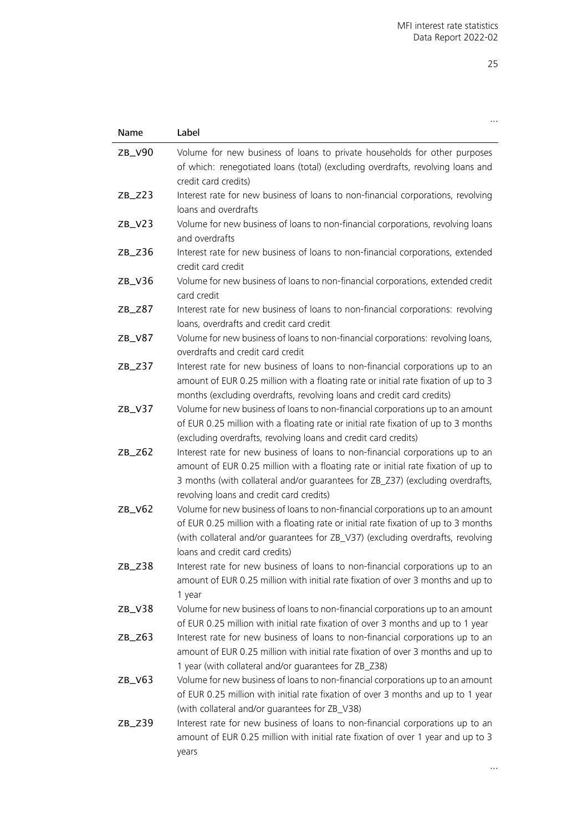| Name      | Label                                                                                                                                                                                                                                                                                             |
|-----------|---------------------------------------------------------------------------------------------------------------------------------------------------------------------------------------------------------------------------------------------------------------------------------------------------|
| ZB_V90    | Volume for new business of loans to private households for other purposes<br>of which: renegotiated loans (total) (excluding overdrafts, revolving loans and<br>credit card credits)                                                                                                              |
| $ZB_$ Z23 | Interest rate for new business of loans to non-financial corporations, revolving<br>loans and overdrafts                                                                                                                                                                                          |
| $ZB_V23$  | Volume for new business of loans to non-financial corporations, revolving loans<br>and overdrafts                                                                                                                                                                                                 |
| $ZB_Z36$  | Interest rate for new business of loans to non-financial corporations, extended<br>credit card credit                                                                                                                                                                                             |
| ZB_V36    | Volume for new business of loans to non-financial corporations, extended credit<br>card credit                                                                                                                                                                                                    |
| $ZB_Z87$  | Interest rate for new business of loans to non-financial corporations: revolving<br>loans, overdrafts and credit card credit                                                                                                                                                                      |
| ZB_V87    | Volume for new business of loans to non-financial corporations: revolving loans,<br>overdrafts and credit card credit                                                                                                                                                                             |
| $ZB_Z37$  | Interest rate for new business of loans to non-financial corporations up to an<br>amount of EUR 0.25 million with a floating rate or initial rate fixation of up to 3<br>months (excluding overdrafts, revolving loans and credit card credits)                                                   |
| $ZB_V37$  | Volume for new business of loans to non-financial corporations up to an amount<br>of EUR 0.25 million with a floating rate or initial rate fixation of up to 3 months<br>(excluding overdrafts, revolving loans and credit card credits)                                                          |
| $ZB_Z62$  | Interest rate for new business of loans to non-financial corporations up to an<br>amount of EUR 0.25 million with a floating rate or initial rate fixation of up to<br>3 months (with collateral and/or guarantees for ZB_Z37) (excluding overdrafts,<br>revolving loans and credit card credits) |
| $ZB_V62$  | Volume for new business of loans to non-financial corporations up to an amount<br>of EUR 0.25 million with a floating rate or initial rate fixation of up to 3 months<br>(with collateral and/or guarantees for ZB_V37) (excluding overdrafts, revolving<br>loans and credit card credits)        |
| $ZB_Z38$  | Interest rate for new business of loans to non-financial corporations up to an<br>amount of EUR 0.25 million with initial rate fixation of over 3 months and up to<br>1 year                                                                                                                      |
| ZB_V38    | Volume for new business of loans to non-financial corporations up to an amount<br>of EUR 0.25 million with initial rate fixation of over 3 months and up to 1 year                                                                                                                                |
| $ZB_Z63$  | Interest rate for new business of loans to non-financial corporations up to an<br>amount of EUR 0.25 million with initial rate fixation of over 3 months and up to<br>1 year (with collateral and/or guarantees for ZB_Z38)                                                                       |
| $ZB_V63$  | Volume for new business of loans to non-financial corporations up to an amount<br>of EUR 0.25 million with initial rate fixation of over 3 months and up to 1 year<br>(with collateral and/or guarantees for ZB_V38)                                                                              |
| $ZB_$ Z39 | Interest rate for new business of loans to non-financial corporations up to an<br>amount of EUR 0.25 million with initial rate fixation of over 1 year and up to 3<br>years                                                                                                                       |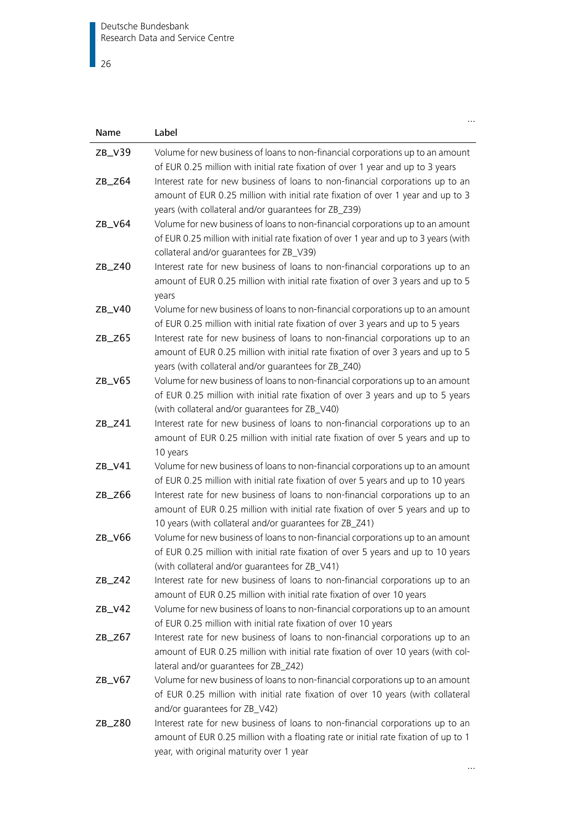$\overline{\phantom{0}}$  26

| Name      | Label                                                                                                                                                                                                                        |
|-----------|------------------------------------------------------------------------------------------------------------------------------------------------------------------------------------------------------------------------------|
| $ZB_V39$  | Volume for new business of loans to non-financial corporations up to an amount<br>of EUR 0.25 million with initial rate fixation of over 1 year and up to 3 years                                                            |
| $ZB_$ Z64 | Interest rate for new business of loans to non-financial corporations up to an<br>amount of EUR 0.25 million with initial rate fixation of over 1 year and up to 3<br>years (with collateral and/or guarantees for ZB_Z39)   |
| ZB_V64    | Volume for new business of loans to non-financial corporations up to an amount<br>of EUR 0.25 million with initial rate fixation of over 1 year and up to 3 years (with<br>collateral and/or quarantees for ZB_V39)          |
| $ZB_$ Z40 | Interest rate for new business of loans to non-financial corporations up to an<br>amount of EUR 0.25 million with initial rate fixation of over 3 years and up to 5<br>years                                                 |
| ZB_V40    | Volume for new business of loans to non-financial corporations up to an amount<br>of EUR 0.25 million with initial rate fixation of over 3 years and up to 5 years                                                           |
| $ZB_Z65$  | Interest rate for new business of loans to non-financial corporations up to an<br>amount of EUR 0.25 million with initial rate fixation of over 3 years and up to 5<br>years (with collateral and/or guarantees for ZB_Z40)  |
| ZB_V65    | Volume for new business of loans to non-financial corporations up to an amount<br>of EUR 0.25 million with initial rate fixation of over 3 years and up to 5 years<br>(with collateral and/or guarantees for ZB_V40)         |
| $ZB_Z41$  | Interest rate for new business of loans to non-financial corporations up to an<br>amount of EUR 0.25 million with initial rate fixation of over 5 years and up to<br>10 years                                                |
| ZB_V41    | Volume for new business of loans to non-financial corporations up to an amount<br>of EUR 0.25 million with initial rate fixation of over 5 years and up to 10 years                                                          |
| $ZB_Z66$  | Interest rate for new business of loans to non-financial corporations up to an<br>amount of EUR 0.25 million with initial rate fixation of over 5 years and up to<br>10 years (with collateral and/or guarantees for ZB_Z41) |
| ZB_V66    | Volume for new business of loans to non-financial corporations up to an amount<br>of EUR 0.25 million with initial rate fixation of over 5 years and up to 10 years<br>(with collateral and/or guarantees for ZB_V41)        |
| $ZB_Z42$  | Interest rate for new business of loans to non-financial corporations up to an<br>amount of EUR 0.25 million with initial rate fixation of over 10 years                                                                     |
| $ZB_V42$  | Volume for new business of loans to non-financial corporations up to an amount<br>of EUR 0.25 million with initial rate fixation of over 10 years                                                                            |
| $ZB_Z67$  | Interest rate for new business of loans to non-financial corporations up to an<br>amount of EUR 0.25 million with initial rate fixation of over 10 years (with col-<br>lateral and/or guarantees for ZB_Z42)                 |
| $ZB_V67$  | Volume for new business of loans to non-financial corporations up to an amount<br>of EUR 0.25 million with initial rate fixation of over 10 years (with collateral<br>and/or guarantees for ZB_V42)                          |
| $ZB_$ Z80 | Interest rate for new business of loans to non-financial corporations up to an<br>amount of EUR 0.25 million with a floating rate or initial rate fixation of up to 1<br>year, with original maturity over 1 year            |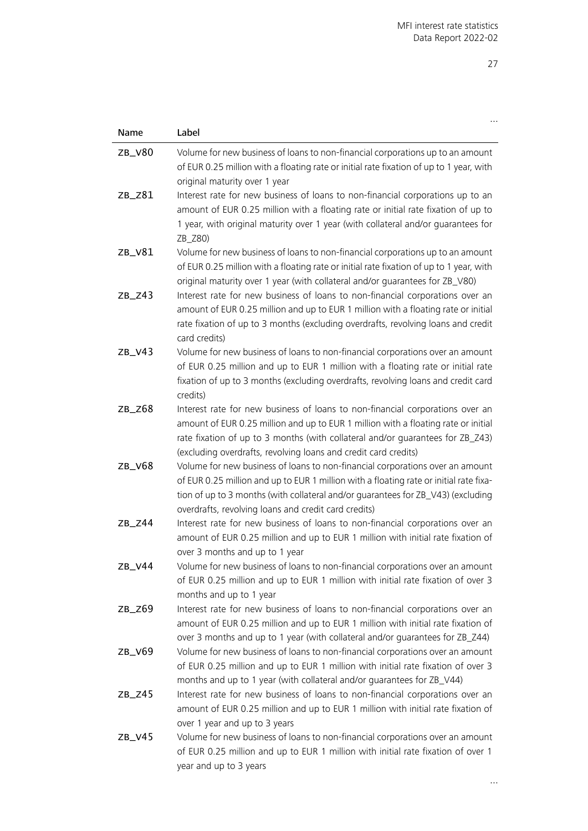| Name      | Label                                                                                                                                                                                                                                                                                                                    |
|-----------|--------------------------------------------------------------------------------------------------------------------------------------------------------------------------------------------------------------------------------------------------------------------------------------------------------------------------|
| ZB_V80    | Volume for new business of loans to non-financial corporations up to an amount<br>of EUR 0.25 million with a floating rate or initial rate fixation of up to 1 year, with<br>original maturity over 1 year                                                                                                               |
| ZB_Z81    | Interest rate for new business of loans to non-financial corporations up to an<br>amount of EUR 0.25 million with a floating rate or initial rate fixation of up to<br>1 year, with original maturity over 1 year (with collateral and/or guarantees for<br>ZB_Z80)                                                      |
| ZB_V81    | Volume for new business of loans to non-financial corporations up to an amount<br>of EUR 0.25 million with a floating rate or initial rate fixation of up to 1 year, with<br>original maturity over 1 year (with collateral and/or guarantees for ZB_V80)                                                                |
| $ZB_Z43$  | Interest rate for new business of loans to non-financial corporations over an<br>amount of EUR 0.25 million and up to EUR 1 million with a floating rate or initial<br>rate fixation of up to 3 months (excluding overdrafts, revolving loans and credit<br>card credits)                                                |
| $ZB_V43$  | Volume for new business of loans to non-financial corporations over an amount<br>of EUR 0.25 million and up to EUR 1 million with a floating rate or initial rate<br>fixation of up to 3 months (excluding overdrafts, revolving loans and credit card<br>credits)                                                       |
| $ZB_Z68$  | Interest rate for new business of loans to non-financial corporations over an<br>amount of EUR 0.25 million and up to EUR 1 million with a floating rate or initial<br>rate fixation of up to 3 months (with collateral and/or quarantees for ZB_Z43)<br>(excluding overdrafts, revolving loans and credit card credits) |
| ZB_V68    | Volume for new business of loans to non-financial corporations over an amount<br>of EUR 0.25 million and up to EUR 1 million with a floating rate or initial rate fixa-<br>tion of up to 3 months (with collateral and/or guarantees for ZB_V43) (excluding<br>overdrafts, revolving loans and credit card credits)      |
| $ZB_Z44$  | Interest rate for new business of loans to non-financial corporations over an<br>amount of EUR 0.25 million and up to EUR 1 million with initial rate fixation of<br>over 3 months and up to 1 year                                                                                                                      |
| ZB_V44    | Volume for new business of loans to non-financial corporations over an amount<br>of EUR 0.25 million and up to EUR 1 million with initial rate fixation of over 3<br>months and up to 1 year                                                                                                                             |
| $ZB_$ Z69 | Interest rate for new business of loans to non-financial corporations over an<br>amount of EUR 0.25 million and up to EUR 1 million with initial rate fixation of<br>over 3 months and up to 1 year (with collateral and/or guarantees for ZB_Z44)                                                                       |
| ZB_V69    | Volume for new business of loans to non-financial corporations over an amount<br>of EUR 0.25 million and up to EUR 1 million with initial rate fixation of over 3<br>months and up to 1 year (with collateral and/or quarantees for ZB_V44)                                                                              |
| $ZB_Z45$  | Interest rate for new business of loans to non-financial corporations over an<br>amount of EUR 0.25 million and up to EUR 1 million with initial rate fixation of<br>over 1 year and up to 3 years                                                                                                                       |
| ZB_V45    | Volume for new business of loans to non-financial corporations over an amount<br>of EUR 0.25 million and up to EUR 1 million with initial rate fixation of over 1<br>year and up to 3 years                                                                                                                              |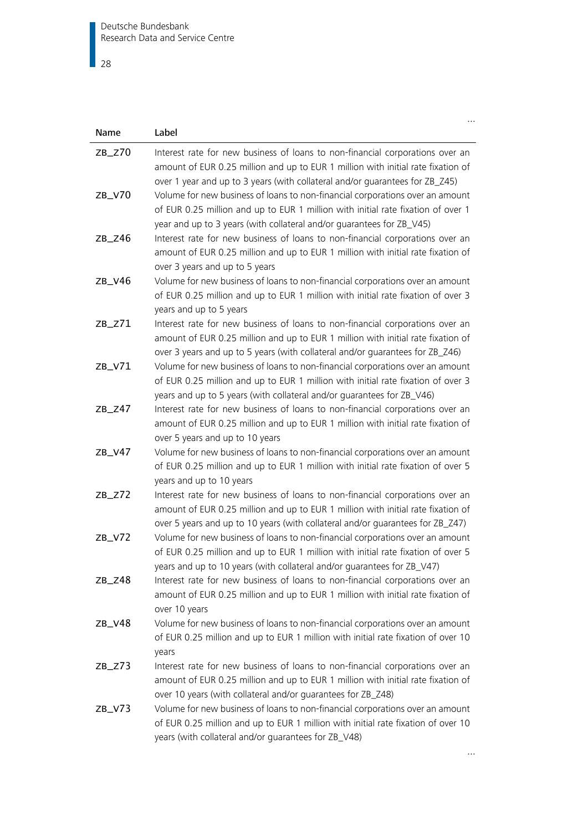$\overline{\phantom{1}}$  28

| Name     | Label                                                                                                                                                                                                                                               |
|----------|-----------------------------------------------------------------------------------------------------------------------------------------------------------------------------------------------------------------------------------------------------|
| $ZB_Z70$ | Interest rate for new business of loans to non-financial corporations over an<br>amount of EUR 0.25 million and up to EUR 1 million with initial rate fixation of<br>over 1 year and up to 3 years (with collateral and/or quarantees for ZB_Z45)   |
| $ZB_V70$ | Volume for new business of loans to non-financial corporations over an amount<br>of EUR 0.25 million and up to EUR 1 million with initial rate fixation of over 1<br>year and up to 3 years (with collateral and/or guarantees for ZB_V45)          |
| $ZB_Z46$ | Interest rate for new business of loans to non-financial corporations over an<br>amount of EUR 0.25 million and up to EUR 1 million with initial rate fixation of<br>over 3 years and up to 5 years                                                 |
| ZB_V46   | Volume for new business of loans to non-financial corporations over an amount<br>of EUR 0.25 million and up to EUR 1 million with initial rate fixation of over 3<br>years and up to 5 years                                                        |
| $ZB_Z71$ | Interest rate for new business of loans to non-financial corporations over an<br>amount of EUR 0.25 million and up to EUR 1 million with initial rate fixation of<br>over 3 years and up to 5 years (with collateral and/or guarantees for ZB_Z46)  |
| ZB_V71   | Volume for new business of loans to non-financial corporations over an amount<br>of EUR 0.25 million and up to EUR 1 million with initial rate fixation of over 3<br>years and up to 5 years (with collateral and/or guarantees for ZB_V46)         |
| $ZB_Z47$ | Interest rate for new business of loans to non-financial corporations over an<br>amount of EUR 0.25 million and up to EUR 1 million with initial rate fixation of<br>over 5 years and up to 10 years                                                |
| ZB_V47   | Volume for new business of loans to non-financial corporations over an amount<br>of EUR 0.25 million and up to EUR 1 million with initial rate fixation of over 5<br>years and up to 10 years                                                       |
| $ZB_Z72$ | Interest rate for new business of loans to non-financial corporations over an<br>amount of EUR 0.25 million and up to EUR 1 million with initial rate fixation of<br>over 5 years and up to 10 years (with collateral and/or quarantees for ZB_Z47) |
| $ZB_V72$ | Volume for new business of loans to non-financial corporations over an amount<br>of EUR 0.25 million and up to EUR 1 million with initial rate fixation of over 5<br>years and up to 10 years (with collateral and/or guarantees for ZB_V47)        |
| $ZB_Z48$ | Interest rate for new business of loans to non-financial corporations over an<br>amount of EUR 0.25 million and up to EUR 1 million with initial rate fixation of<br>over 10 years                                                                  |
| ZB_V48   | Volume for new business of loans to non-financial corporations over an amount<br>of EUR 0.25 million and up to EUR 1 million with initial rate fixation of over 10<br>years                                                                         |
| $ZB_Z73$ | Interest rate for new business of loans to non-financial corporations over an<br>amount of EUR 0.25 million and up to EUR 1 million with initial rate fixation of<br>over 10 years (with collateral and/or guarantees for ZB_Z48)                   |
| $ZB_V73$ | Volume for new business of loans to non-financial corporations over an amount<br>of EUR 0.25 million and up to EUR 1 million with initial rate fixation of over 10<br>years (with collateral and/or guarantees for ZB_V48)                          |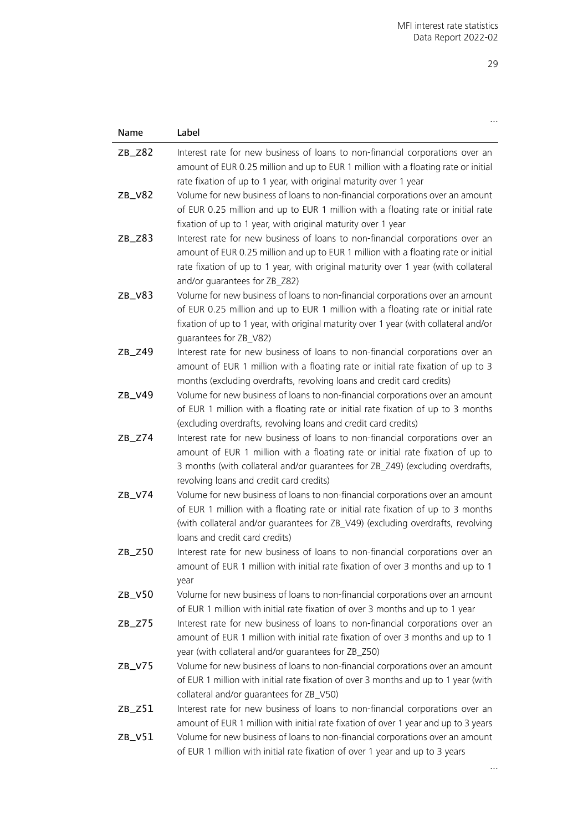| Name      | Label                                                                                                                                                                                                                                                                                         |
|-----------|-----------------------------------------------------------------------------------------------------------------------------------------------------------------------------------------------------------------------------------------------------------------------------------------------|
| $ZB_$ Z82 | Interest rate for new business of loans to non-financial corporations over an<br>amount of EUR 0.25 million and up to EUR 1 million with a floating rate or initial<br>rate fixation of up to 1 year, with original maturity over 1 year                                                      |
| $ZB_V82$  | Volume for new business of loans to non-financial corporations over an amount<br>of EUR 0.25 million and up to EUR 1 million with a floating rate or initial rate<br>fixation of up to 1 year, with original maturity over 1 year                                                             |
| $ZB_Z83$  | Interest rate for new business of loans to non-financial corporations over an<br>amount of EUR 0.25 million and up to EUR 1 million with a floating rate or initial<br>rate fixation of up to 1 year, with original maturity over 1 year (with collateral<br>and/or guarantees for ZB_Z82)    |
| $ZB_V83$  | Volume for new business of loans to non-financial corporations over an amount<br>of EUR 0.25 million and up to EUR 1 million with a floating rate or initial rate<br>fixation of up to 1 year, with original maturity over 1 year (with collateral and/or<br>guarantees for ZB_V82)           |
| $ZB_Z49$  | Interest rate for new business of loans to non-financial corporations over an<br>amount of EUR 1 million with a floating rate or initial rate fixation of up to 3<br>months (excluding overdrafts, revolving loans and credit card credits)                                                   |
| ZB_V49    | Volume for new business of loans to non-financial corporations over an amount<br>of EUR 1 million with a floating rate or initial rate fixation of up to 3 months<br>(excluding overdrafts, revolving loans and credit card credits)                                                          |
| $ZB_Z74$  | Interest rate for new business of loans to non-financial corporations over an<br>amount of EUR 1 million with a floating rate or initial rate fixation of up to<br>3 months (with collateral and/or guarantees for ZB_Z49) (excluding overdrafts,<br>revolving loans and credit card credits) |
| ZB_V74    | Volume for new business of loans to non-financial corporations over an amount<br>of EUR 1 million with a floating rate or initial rate fixation of up to 3 months<br>(with collateral and/or guarantees for ZB_V49) (excluding overdrafts, revolving<br>loans and credit card credits)        |
| $ZB_Z50$  | Interest rate for new business of loans to non-financial corporations over an<br>amount of EUR 1 million with initial rate fixation of over 3 months and up to 1<br>year                                                                                                                      |
| $ZB_V50$  | Volume for new business of loans to non-financial corporations over an amount<br>of EUR 1 million with initial rate fixation of over 3 months and up to 1 year                                                                                                                                |
| $ZB_Z75$  | Interest rate for new business of loans to non-financial corporations over an<br>amount of EUR 1 million with initial rate fixation of over 3 months and up to 1<br>year (with collateral and/or guarantees for ZB_Z50)                                                                       |
| $ZB_V75$  | Volume for new business of loans to non-financial corporations over an amount<br>of EUR 1 million with initial rate fixation of over 3 months and up to 1 year (with<br>collateral and/or quarantees for ZB_V50)                                                                              |
| $ZB_Z51$  | Interest rate for new business of loans to non-financial corporations over an<br>amount of EUR 1 million with initial rate fixation of over 1 year and up to 3 years                                                                                                                          |
| $ZB_V51$  | Volume for new business of loans to non-financial corporations over an amount<br>of EUR 1 million with initial rate fixation of over 1 year and up to 3 years                                                                                                                                 |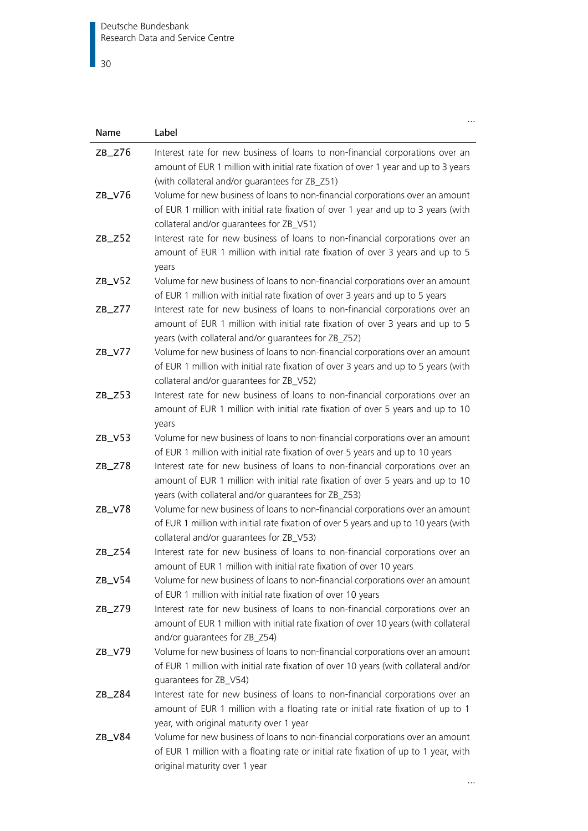$\overline{\phantom{0}}$  30

| Name      | Label                                                                                                                                                                                                                    |
|-----------|--------------------------------------------------------------------------------------------------------------------------------------------------------------------------------------------------------------------------|
| $ZB_Z76$  | Interest rate for new business of loans to non-financial corporations over an<br>amount of EUR 1 million with initial rate fixation of over 1 year and up to 3 years<br>(with collateral and/or quarantees for ZB_Z51)   |
| ZB_V76    | Volume for new business of loans to non-financial corporations over an amount<br>of EUR 1 million with initial rate fixation of over 1 year and up to 3 years (with<br>collateral and/or quarantees for ZB_V51)          |
| $ZB_Z52$  | Interest rate for new business of loans to non-financial corporations over an<br>amount of EUR 1 million with initial rate fixation of over 3 years and up to 5<br>years                                                 |
| ZB_V52    | Volume for new business of loans to non-financial corporations over an amount<br>of EUR 1 million with initial rate fixation of over 3 years and up to 5 years                                                           |
| $ZB_Z77$  | Interest rate for new business of loans to non-financial corporations over an<br>amount of EUR 1 million with initial rate fixation of over 3 years and up to 5<br>years (with collateral and/or guarantees for ZB_Z52)  |
| $ZB_V77$  | Volume for new business of loans to non-financial corporations over an amount<br>of EUR 1 million with initial rate fixation of over 3 years and up to 5 years (with<br>collateral and/or quarantees for ZB_V52)         |
| $ZB_$ Z53 | Interest rate for new business of loans to non-financial corporations over an<br>amount of EUR 1 million with initial rate fixation of over 5 years and up to 10<br>years                                                |
| ZB_V53    | Volume for new business of loans to non-financial corporations over an amount<br>of EUR 1 million with initial rate fixation of over 5 years and up to 10 years                                                          |
| $ZB_Z78$  | Interest rate for new business of loans to non-financial corporations over an<br>amount of EUR 1 million with initial rate fixation of over 5 years and up to 10<br>years (with collateral and/or guarantees for ZB_Z53) |
| ZB_V78    | Volume for new business of loans to non-financial corporations over an amount<br>of EUR 1 million with initial rate fixation of over 5 years and up to 10 years (with<br>collateral and/or guarantees for ZB_V53)        |
| ZB_Z54    | Interest rate for new business of loans to non-financial corporations over an<br>amount of EUR 1 million with initial rate fixation of over 10 years                                                                     |
| ZB_V54    | Volume for new business of loans to non-financial corporations over an amount<br>of EUR 1 million with initial rate fixation of over 10 years                                                                            |
| $ZB_Z79$  | Interest rate for new business of loans to non-financial corporations over an<br>amount of EUR 1 million with initial rate fixation of over 10 years (with collateral<br>and/or quarantees for ZB_Z54)                   |
| ZB_V79    | Volume for new business of loans to non-financial corporations over an amount<br>of EUR 1 million with initial rate fixation of over 10 years (with collateral and/or<br>quarantees for ZB_V54)                          |
| $ZB_Z84$  | Interest rate for new business of loans to non-financial corporations over an<br>amount of EUR 1 million with a floating rate or initial rate fixation of up to 1<br>year, with original maturity over 1 year            |
| ZB_V84    | Volume for new business of loans to non-financial corporations over an amount<br>of EUR 1 million with a floating rate or initial rate fixation of up to 1 year, with<br>original maturity over 1 year                   |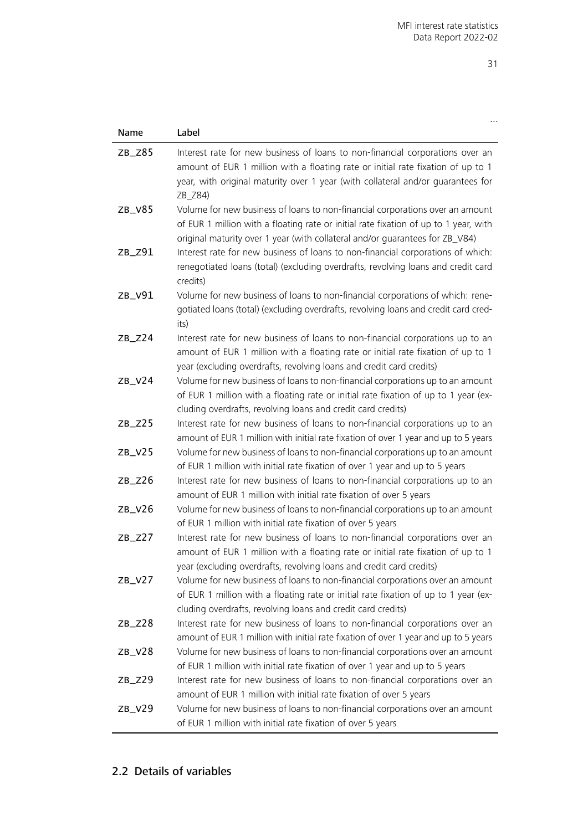…

| Name      | Label                                                                                                                                                                                                                                                           |
|-----------|-----------------------------------------------------------------------------------------------------------------------------------------------------------------------------------------------------------------------------------------------------------------|
| $ZB_Z85$  | Interest rate for new business of loans to non-financial corporations over an<br>amount of EUR 1 million with a floating rate or initial rate fixation of up to 1<br>year, with original maturity over 1 year (with collateral and/or guarantees for<br>ZB_Z84) |
| $ZB_V85$  | Volume for new business of loans to non-financial corporations over an amount<br>of EUR 1 million with a floating rate or initial rate fixation of up to 1 year, with<br>original maturity over 1 year (with collateral and/or quarantees for ZB_V84)           |
| $ZB_$ Z91 | Interest rate for new business of loans to non-financial corporations of which:<br>renegotiated loans (total) (excluding overdrafts, revolving loans and credit card<br>credits)                                                                                |
| ZB_V91    | Volume for new business of loans to non-financial corporations of which: rene-<br>gotiated loans (total) (excluding overdrafts, revolving loans and credit card cred-<br>its)                                                                                   |
| $ZB_Z24$  | Interest rate for new business of loans to non-financial corporations up to an<br>amount of EUR 1 million with a floating rate or initial rate fixation of up to 1<br>year (excluding overdrafts, revolving loans and credit card credits)                      |
| ZB_V24    | Volume for new business of loans to non-financial corporations up to an amount<br>of EUR 1 million with a floating rate or initial rate fixation of up to 1 year (ex-<br>cluding overdrafts, revolving loans and credit card credits)                           |
| $ZB_Z25$  | Interest rate for new business of loans to non-financial corporations up to an<br>amount of EUR 1 million with initial rate fixation of over 1 year and up to 5 years                                                                                           |
| $ZB_V25$  | Volume for new business of loans to non-financial corporations up to an amount<br>of EUR 1 million with initial rate fixation of over 1 year and up to 5 years                                                                                                  |
| $ZB_$ Z26 | Interest rate for new business of loans to non-financial corporations up to an<br>amount of EUR 1 million with initial rate fixation of over 5 years                                                                                                            |
| $ZB_V26$  | Volume for new business of loans to non-financial corporations up to an amount<br>of EUR 1 million with initial rate fixation of over 5 years                                                                                                                   |
| $ZB_Z27$  | Interest rate for new business of loans to non-financial corporations over an<br>amount of EUR 1 million with a floating rate or initial rate fixation of up to 1<br>year (excluding overdrafts, revolving loans and credit card credits)                       |
| $ZB_V27$  | Volume for new business of loans to non-financial corporations over an amount<br>of EUR 1 million with a floating rate or initial rate fixation of up to 1 year (ex-<br>cluding overdrafts, revolving loans and credit card credits)                            |
| $ZB_Z28$  | Interest rate for new business of loans to non-financial corporations over an<br>amount of EUR 1 million with initial rate fixation of over 1 year and up to 5 years                                                                                            |
| $ZB_V28$  | Volume for new business of loans to non-financial corporations over an amount<br>of EUR 1 million with initial rate fixation of over 1 year and up to 5 years                                                                                                   |
| $ZB_$ Z29 | Interest rate for new business of loans to non-financial corporations over an<br>amount of EUR 1 million with initial rate fixation of over 5 years                                                                                                             |
| $ZB_V29$  | Volume for new business of loans to non-financial corporations over an amount<br>of EUR 1 million with initial rate fixation of over 5 years                                                                                                                    |

## <span id="page-30-0"></span>2.2 Details of variables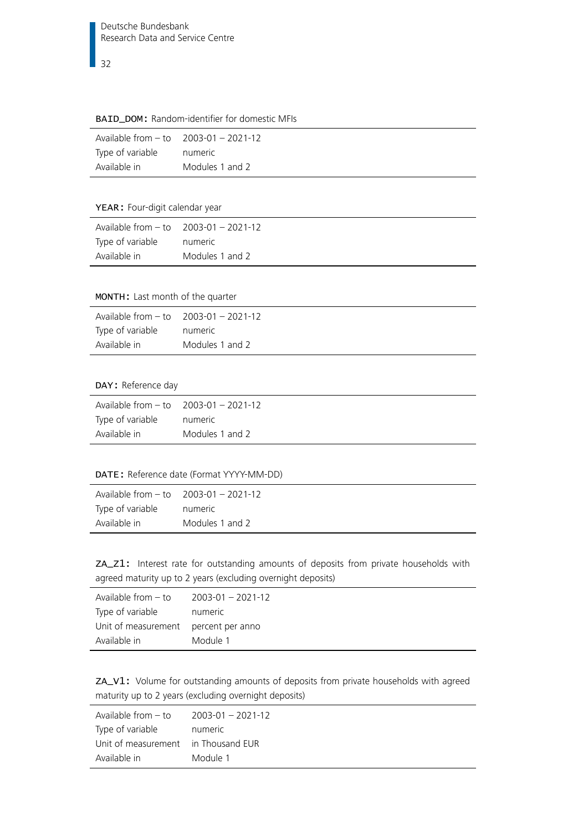32

#### <span id="page-31-0"></span>BAID\_DOM: Random-identifier for domestic MFIs

|                  | Available from $-$ to $2003-01 - 2021-12$ |
|------------------|-------------------------------------------|
| Type of variable | numeric                                   |
| Available in     | Modules 1 and 2                           |

#### <span id="page-31-1"></span>YEAR: Four-digit calendar year

|                  | Available from $-$ to $2003-01 - 2021-12$ |
|------------------|-------------------------------------------|
| Type of variable | numeric                                   |
| Available in     | Modules 1 and 2                           |

#### <span id="page-31-2"></span>MONTH: Last month of the quarter

| Available from $-$ to $2003-01 - 2021-12$ |                 |
|-------------------------------------------|-----------------|
| Type of variable                          | numeric         |
| Available in                              | Modules 1 and 2 |

## <span id="page-31-3"></span>DAY: Reference day

| Available from $-$ to $-2003-01-2021-12$ |                 |
|------------------------------------------|-----------------|
| Type of variable                         | numeric         |
| Available in                             | Modules 1 and 2 |

#### <span id="page-31-4"></span>DATE: Reference date (Format YYYY-MM-DD)

|                  | Available from $-$ to $2003-01 - 2021-12$ |
|------------------|-------------------------------------------|
| Type of variable | numeric                                   |
| Available in     | Modules 1 and 2                           |

<span id="page-31-5"></span>ZA\_Z1: Interest rate for outstanding amounts of deposits from private households with agreed maturity up to 2 years (excluding overnight deposits)

| Available from $-$ to                | $2003 - 01 - 2021 - 12$ |
|--------------------------------------|-------------------------|
| Type of variable                     | numeric                 |
| Unit of measurement percent per anno |                         |
| Available in                         | Module 1                |

<span id="page-31-6"></span>ZA\_V1: Volume for outstanding amounts of deposits from private households with agreed maturity up to 2 years (excluding overnight deposits)

| Available from – to                 | 2003-01 - 2021-12 |
|-------------------------------------|-------------------|
| Type of variable                    | numeric           |
| Unit of measurement in Thousand EUR |                   |
| Available in                        | Module 1          |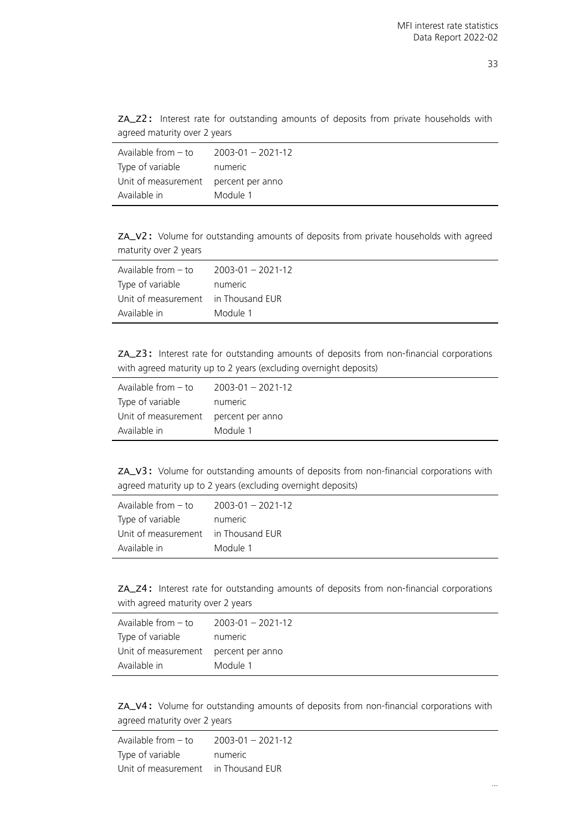<span id="page-32-0"></span>

|                              |  | ZA_Z2: Interest rate for outstanding amounts of deposits from private households with |  |  |  |  |
|------------------------------|--|---------------------------------------------------------------------------------------|--|--|--|--|
| agreed maturity over 2 years |  |                                                                                       |  |  |  |  |

| Available from $-$ to                | $2003 - 01 - 2021 - 12$ |
|--------------------------------------|-------------------------|
| Type of variable                     | numeric                 |
| Unit of measurement percent per anno |                         |
| Available in                         | Module 1                |

<span id="page-32-1"></span>ZA\_V2: Volume for outstanding amounts of deposits from private households with agreed maturity over 2 years

| Available from – to                 | $2003 - 01 - 2021 - 12$ |
|-------------------------------------|-------------------------|
| Type of variable                    | numeric                 |
| Unit of measurement in Thousand EUR |                         |
| Available in                        | Module 1                |

<span id="page-32-2"></span>ZA\_Z3: Interest rate for outstanding amounts of deposits from non-financial corporations with agreed maturity up to 2 years (excluding overnight deposits)

| Available from $-$ to                | $2003 - 01 - 2021 - 12$ |
|--------------------------------------|-------------------------|
| Type of variable                     | numeric                 |
| Unit of measurement percent per anno |                         |
| Available in                         | Module 1                |

<span id="page-32-3"></span>ZA\_V3: Volume for outstanding amounts of deposits from non-financial corporations with agreed maturity up to 2 years (excluding overnight deposits)

| Available from – to                 | $2003 - 01 - 2021 - 12$ |
|-------------------------------------|-------------------------|
| Type of variable                    | numeric                 |
| Unit of measurement in Thousand EUR |                         |
| Available in                        | Module 1                |

<span id="page-32-4"></span>ZA\_Z4: Interest rate for outstanding amounts of deposits from non-financial corporations with agreed maturity over 2 years

| Available from – to                  | 2003-01 - 2021-12 |
|--------------------------------------|-------------------|
| Type of variable                     | numeric           |
| Unit of measurement percent per anno |                   |
| Available in                         | Module 1          |

<span id="page-32-5"></span>ZA\_V4: Volume for outstanding amounts of deposits from non-financial corporations with agreed maturity over 2 years

Available from – to 2003-01 – 2021-12 Type of variable mumeric Unit of measurement in Thousand EUR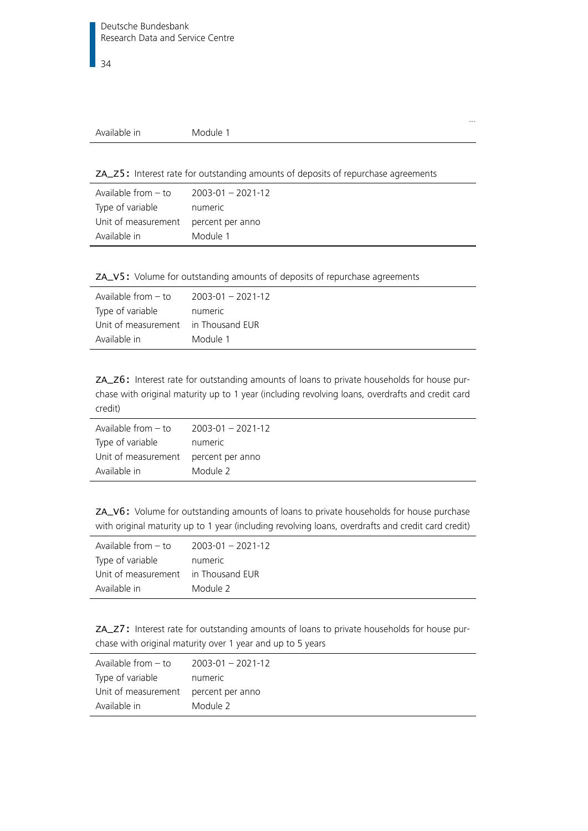|--|--|

…

<span id="page-33-0"></span>ZA\_Z5: Interest rate for outstanding amounts of deposits of repurchase agreements

| Available from $-$ to | $2003 - 01 - 2021 - 12$ |
|-----------------------|-------------------------|
| Type of variable      | numeric                 |
| Unit of measurement   | percent per anno        |
| Available in          | Module 1                |

<span id="page-33-1"></span>ZA\_V5: Volume for outstanding amounts of deposits of repurchase agreements

| Available from $-$ to               | 2003-01 - 2021-12 |
|-------------------------------------|-------------------|
| Type of variable                    | numeric           |
| Unit of measurement in Thousand EUR |                   |
| Available in                        | Module 1          |

<span id="page-33-2"></span>ZA\_Z6: Interest rate for outstanding amounts of loans to private households for house purchase with original maturity up to 1 year (including revolving loans, overdrafts and credit card credit)

| Available from $-$ to | $2003 - 01 - 2021 - 12$ |
|-----------------------|-------------------------|
| Type of variable      | numeric                 |
| Unit of measurement   | percent per anno        |
| Available in          | Module 2                |

<span id="page-33-3"></span>ZA\_V6: Volume for outstanding amounts of loans to private households for house purchase with original maturity up to 1 year (including revolving loans, overdrafts and credit card credit)

| Available from – to                 | $2003 - 01 - 2021 - 12$ |
|-------------------------------------|-------------------------|
| Type of variable                    | numeric                 |
| Unit of measurement in Thousand EUR |                         |
| Available in                        | Module 2                |

<span id="page-33-4"></span>ZA\_Z7: Interest rate for outstanding amounts of loans to private households for house purchase with original maturity over 1 year and up to 5 years

| Available from $-$ to                | $2003 - 01 - 2021 - 12$ |
|--------------------------------------|-------------------------|
| Type of variable                     | numeric                 |
| Unit of measurement percent per anno |                         |
| Available in                         | Module 2                |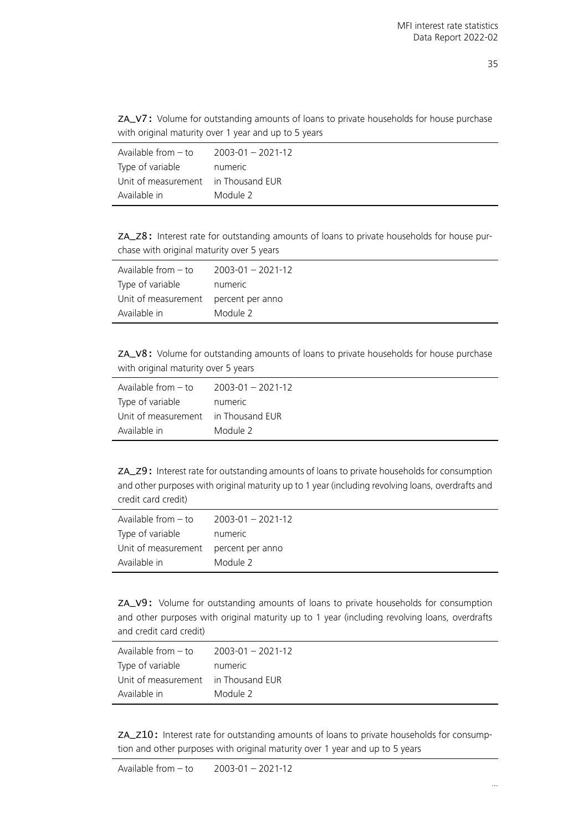<span id="page-34-0"></span>ZA\_V7: Volume for outstanding amounts of loans to private households for house purchase with original maturity over 1 year and up to 5 years

| Available from $-$ to               | $2003 - 01 - 2021 - 12$ |
|-------------------------------------|-------------------------|
| Type of variable                    | numeric                 |
| Unit of measurement in Thousand EUR |                         |
| Available in                        | Module 2                |

<span id="page-34-1"></span>ZA\_Z8: Interest rate for outstanding amounts of loans to private households for house purchase with original maturity over 5 years

| Available from – to                  | 2003-01 - 2021-12 |
|--------------------------------------|-------------------|
| Type of variable                     | numeric           |
| Unit of measurement percent per anno |                   |
| Available in                         | Module 2          |

<span id="page-34-2"></span>ZA\_V8: Volume for outstanding amounts of loans to private households for house purchase with original maturity over 5 years

| Available from - to                 | $2003 - 01 - 2021 - 12$ |
|-------------------------------------|-------------------------|
| Type of variable                    | numeric                 |
| Unit of measurement in Thousand EUR |                         |
| Available in                        | Module 2                |

<span id="page-34-3"></span>ZA\_Z9: Interest rate for outstanding amounts of loans to private households for consumption and other purposes with original maturity up to 1 year (including revolving loans, overdrafts and credit card credit)

| Available from $-$ to | $2003 - 01 - 2021 - 12$ |
|-----------------------|-------------------------|
| Type of variable      | numeric                 |
| Unit of measurement   | percent per anno        |
| Available in          | Module 2                |

<span id="page-34-4"></span>ZA\_V9: Volume for outstanding amounts of loans to private households for consumption and other purposes with original maturity up to 1 year (including revolving loans, overdrafts and credit card credit)

| Available from $-$ to               | $2003 - 01 - 2021 - 12$ |
|-------------------------------------|-------------------------|
| Type of variable                    | numeric                 |
| Unit of measurement in Thousand EUR |                         |
| Available in                        | Module 2                |

<span id="page-34-5"></span>ZA\_Z10: Interest rate for outstanding amounts of loans to private households for consumption and other purposes with original maturity over 1 year and up to 5 years

Available from – to 2003-01 – 2021-12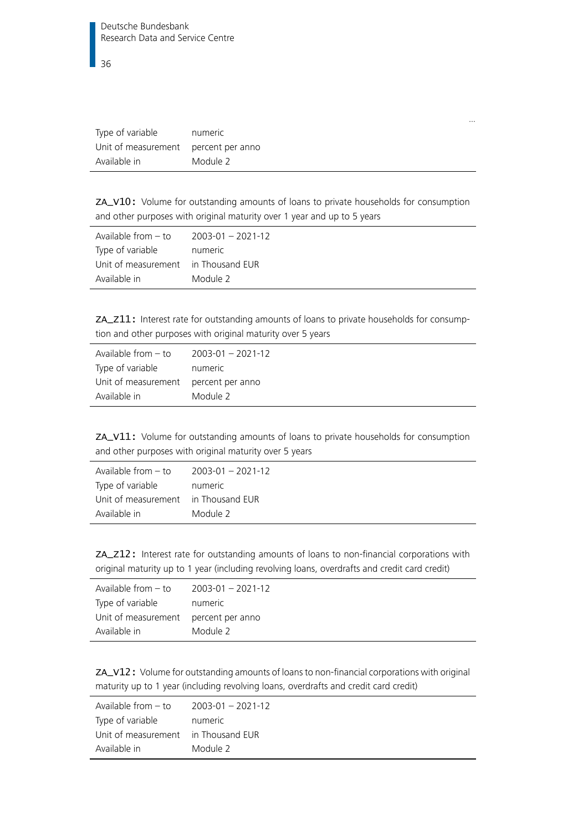| Type of variable                     | numeric  |
|--------------------------------------|----------|
| Unit of measurement percent per anno |          |
| Available in                         | Module 2 |

<span id="page-35-0"></span>ZA\_V10: Volume for outstanding amounts of loans to private households for consumption and other purposes with original maturity over 1 year and up to 5 years

…

| Available from – to                 | $2003 - 01 - 2021 - 12$ |
|-------------------------------------|-------------------------|
| Type of variable                    | numeric                 |
| Unit of measurement in Thousand EUR |                         |
| Available in                        | Module 2                |

<span id="page-35-1"></span>ZA\_Z11: Interest rate for outstanding amounts of loans to private households for consumption and other purposes with original maturity over 5 years

| Available from $-$ to                | $2003 - 01 - 2021 - 12$ |
|--------------------------------------|-------------------------|
| Type of variable                     | numeric                 |
| Unit of measurement percent per anno |                         |
| Available in                         | Module 2                |

<span id="page-35-2"></span>ZA\_V11: Volume for outstanding amounts of loans to private households for consumption and other purposes with original maturity over 5 years

| Available from $-$ to               | $2003 - 01 - 2021 - 12$ |
|-------------------------------------|-------------------------|
| Type of variable                    | numeric                 |
| Unit of measurement in Thousand EUR |                         |
| Available in                        | Module 2                |

<span id="page-35-3"></span>ZA\_Z12: Interest rate for outstanding amounts of loans to non-financial corporations with original maturity up to 1 year (including revolving loans, overdrafts and credit card credit)

| Available from $-$ to                | $2003 - 01 - 2021 - 12$ |
|--------------------------------------|-------------------------|
| Type of variable                     | numeric                 |
| Unit of measurement percent per anno |                         |
| Available in                         | Module 2                |

<span id="page-35-4"></span>ZA\_V12: Volume for outstanding amounts of loans to non-financial corporations with original maturity up to 1 year (including revolving loans, overdrafts and credit card credit)

| Available from $-$ to               | $2003 - 01 - 2021 - 12$ |
|-------------------------------------|-------------------------|
| Type of variable                    | numeric                 |
| Unit of measurement in Thousand EUR |                         |
| Available in                        | Module 2                |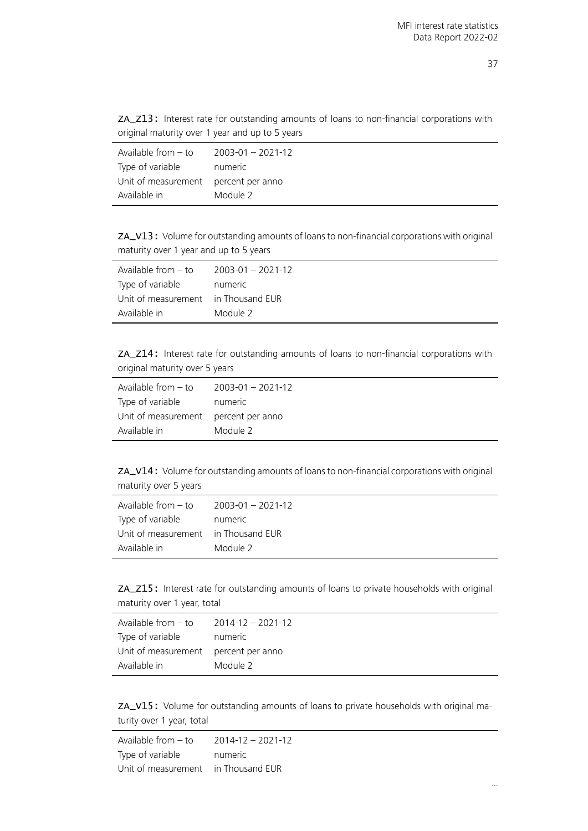| ZA_Z13: Interest rate for outstanding amounts of loans to non-financial corporations with |  |  |  |  |
|-------------------------------------------------------------------------------------------|--|--|--|--|
| original maturity over 1 year and up to 5 years                                           |  |  |  |  |

| Available from $-$ to                | $2003 - 01 - 2021 - 12$ |
|--------------------------------------|-------------------------|
| Type of variable                     | numeric                 |
| Unit of measurement percent per anno |                         |
| Available in                         | Module 2                |

ZA\_V13: Volume for outstanding amounts of loans to non-financial corporations with original maturity over 1 year and up to 5 years

| Available from – to                 | 2003-01 - 2021-12 |
|-------------------------------------|-------------------|
| Type of variable                    | numeric           |
| Unit of measurement in Thousand EUR |                   |
| Available in                        | Module 2          |

ZA\_Z14: Interest rate for outstanding amounts of loans to non-financial corporations with original maturity over 5 years

| Available from $-$ to                | $2003 - 01 - 2021 - 12$ |
|--------------------------------------|-------------------------|
| Type of variable                     | numeric                 |
| Unit of measurement percent per anno |                         |
| Available in                         | Module 2                |

ZA\_V14: Volume for outstanding amounts of loans to non-financial corporations with original maturity over 5 years

| Available from – to                 | $2003 - 01 - 2021 - 12$ |
|-------------------------------------|-------------------------|
| Type of variable                    | numeric                 |
| Unit of measurement in Thousand EUR |                         |
| Available in                        | Module 2                |

ZA\_Z15: Interest rate for outstanding amounts of loans to private households with original maturity over 1 year, total

| Available from $-$ to                | $2014 - 12 - 2021 - 12$ |
|--------------------------------------|-------------------------|
| Type of variable                     | numeric                 |
| Unit of measurement percent per anno |                         |
| Available in                         | Module 2                |

ZA\_V15: Volume for outstanding amounts of loans to private households with original maturity over 1 year, total

Available from – to 2014-12 – 2021-12 Type of variable mumeric Unit of measurement in Thousand EUR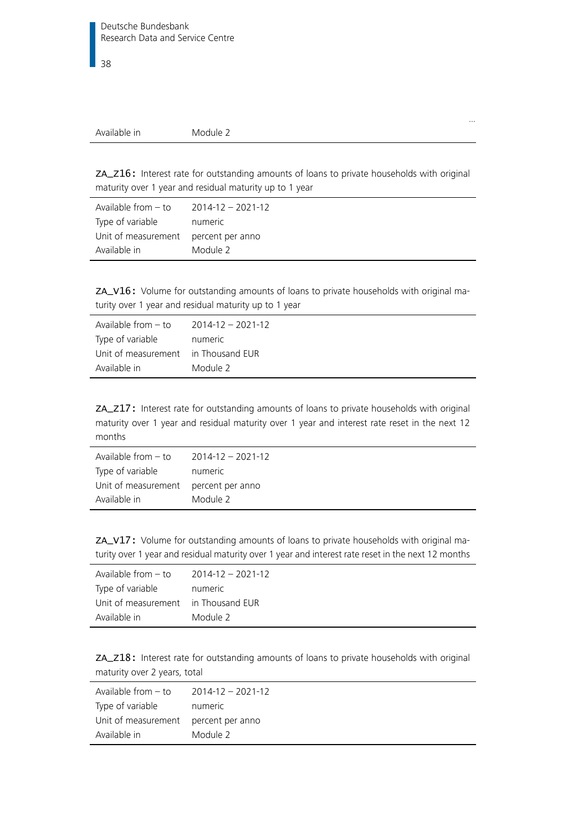…

ZA\_Z16: Interest rate for outstanding amounts of loans to private households with original maturity over 1 year and residual maturity up to 1 year

| Available from $-$ to                | $2014 - 12 - 2021 - 12$ |
|--------------------------------------|-------------------------|
| Type of variable                     | numeric                 |
| Unit of measurement percent per anno |                         |
| Available in                         | Module 2                |

ZA\_V16: Volume for outstanding amounts of loans to private households with original maturity over 1 year and residual maturity up to 1 year

| Available from – to                 | 2014-12 - 2021-12 |
|-------------------------------------|-------------------|
| Type of variable                    | numeric           |
| Unit of measurement in Thousand EUR |                   |
| Available in                        | Module 2          |

ZA\_Z17: Interest rate for outstanding amounts of loans to private households with original maturity over 1 year and residual maturity over 1 year and interest rate reset in the next 12 months

| Available from $-$ to                | $2014 - 12 - 2021 - 12$ |
|--------------------------------------|-------------------------|
| Type of variable                     | numeric                 |
| Unit of measurement percent per anno |                         |
| Available in                         | Module 2                |

ZA\_V17: Volume for outstanding amounts of loans to private households with original maturity over 1 year and residual maturity over 1 year and interest rate reset in the next 12 months

| Available from $-$ to               | $2014 - 12 - 2021 - 12$ |
|-------------------------------------|-------------------------|
| Type of variable                    | numeric                 |
| Unit of measurement in Thousand EUR |                         |
| Available in                        | Module 2                |

ZA\_Z18: Interest rate for outstanding amounts of loans to private households with original maturity over 2 years, total

| Available from $-$ to                | $2014 - 12 - 2021 - 12$ |
|--------------------------------------|-------------------------|
| Type of variable                     | numeric                 |
| Unit of measurement percent per anno |                         |
| Available in                         | Module 2                |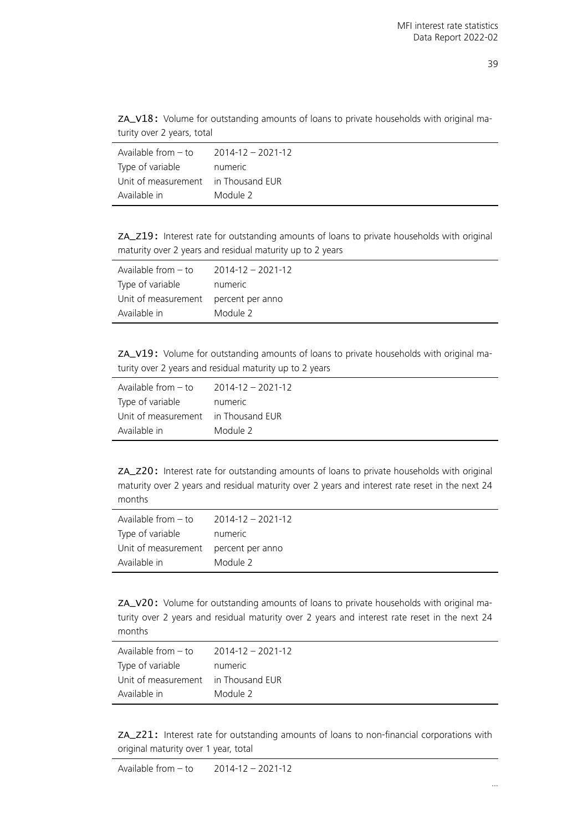ZA\_V18: Volume for outstanding amounts of loans to private households with original maturity over 2 years, total

| Available from $-$ to               | $2014 - 12 - 2021 - 12$ |
|-------------------------------------|-------------------------|
| Type of variable                    | numeric                 |
| Unit of measurement in Thousand EUR |                         |
| Available in                        | Module 2                |

ZA\_Z19: Interest rate for outstanding amounts of loans to private households with original maturity over 2 years and residual maturity up to 2 years

| Available from – to                  | 2014-12 - 2021-12 |
|--------------------------------------|-------------------|
| Type of variable                     | numeric           |
| Unit of measurement percent per anno |                   |
| Available in                         | Module 2          |

ZA\_V19: Volume for outstanding amounts of loans to private households with original maturity over 2 years and residual maturity up to 2 years

| Available from $-$ to               | $2014 - 12 - 2021 - 12$ |
|-------------------------------------|-------------------------|
| Type of variable                    | numeric                 |
| Unit of measurement in Thousand EUR |                         |
| Available in                        | Module 2                |

ZA\_Z20: Interest rate for outstanding amounts of loans to private households with original maturity over 2 years and residual maturity over 2 years and interest rate reset in the next 24 months

| Available from $-$ to | $2014 - 12 - 2021 - 12$ |
|-----------------------|-------------------------|
| Type of variable      | numeric                 |
| Unit of measurement   | percent per anno        |
| Available in          | Module 2                |

ZA\_V20: Volume for outstanding amounts of loans to private households with original maturity over 2 years and residual maturity over 2 years and interest rate reset in the next 24 months

| Available from $-$ to               | $2014 - 12 - 2021 - 12$ |
|-------------------------------------|-------------------------|
| Type of variable                    | numeric                 |
| Unit of measurement in Thousand EUR |                         |
| Available in                        | Module 2                |

ZA\_Z21: Interest rate for outstanding amounts of loans to non-financial corporations with original maturity over 1 year, total

Available from – to 2014-12 – 2021-12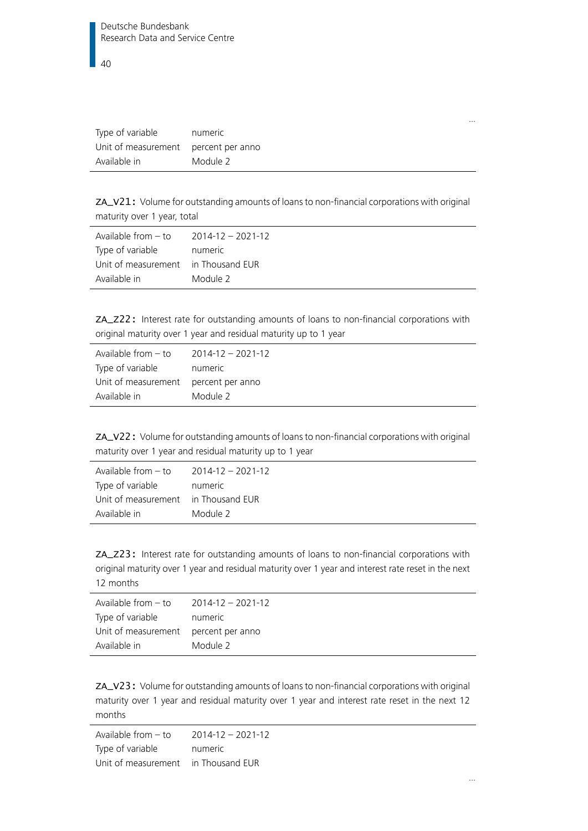| Type of variable    | numeric          |
|---------------------|------------------|
| Unit of measurement | percent per anno |
| Available in        | Module 2         |

ZA\_V21: Volume for outstanding amounts of loans to non-financial corporations with original maturity over 1 year, total

| Available from – to                 | 2014-12 - 2021-12 |
|-------------------------------------|-------------------|
| Type of variable                    | numeric           |
| Unit of measurement in Thousand EUR |                   |
| Available in                        | Module 2          |

ZA\_Z22: Interest rate for outstanding amounts of loans to non-financial corporations with original maturity over 1 year and residual maturity up to 1 year

| Available from $-$ to                | $2014 - 12 - 2021 - 12$ |
|--------------------------------------|-------------------------|
| Type of variable                     | numeric                 |
| Unit of measurement percent per anno |                         |
| Available in                         | Module 2                |

ZA\_V22: Volume for outstanding amounts of loans to non-financial corporations with original maturity over 1 year and residual maturity up to 1 year

| Available from $-$ to               | $2014 - 12 - 2021 - 12$ |
|-------------------------------------|-------------------------|
| Type of variable                    | numeric                 |
| Unit of measurement in Thousand EUR |                         |
| Available in                        | Module 2                |

ZA\_Z23: Interest rate for outstanding amounts of loans to non-financial corporations with original maturity over 1 year and residual maturity over 1 year and interest rate reset in the next 12 months

| Available from $-$ to                | $2014 - 12 - 2021 - 12$ |
|--------------------------------------|-------------------------|
| Type of variable                     | numeric                 |
| Unit of measurement percent per anno |                         |
| Available in                         | Module 2                |

ZA\_V23: Volume for outstanding amounts of loans to non-financial corporations with original maturity over 1 year and residual maturity over 1 year and interest rate reset in the next 12 months

Available from – to 2014-12 – 2021-12 Type of variable mumeric Unit of measurement in Thousand EUR

…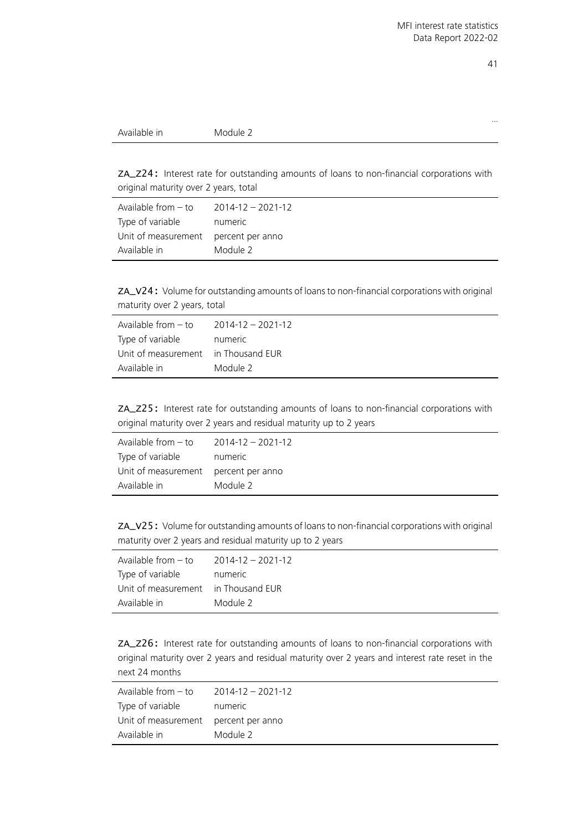…

ZA\_Z24: Interest rate for outstanding amounts of loans to non-financial corporations with original maturity over 2 years, total

| Available from – to                  | 2014-12 - 2021-12 |
|--------------------------------------|-------------------|
| Type of variable                     | numeric           |
| Unit of measurement percent per anno |                   |
| Available in                         | Module 2          |

ZA\_V24: Volume for outstanding amounts of loans to non-financial corporations with original maturity over 2 years, total

| Available from $-$ to               | $2014 - 12 - 2021 - 12$ |
|-------------------------------------|-------------------------|
| Type of variable                    | numeric                 |
| Unit of measurement in Thousand EUR |                         |
| Available in                        | Module 2                |

ZA\_Z25: Interest rate for outstanding amounts of loans to non-financial corporations with original maturity over 2 years and residual maturity up to 2 years

| Available from – to                  | 2014-12 - 2021-12 |
|--------------------------------------|-------------------|
| Type of variable                     | numeric           |
| Unit of measurement percent per anno |                   |
| Available in                         | Module 2          |

ZA\_V25: Volume for outstanding amounts of loans to non-financial corporations with original maturity over 2 years and residual maturity up to 2 years

| Available from – to                 | $2014 - 12 - 2021 - 12$ |
|-------------------------------------|-------------------------|
| Type of variable                    | numeric                 |
| Unit of measurement in Thousand EUR |                         |
| Available in                        | Module 2                |

ZA\_Z26: Interest rate for outstanding amounts of loans to non-financial corporations with original maturity over 2 years and residual maturity over 2 years and interest rate reset in the next 24 months

| Available from – to                  | $2014 - 12 - 2021 - 12$ |
|--------------------------------------|-------------------------|
| Type of variable                     | numeric                 |
| Unit of measurement percent per anno |                         |
| Available in                         | Module 2                |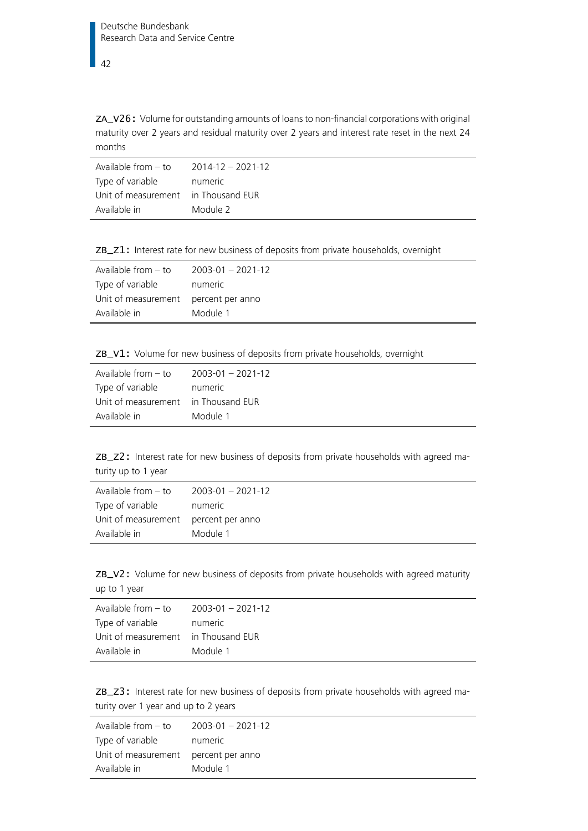## 42

ZA\_V26: Volume for outstanding amounts of loans to non-financial corporations with original maturity over 2 years and residual maturity over 2 years and interest rate reset in the next 24 months

| Available from – to                 | 2014-12 - 2021-12 |
|-------------------------------------|-------------------|
| Type of variable                    | numeric           |
| Unit of measurement in Thousand EUR |                   |
| Available in                        | Module 2          |

ZB\_Z1: Interest rate for new business of deposits from private households, overnight

| Available from $-$ to | $2003 - 01 - 2021 - 12$ |
|-----------------------|-------------------------|
| Type of variable      | numeric                 |
| Unit of measurement   | percent per anno        |
| Available in          | Module 1                |

|  |  |  |  |  |  |  |  |  | ZB_V1: Volume for new business of deposits from private households, overnight |  |
|--|--|--|--|--|--|--|--|--|-------------------------------------------------------------------------------|--|
|--|--|--|--|--|--|--|--|--|-------------------------------------------------------------------------------|--|

| Available from $-$ to | $2003 - 01 - 2021 - 12$ |
|-----------------------|-------------------------|
| Type of variable      | numeric                 |
| Unit of measurement   | in Thousand EUR         |
| Available in          | Module 1                |

ZB\_Z2: Interest rate for new business of deposits from private households with agreed maturity up to 1 year

| Available from $-$ to                | $2003 - 01 - 2021 - 12$ |
|--------------------------------------|-------------------------|
| Type of variable                     | numeric                 |
| Unit of measurement percent per anno |                         |
| Available in                         | Module 1                |

ZB\_V2: Volume for new business of deposits from private households with agreed maturity up to 1 year

| Available from $-$ to               | $2003 - 01 - 2021 - 12$ |
|-------------------------------------|-------------------------|
| Type of variable                    | numeric                 |
| Unit of measurement in Thousand EUR |                         |
| Available in                        | Module 1                |

ZB\_Z3: Interest rate for new business of deposits from private households with agreed maturity over 1 year and up to 2 years

| Available from $-$ to                | 2003-01 - 2021-12 |
|--------------------------------------|-------------------|
| Type of variable                     | numeric           |
| Unit of measurement percent per anno |                   |
| Available in                         | Module 1          |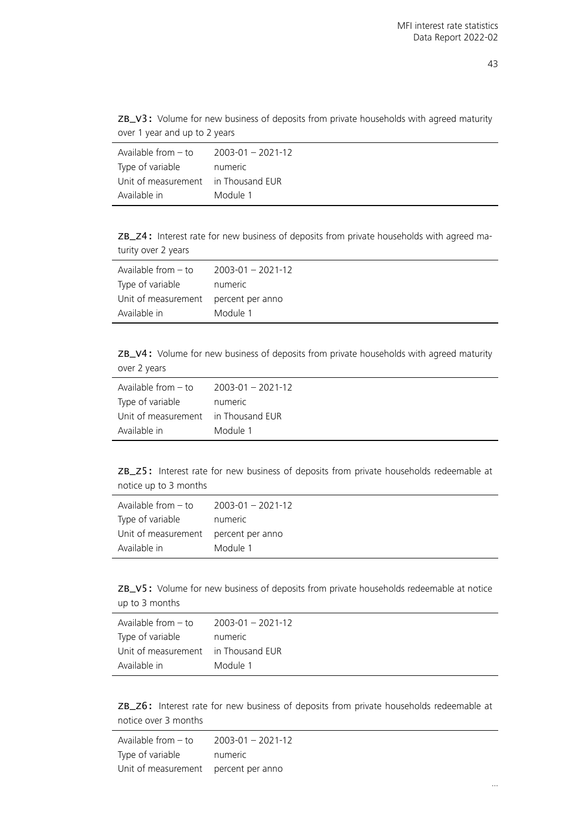|                               |  |  |  | ZB_V3: Volume for new business of deposits from private households with agreed maturity |  |  |
|-------------------------------|--|--|--|-----------------------------------------------------------------------------------------|--|--|
| over 1 year and up to 2 years |  |  |  |                                                                                         |  |  |

| Available from $-$ to               | $2003 - 01 - 2021 - 12$ |
|-------------------------------------|-------------------------|
| Type of variable                    | numeric                 |
| Unit of measurement in Thousand EUR |                         |
| Available in                        | Module 1                |

ZB\_Z4: Interest rate for new business of deposits from private households with agreed maturity over 2 years

| Available from – to                  | $2003 - 01 - 2021 - 12$ |
|--------------------------------------|-------------------------|
| Type of variable                     | numeric                 |
| Unit of measurement percent per anno |                         |
| Available in                         | Module 1                |

ZB\_V4: Volume for new business of deposits from private households with agreed maturity over 2 years

| Available from $-$ to | $2003 - 01 - 2021 - 12$ |
|-----------------------|-------------------------|
| Type of variable      | numeric                 |
| Unit of measurement   | in Thousand EUR         |
| Available in          | Module 1                |

ZB\_Z5: Interest rate for new business of deposits from private households redeemable at notice up to 3 months

| Available from $-$ to                | 2003-01 - 2021-12 |
|--------------------------------------|-------------------|
| Type of variable                     | numeric           |
| Unit of measurement percent per anno |                   |
| Available in                         | Module 1          |

ZB\_V5: Volume for new business of deposits from private households redeemable at notice up to 3 months

| Available from – to                 | $2003 - 01 - 2021 - 12$ |
|-------------------------------------|-------------------------|
| Type of variable                    | numeric                 |
| Unit of measurement in Thousand EUR |                         |
| Available in                        | Module 1                |

ZB\_Z6: Interest rate for new business of deposits from private households redeemable at notice over 3 months

| Available from $-$ to | $2003 - 01 - 2021 - 12$ |
|-----------------------|-------------------------|
| Type of variable      | numeric                 |
| Unit of measurement   | percent per anno        |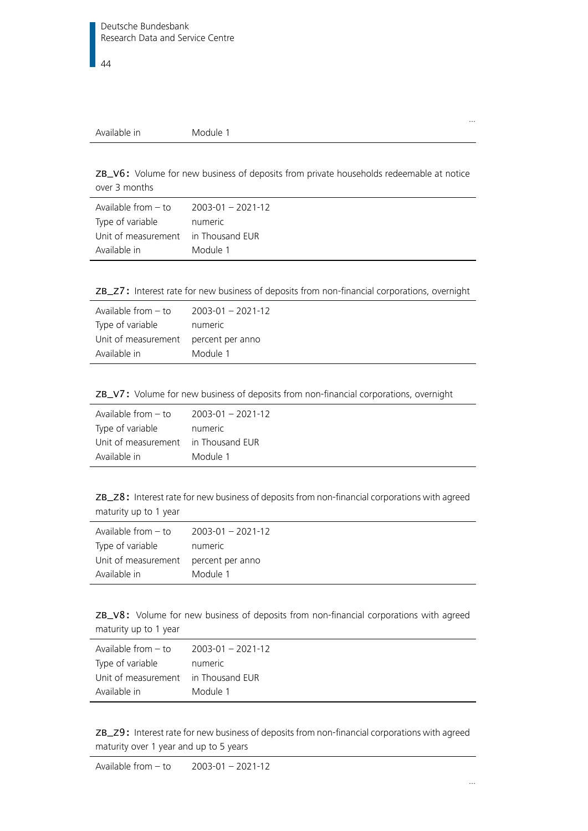| Available in | Module 1 |  |  |
|--------------|----------|--|--|
|--------------|----------|--|--|

ZB\_V6: Volume for new business of deposits from private households redeemable at notice over 3 months

| Available from – to                 | 2003-01 - 2021-12 |
|-------------------------------------|-------------------|
| Type of variable                    | numeric           |
| Unit of measurement in Thousand EUR |                   |
| Available in                        | Module 1          |

ZB\_Z7: Interest rate for new business of deposits from non-financial corporations, overnight

| Available from $-$ to | $2003 - 01 - 2021 - 12$ |
|-----------------------|-------------------------|
| Type of variable      | numeric                 |
| Unit of measurement   | percent per anno        |
| Available in          | Module 1                |

ZB\_V7: Volume for new business of deposits from non-financial corporations, overnight

| Available from – to                 | 2003-01 - 2021-12 |
|-------------------------------------|-------------------|
| Type of variable                    | numeric           |
| Unit of measurement in Thousand EUR |                   |
| Available in                        | Module 1          |

ZB\_Z8: Interest rate for new business of deposits from non-financial corporations with agreed maturity up to 1 year

| Available from $-$ to | $2003 - 01 - 2021 - 12$ |
|-----------------------|-------------------------|
| Type of variable      | numeric                 |
| Unit of measurement   | percent per anno        |
| Available in          | Module 1                |

ZB\_V8: Volume for new business of deposits from non-financial corporations with agreed maturity up to 1 year

| Available from $-$ to               | $2003 - 01 - 2021 - 12$ |
|-------------------------------------|-------------------------|
| Type of variable                    | numeric                 |
| Unit of measurement in Thousand EUR |                         |
| Available in                        | Module 1                |

ZB\_Z9: Interest rate for new business of deposits from non-financial corporations with agreed maturity over 1 year and up to 5 years

Available from – to 2003-01 – 2021-12

…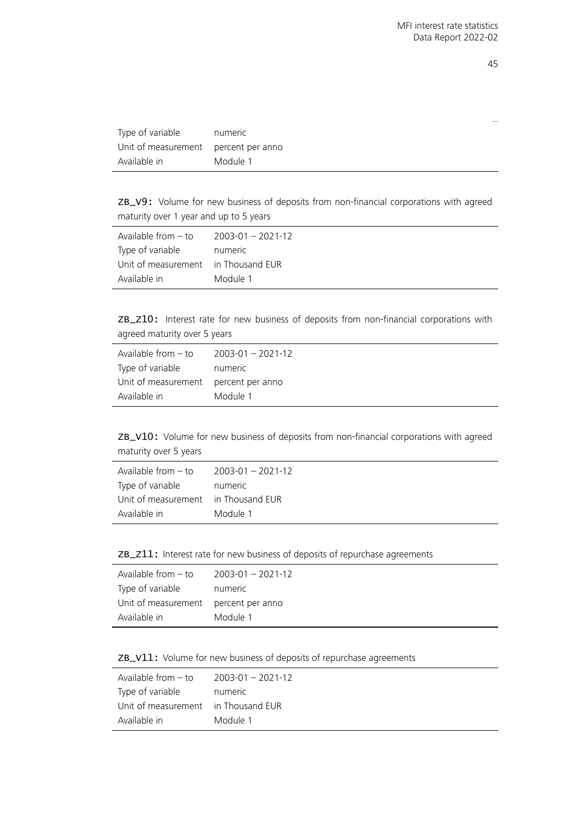| Type of variable                     | numeric  |
|--------------------------------------|----------|
| Unit of measurement percent per anno |          |
| Available in                         | Module 1 |

ZB\_V9: Volume for new business of deposits from non-financial corporations with agreed maturity over 1 year and up to 5 years

| Available from $-$ to               | $2003 - 01 - 2021 - 12$ |
|-------------------------------------|-------------------------|
| Type of variable                    | numeric                 |
| Unit of measurement in Thousand EUR |                         |
| Available in                        | Module 1                |

ZB\_Z10: Interest rate for new business of deposits from non-financial corporations with agreed maturity over 5 years

| Available from $-$ to                | $2003 - 01 - 2021 - 12$ |
|--------------------------------------|-------------------------|
| Type of variable                     | numeric                 |
| Unit of measurement percent per anno |                         |
| Available in                         | Module 1                |

ZB\_V10: Volume for new business of deposits from non-financial corporations with agreed maturity over 5 years

| Available from $-$ to               | $2003 - 01 - 2021 - 12$ |
|-------------------------------------|-------------------------|
| Type of variable                    | numeric                 |
| Unit of measurement in Thousand EUR |                         |
| Available in                        | Module 1                |

ZB\_Z11: Interest rate for new business of deposits of repurchase agreements

| Available from $-$ to                | $2003 - 01 - 2021 - 12$ |
|--------------------------------------|-------------------------|
| Type of variable                     | numeric                 |
| Unit of measurement percent per anno |                         |
| Available in                         | Module 1                |

ZB\_V11: Volume for new business of deposits of repurchase agreements

| Available from $-$ to               | $2003 - 01 - 2021 - 12$ |
|-------------------------------------|-------------------------|
| Type of variable                    | numeric                 |
| Unit of measurement in Thousand EUR |                         |
| Available in                        | Module 1                |

…

 $\overline{\phantom{a}}$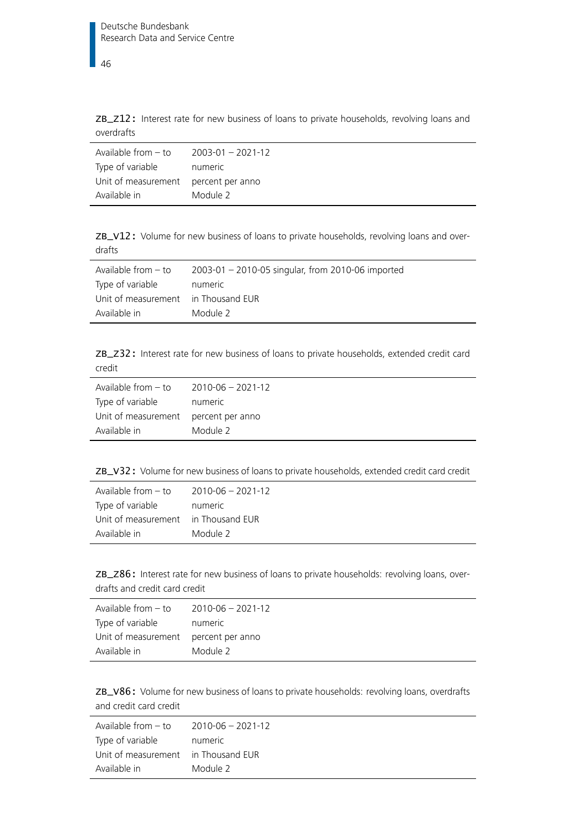46

ZB\_Z12: Interest rate for new business of loans to private households, revolving loans and overdrafts

| Available from $-$ to | $2003 - 01 - 2021 - 12$ |
|-----------------------|-------------------------|
| Type of variable      | numeric                 |
| Unit of measurement   | percent per anno        |
| Available in          | Module 2                |

ZB\_V12: Volume for new business of loans to private households, revolving loans and overdrafts

| Available from $-$ to               | 2003-01 - 2010-05 singular, from 2010-06 imported |
|-------------------------------------|---------------------------------------------------|
| Type of variable                    | numeric                                           |
| Unit of measurement in Thousand EUR |                                                   |
| Available in                        | Module 2                                          |

ZB\_Z32: Interest rate for new business of loans to private households, extended credit card credit

| Available from $-$ to                | $2010 - 06 - 2021 - 12$ |
|--------------------------------------|-------------------------|
| Type of variable                     | numeric                 |
| Unit of measurement percent per anno |                         |
| Available in                         | Module 2                |

ZB\_V32: Volume for new business of loans to private households, extended credit card credit

| Available from $-$ to               | 2010-06 - 2021-12 |
|-------------------------------------|-------------------|
| Type of variable                    | numeric           |
| Unit of measurement in Thousand EUR |                   |
| Available in                        | Module 2          |

ZB\_Z86: Interest rate for new business of loans to private households: revolving loans, overdrafts and credit card credit

| Available from $-$ to                | 2010-06 - 2021-12 |
|--------------------------------------|-------------------|
| Type of variable                     | numeric           |
| Unit of measurement percent per anno |                   |
| Available in                         | Module 2          |

ZB\_V86: Volume for new business of loans to private households: revolving loans, overdrafts and credit card credit

| Available from – to                 | 2010-06 - 2021-12 |
|-------------------------------------|-------------------|
| Type of variable                    | numeric           |
| Unit of measurement in Thousand EUR |                   |
| Available in                        | Module 2          |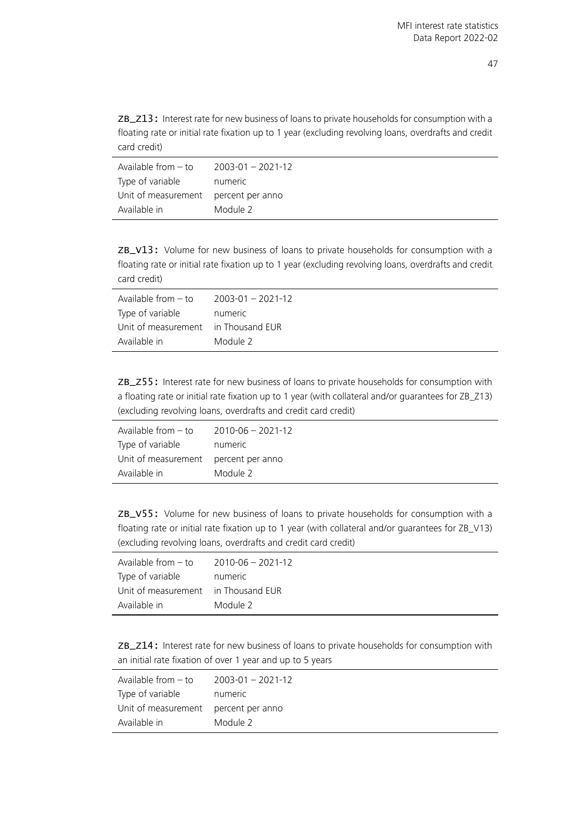ZB\_Z13: Interest rate for new business of loans to private households for consumption with a floating rate or initial rate fixation up to 1 year (excluding revolving loans, overdrafts and credit card credit)

| Available from – to                  | $2003 - 01 - 2021 - 12$ |
|--------------------------------------|-------------------------|
| Type of variable                     | numeric                 |
| Unit of measurement percent per anno |                         |
| Available in                         | Module 2                |

ZB\_V13: Volume for new business of loans to private households for consumption with a floating rate or initial rate fixation up to 1 year (excluding revolving loans, overdrafts and credit card credit)

| Available from $-$ to               | $2003 - 01 - 2021 - 12$ |
|-------------------------------------|-------------------------|
| Type of variable                    | numeric                 |
| Unit of measurement in Thousand EUR |                         |
| Available in                        | Module 2                |

ZB\_Z55: Interest rate for new business of loans to private households for consumption with a floating rate or initial rate fixation up to 1 year (with collateral and/or guarantees for ZB\_Z13) (excluding revolving loans, overdrafts and credit card credit)

| Available from - to                  | $2010 - 06 - 2021 - 12$ |
|--------------------------------------|-------------------------|
| Type of variable                     | numeric                 |
| Unit of measurement percent per anno |                         |
| Available in                         | Module 2                |

ZB\_V55: Volume for new business of loans to private households for consumption with a floating rate or initial rate fixation up to 1 year (with collateral and/or guarantees for ZB\_V13) (excluding revolving loans, overdrafts and credit card credit)

| Available from $-$ to               | 2010-06 - 2021-12 |
|-------------------------------------|-------------------|
| Type of variable                    | numeric           |
| Unit of measurement in Thousand EUR |                   |
| Available in                        | Module 2          |

ZB\_Z14: Interest rate for new business of loans to private households for consumption with an initial rate fixation of over 1 year and up to 5 years

| Available from $-$ to                | $2003 - 01 - 2021 - 12$ |
|--------------------------------------|-------------------------|
| Type of variable                     | numeric                 |
| Unit of measurement percent per anno |                         |
| Available in                         | Module 2                |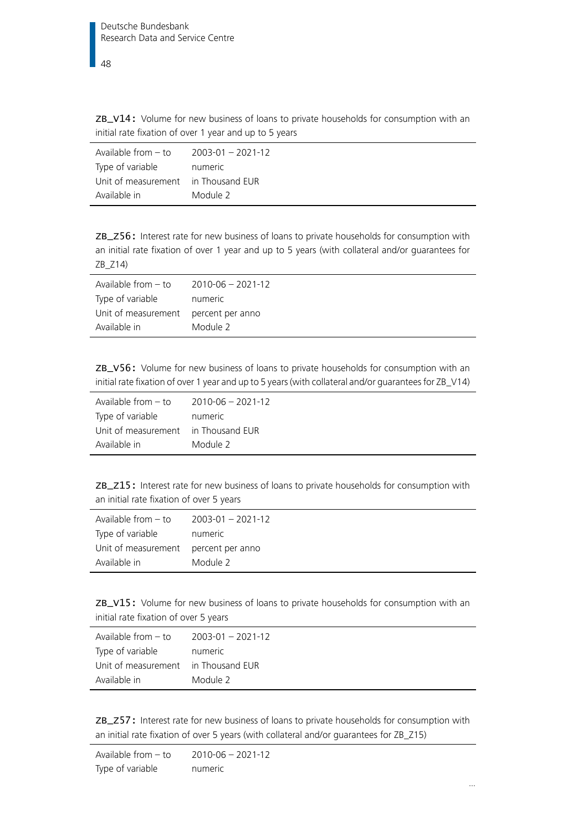ZB\_V14: Volume for new business of loans to private households for consumption with an initial rate fixation of over 1 year and up to 5 years

| Available from $-$ to               | $2003 - 01 - 2021 - 12$ |
|-------------------------------------|-------------------------|
| Type of variable                    | numeric                 |
| Unit of measurement in Thousand EUR |                         |
| Available in                        | Module 2                |

ZB\_Z56: Interest rate for new business of loans to private households for consumption with an initial rate fixation of over 1 year and up to 5 years (with collateral and/or guarantees for ZB\_Z14)

| Available from $-$ to                | 2010-06 - 2021-12 |
|--------------------------------------|-------------------|
| Type of variable                     | numeric           |
| Unit of measurement percent per anno |                   |
| Available in                         | Module 2          |

ZB\_V56: Volume for new business of loans to private households for consumption with an initial rate fixation of over 1 year and up to 5 years (with collateral and/or guarantees for ZB\_V14)

| Available from $-$ to | $2010 - 06 - 2021 - 12$ |
|-----------------------|-------------------------|
| Type of variable      | numeric                 |
| Unit of measurement   | in Thousand EUR         |
| Available in          | Module 2                |

ZB\_Z15: Interest rate for new business of loans to private households for consumption with an initial rate fixation of over 5 years

| Available from $-$ to | $2003 - 01 - 2021 - 12$ |
|-----------------------|-------------------------|
| Type of variable      | numeric                 |
| Unit of measurement   | percent per anno        |
| Available in          | Module 2                |

ZB\_V15: Volume for new business of loans to private households for consumption with an initial rate fixation of over 5 years

| Available from – to                 | $2003 - 01 - 2021 - 12$ |
|-------------------------------------|-------------------------|
| Type of variable                    | numeric                 |
| Unit of measurement in Thousand EUR |                         |
| Available in                        | Module 2                |

ZB\_Z57: Interest rate for new business of loans to private households for consumption with an initial rate fixation of over 5 years (with collateral and/or guarantees for ZB\_Z15)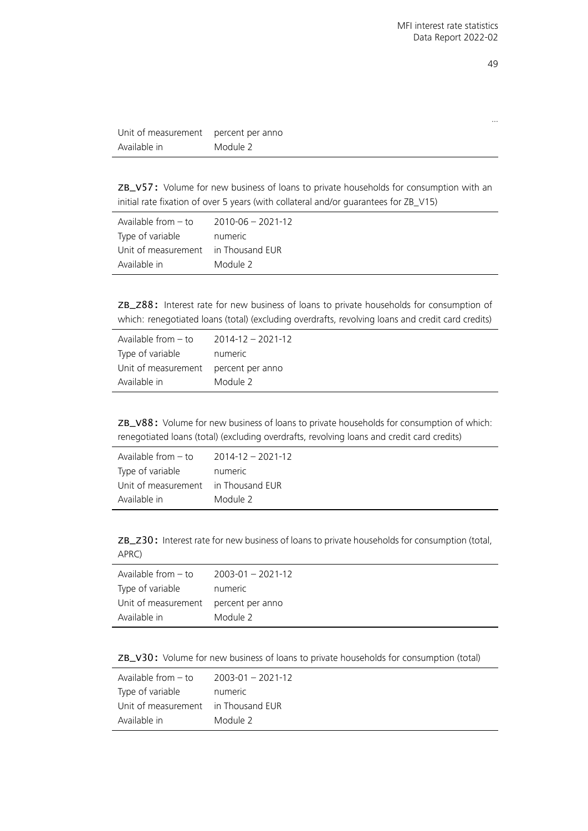| v<br>× |
|--------|
|        |

…

| Unit of measurement | percent per anno |
|---------------------|------------------|
| Available in        | Module 2         |

ZB\_V57: Volume for new business of loans to private households for consumption with an initial rate fixation of over 5 years (with collateral and/or guarantees for ZB\_V15)

| Available from – to                 | 2010-06 - 2021-12 |
|-------------------------------------|-------------------|
| Type of variable                    | numeric           |
| Unit of measurement in Thousand EUR |                   |
| Available in                        | Module 2          |

ZB\_Z88: Interest rate for new business of loans to private households for consumption of which: renegotiated loans (total) (excluding overdrafts, revolving loans and credit card credits)

| Available from $-$ to                | $2014 - 12 - 2021 - 12$ |
|--------------------------------------|-------------------------|
| Type of variable                     | numeric                 |
| Unit of measurement percent per anno |                         |
| Available in                         | Module 2                |
|                                      |                         |

ZB\_V88: Volume for new business of loans to private households for consumption of which: renegotiated loans (total) (excluding overdrafts, revolving loans and credit card credits)

| Available from – to                 | $2014 - 12 - 2021 - 12$ |
|-------------------------------------|-------------------------|
| Type of variable                    | numeric                 |
| Unit of measurement in Thousand EUR |                         |
| Available in                        | Module 2                |

ZB\_Z30: Interest rate for new business of loans to private households for consumption (total, APRC)

| Available from $-$ to                | $2003 - 01 - 2021 - 12$ |
|--------------------------------------|-------------------------|
| Type of variable                     | numeric                 |
| Unit of measurement percent per anno |                         |
| Available in                         | Module 2                |
|                                      |                         |

ZB\_V30: Volume for new business of loans to private households for consumption (total)

| Available from $-$ to               | $2003 - 01 - 2021 - 12$ |
|-------------------------------------|-------------------------|
| Type of variable                    | numeric                 |
| Unit of measurement in Thousand EUR |                         |
| Available in                        | Module 2                |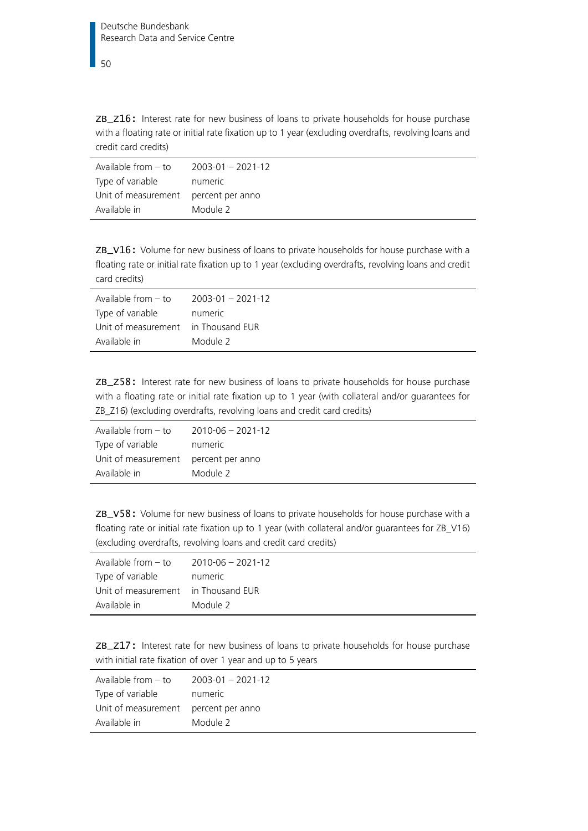ZB\_Z16: Interest rate for new business of loans to private households for house purchase with a floating rate or initial rate fixation up to 1 year (excluding overdrafts, revolving loans and credit card credits)

| Available from – to                  | $2003 - 01 - 2021 - 12$ |
|--------------------------------------|-------------------------|
| Type of variable                     | numeric                 |
| Unit of measurement percent per anno |                         |
| Available in                         | Module 2                |

ZB\_V16: Volume for new business of loans to private households for house purchase with a floating rate or initial rate fixation up to 1 year (excluding overdrafts, revolving loans and credit card credits)

| Available from $-$ to               | $2003 - 01 - 2021 - 12$ |
|-------------------------------------|-------------------------|
| Type of variable                    | numeric                 |
| Unit of measurement in Thousand EUR |                         |
| Available in                        | Module 2                |

ZB\_Z58: Interest rate for new business of loans to private households for house purchase with a floating rate or initial rate fixation up to 1 year (with collateral and/or guarantees for ZB\_Z16) (excluding overdrafts, revolving loans and credit card credits)

| Available from $-$ to                | 2010-06 - 2021-12 |
|--------------------------------------|-------------------|
| Type of variable                     | numeric           |
| Unit of measurement percent per anno |                   |
| Available in                         | Module 2          |

ZB\_V58: Volume for new business of loans to private households for house purchase with a floating rate or initial rate fixation up to 1 year (with collateral and/or guarantees for ZB\_V16) (excluding overdrafts, revolving loans and credit card credits)

| Available from $-$ to               | 2010-06 - 2021-12 |
|-------------------------------------|-------------------|
| Type of variable                    | numeric           |
| Unit of measurement in Thousand EUR |                   |
| Available in                        | Module 2          |

ZB\_Z17: Interest rate for new business of loans to private households for house purchase with initial rate fixation of over 1 year and up to 5 years

| Available from $-$ to                | $2003 - 01 - 2021 - 12$ |
|--------------------------------------|-------------------------|
| Type of variable                     | numeric                 |
| Unit of measurement percent per anno |                         |
| Available in                         | Module 2                |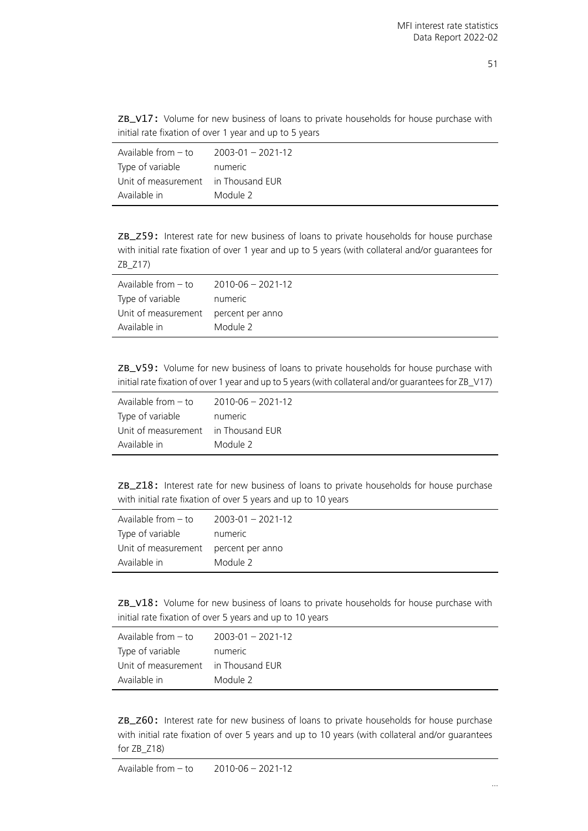ZB\_V17: Volume for new business of loans to private households for house purchase with initial rate fixation of over 1 year and up to 5 years

| $2003 - 01 - 2021 - 12$             |
|-------------------------------------|
| numeric                             |
| Unit of measurement in Thousand EUR |
| Module 2                            |
|                                     |

ZB\_Z59: Interest rate for new business of loans to private households for house purchase with initial rate fixation of over 1 year and up to 5 years (with collateral and/or guarantees for ZB\_Z17)

| Available from $-$ to                | $2010 - 06 - 2021 - 12$ |
|--------------------------------------|-------------------------|
| Type of variable                     | numeric                 |
| Unit of measurement percent per anno |                         |
| Available in                         | Module 2                |

ZB\_V59: Volume for new business of loans to private households for house purchase with initial rate fixation of over 1 year and up to 5 years (with collateral and/or guarantees for ZB\_V17)

| Available from $-$ to | $2010 - 06 - 2021 - 12$ |
|-----------------------|-------------------------|
| Type of variable      | numeric                 |
| Unit of measurement   | in Thousand EUR         |
| Available in          | Module 2                |

ZB\_Z18: Interest rate for new business of loans to private households for house purchase with initial rate fixation of over 5 years and up to 10 years

| Available from $-$ to | $2003 - 01 - 2021 - 12$ |
|-----------------------|-------------------------|
| Type of variable      | numeric                 |
| Unit of measurement   | percent per anno        |
| Available in          | Module 2                |

ZB\_V18: Volume for new business of loans to private households for house purchase with initial rate fixation of over 5 years and up to 10 years

| Available from $-$ to               | 2003-01 - 2021-12 |
|-------------------------------------|-------------------|
| Type of variable                    | numeric           |
| Unit of measurement in Thousand EUR |                   |
| Available in                        | Module 2          |

ZB\_Z60: Interest rate for new business of loans to private households for house purchase with initial rate fixation of over 5 years and up to 10 years (with collateral and/or guarantees for ZB\_Z18)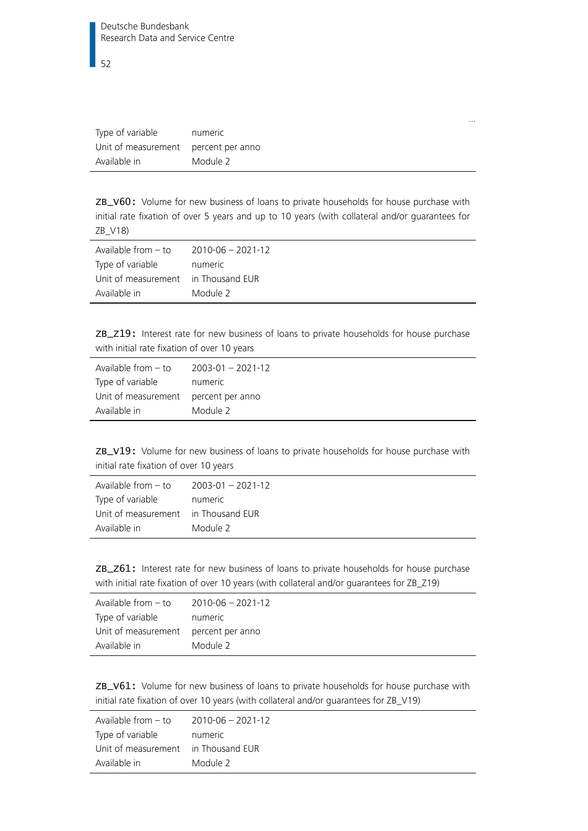| Type of variable                     | numeric  |
|--------------------------------------|----------|
| Unit of measurement percent per anno |          |
| Available in                         | Module 2 |

ZB\_V60: Volume for new business of loans to private households for house purchase with initial rate fixation of over 5 years and up to 10 years (with collateral and/or guarantees for ZB\_V18)

| Available from $-$ to               | 2010-06 - 2021-12 |
|-------------------------------------|-------------------|
| Type of variable                    | numeric           |
| Unit of measurement in Thousand EUR |                   |
| Available in                        | Module 2          |

ZB\_Z19: Interest rate for new business of loans to private households for house purchase with initial rate fixation of over 10 years

| Available from $-$ to                | $2003 - 01 - 2021 - 12$ |
|--------------------------------------|-------------------------|
| Type of variable                     | numeric                 |
| Unit of measurement percent per anno |                         |
| Available in                         | Module 2                |

ZB\_V19: Volume for new business of loans to private households for house purchase with initial rate fixation of over 10 years

| Available from $-$ to               | $2003 - 01 - 2021 - 12$ |
|-------------------------------------|-------------------------|
| Type of variable                    | numeric                 |
| Unit of measurement in Thousand EUR |                         |
| Available in                        | Module 2                |

ZB\_Z61: Interest rate for new business of loans to private households for house purchase with initial rate fixation of over 10 years (with collateral and/or guarantees for ZB\_Z19)

| Available from $-$ to                | 2010-06 - 2021-12 |
|--------------------------------------|-------------------|
| Type of variable                     | numeric           |
| Unit of measurement percent per anno |                   |
| Available in                         | Module 2          |

ZB\_V61: Volume for new business of loans to private households for house purchase with initial rate fixation of over 10 years (with collateral and/or guarantees for ZB\_V19)

| Available from $-$ to               | 2010-06 - 2021-12 |
|-------------------------------------|-------------------|
| Type of variable                    | numeric           |
| Unit of measurement in Thousand EUR |                   |
| Available in                        | Module 2          |

…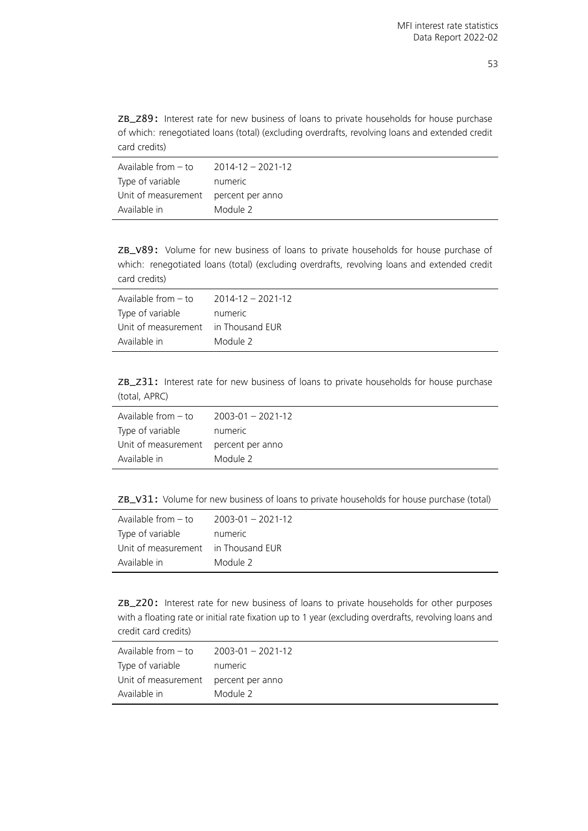ZB\_Z89: Interest rate for new business of loans to private households for house purchase of which: renegotiated loans (total) (excluding overdrafts, revolving loans and extended credit card credits)

| Available from – to                  | $2014 - 12 - 2021 - 12$ |
|--------------------------------------|-------------------------|
| Type of variable                     | numeric                 |
| Unit of measurement percent per anno |                         |
| Available in                         | Module 2                |

ZB\_V89: Volume for new business of loans to private households for house purchase of which: renegotiated loans (total) (excluding overdrafts, revolving loans and extended credit card credits)

| Available from - to                 | 2014-12 - 2021-12 |
|-------------------------------------|-------------------|
| Type of variable                    | numeric           |
| Unit of measurement in Thousand EUR |                   |
| Available in                        | Module 2          |

ZB\_Z31: Interest rate for new business of loans to private households for house purchase (total, APRC)

| Available from $-$ to                | $2003 - 01 - 2021 - 12$ |
|--------------------------------------|-------------------------|
| Type of variable                     | numeric                 |
| Unit of measurement percent per anno |                         |
| Available in                         | Module 2                |

ZB\_V31: Volume for new business of loans to private households for house purchase (total)

| Available from - to | $2003 - 01 - 2021 - 12$ |
|---------------------|-------------------------|
| Type of variable    | numeric                 |
| Unit of measurement | in Thousand EUR         |
| Available in        | Module 2                |

ZB\_Z20: Interest rate for new business of loans to private households for other purposes with a floating rate or initial rate fixation up to 1 year (excluding overdrafts, revolving loans and credit card credits)

| Available from $-$ to                | 2003-01 - 2021-12 |
|--------------------------------------|-------------------|
| Type of variable                     | numeric           |
| Unit of measurement percent per anno |                   |
| Available in                         | Module 2          |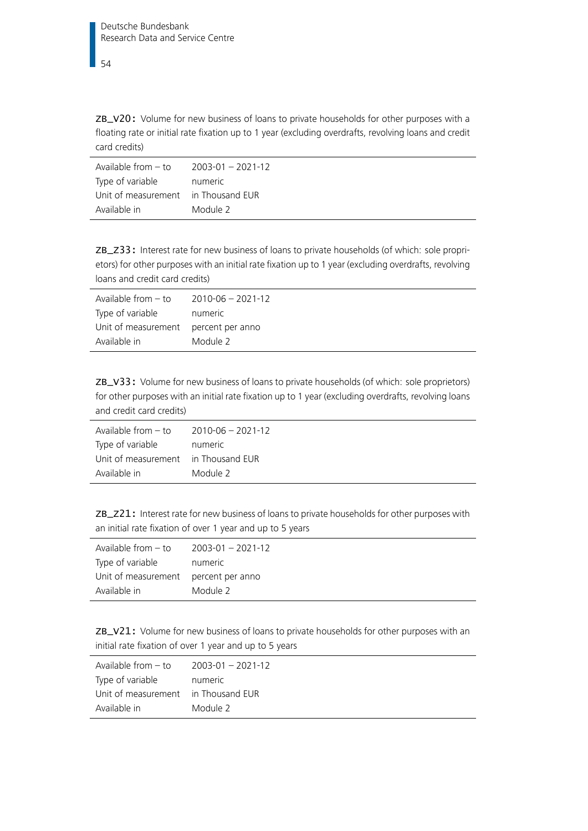ZB\_V20: Volume for new business of loans to private households for other purposes with a floating rate or initial rate fixation up to 1 year (excluding overdrafts, revolving loans and credit card credits)

| Available from - to                 | 2003-01 - 2021-12 |
|-------------------------------------|-------------------|
| Type of variable                    | numeric           |
| Unit of measurement in Thousand EUR |                   |
| Available in                        | Module 2          |

ZB\_Z33: Interest rate for new business of loans to private households (of which: sole proprietors) for other purposes with an initial rate fixation up to 1 year (excluding overdrafts, revolving loans and credit card credits)

| Available from $-$ to                | $2010 - 06 - 2021 - 12$ |
|--------------------------------------|-------------------------|
| Type of variable                     | numeric                 |
| Unit of measurement percent per anno |                         |
| Available in                         | Module 2                |

ZB\_V33: Volume for new business of loans to private households (of which: sole proprietors) for other purposes with an initial rate fixation up to 1 year (excluding overdrafts, revolving loans and credit card credits)

| Available from $-$ to               | 2010-06 - 2021-12 |
|-------------------------------------|-------------------|
| Type of variable                    | numeric           |
| Unit of measurement in Thousand EUR |                   |
| Available in                        | Module 2          |

ZB\_Z21: Interest rate for new business of loans to private households for other purposes with an initial rate fixation of over 1 year and up to 5 years

| Available from - to                  | 2003-01 - 2021-12 |
|--------------------------------------|-------------------|
| Type of variable                     | numeric           |
| Unit of measurement percent per anno |                   |
| Available in                         | Module 2          |

ZB\_V21: Volume for new business of loans to private households for other purposes with an initial rate fixation of over 1 year and up to 5 years

| Available from $-$ to               | $2003 - 01 - 2021 - 12$ |
|-------------------------------------|-------------------------|
| Type of variable                    | numeric                 |
| Unit of measurement in Thousand EUR |                         |
| Available in                        | Module 2                |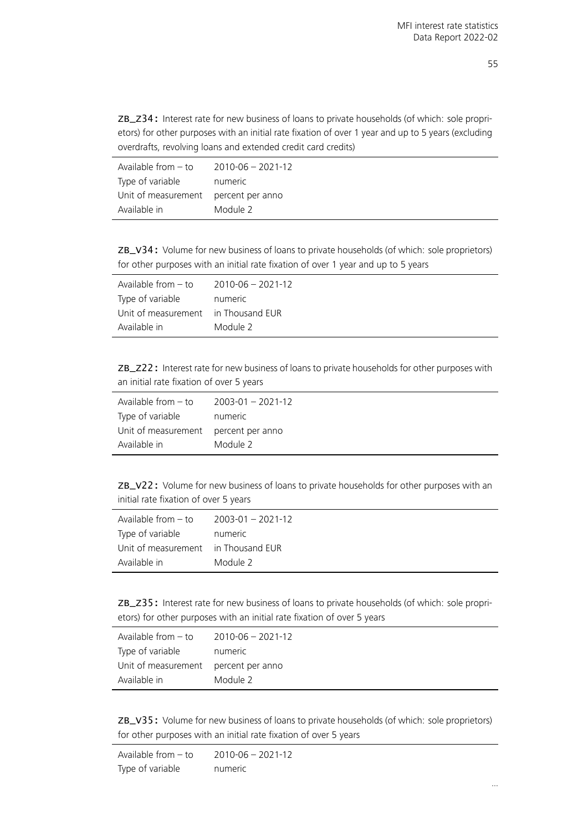ZB\_Z34: Interest rate for new business of loans to private households (of which: sole proprietors) for other purposes with an initial rate fixation of over 1 year and up to 5 years (excluding overdrafts, revolving loans and extended credit card credits)

| Available from – to                  | 2010-06 - 2021-12 |
|--------------------------------------|-------------------|
| Type of variable                     | numeric           |
| Unit of measurement percent per anno |                   |
| Available in                         | Module 2          |

ZB\_V34: Volume for new business of loans to private households (of which: sole proprietors) for other purposes with an initial rate fixation of over 1 year and up to 5 years

| Available from $-$ to | $2010 - 06 - 2021 - 12$ |
|-----------------------|-------------------------|
| Type of variable      | numeric                 |
| Unit of measurement   | in Thousand EUR         |
| Available in          | Module 2                |

ZB\_Z22: Interest rate for new business of loans to private households for other purposes with an initial rate fixation of over 5 years

| Available from $-$ to | $2003 - 01 - 2021 - 12$ |
|-----------------------|-------------------------|
| Type of variable      | numeric                 |
| Unit of measurement   | percent per anno        |
| Available in          | Module 2                |

ZB\_V22: Volume for new business of loans to private households for other purposes with an initial rate fixation of over 5 years

| Available from $-$ to | $2003 - 01 - 2021 - 12$ |
|-----------------------|-------------------------|
| Type of variable      | numeric                 |
| Unit of measurement   | in Thousand EUR         |
| Available in          | Module 2                |

ZB\_Z35: Interest rate for new business of loans to private households (of which: sole proprietors) for other purposes with an initial rate fixation of over 5 years

| Available from $-$ to                | $2010 - 06 - 2021 - 12$ |
|--------------------------------------|-------------------------|
| Type of variable                     | numeric                 |
| Unit of measurement percent per anno |                         |
| Available in                         | Module 2                |

ZB\_V35: Volume for new business of loans to private households (of which: sole proprietors) for other purposes with an initial rate fixation of over 5 years

```
Available from – to 2010-06 – 2021-12
Type of variable numeric
```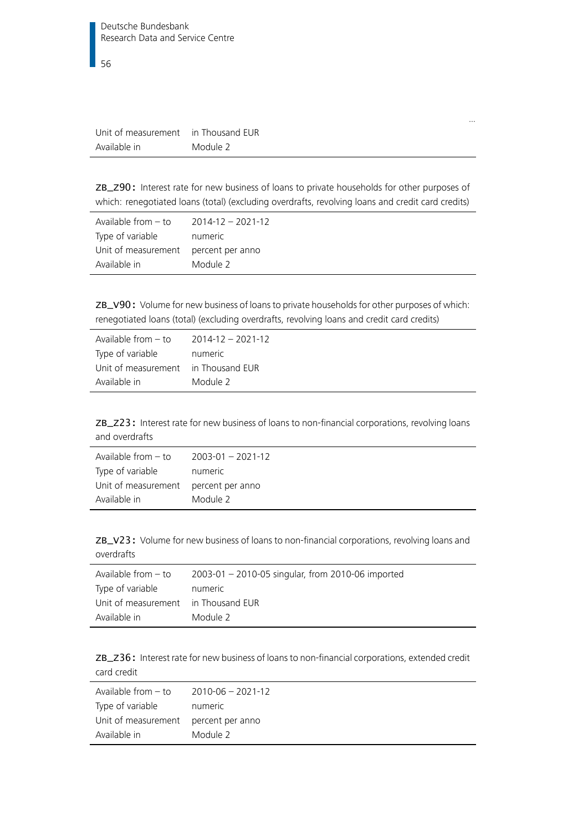| Unit of measurement | in Thousand EUR |
|---------------------|-----------------|
| Available in        | Module 2        |

ZB\_Z90: Interest rate for new business of loans to private households for other purposes of which: renegotiated loans (total) (excluding overdrafts, revolving loans and credit card credits)

…

| Available from $-$ to                | $2014 - 12 - 2021 - 12$ |
|--------------------------------------|-------------------------|
| Type of variable                     | numeric                 |
| Unit of measurement percent per anno |                         |
| Available in                         | Module 2                |

ZB\_V90: Volume for new business of loans to private households for other purposes of which: renegotiated loans (total) (excluding overdrafts, revolving loans and credit card credits)

| Available from - to                 | 2014-12 - 2021-12 |
|-------------------------------------|-------------------|
| Type of variable                    | numeric           |
| Unit of measurement in Thousand EUR |                   |
| Available in                        | Module 2          |
|                                     |                   |

ZB\_Z23: Interest rate for new business of loans to non-financial corporations, revolving loans and overdrafts

| Available from $-$ to                | $2003 - 01 - 2021 - 12$ |
|--------------------------------------|-------------------------|
| Type of variable                     | numeric                 |
| Unit of measurement percent per anno |                         |
| Available in                         | Module 2                |

ZB\_V23: Volume for new business of loans to non-financial corporations, revolving loans and overdrafts

| Available from $-$ to               | 2003-01 - 2010-05 singular, from 2010-06 imported |
|-------------------------------------|---------------------------------------------------|
| Type of variable                    | numeric                                           |
| Unit of measurement in Thousand EUR |                                                   |
| Available in                        | Module 2                                          |

ZB\_Z36: Interest rate for new business of loans to non-financial corporations, extended credit card credit

| Available from $-$ to                | 2010-06 - 2021-12 |
|--------------------------------------|-------------------|
| Type of variable                     | numeric           |
| Unit of measurement percent per anno |                   |
| Available in                         | Module 2          |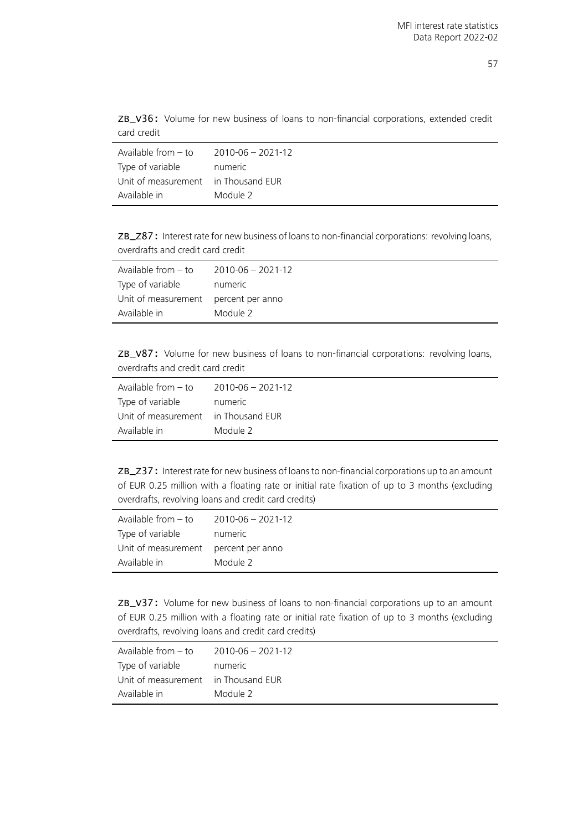ZB\_V36: Volume for new business of loans to non-financial corporations, extended credit card credit

| Available from $-$ to               | 2010-06 - 2021-12 |
|-------------------------------------|-------------------|
| Type of variable                    | numeric           |
| Unit of measurement in Thousand EUR |                   |
| Available in                        | Module 2          |

ZB\_Z87: Interest rate for new business of loans to non-financial corporations: revolving loans, overdrafts and credit card credit

| Available from – to                  | 2010-06 - 2021-12 |
|--------------------------------------|-------------------|
| Type of variable                     | numeric           |
| Unit of measurement percent per anno |                   |
| Available in                         | Module 2          |

ZB\_V87: Volume for new business of loans to non-financial corporations: revolving loans, overdrafts and credit card credit

| Available from - to                 | $2010 - 06 - 2021 - 12$ |
|-------------------------------------|-------------------------|
| Type of variable                    | numeric                 |
| Unit of measurement in Thousand EUR |                         |
| Available in                        | Module 2                |

ZB\_Z37: Interest rate for new business of loans to non-financial corporations up to an amount of EUR 0.25 million with a floating rate or initial rate fixation of up to 3 months (excluding overdrafts, revolving loans and credit card credits)

| Available from $-$ to | $2010 - 06 - 2021 - 12$ |
|-----------------------|-------------------------|
| Type of variable      | numeric                 |
| Unit of measurement   | percent per anno        |
| Available in          | Module 2                |

ZB\_V37: Volume for new business of loans to non-financial corporations up to an amount of EUR 0.25 million with a floating rate or initial rate fixation of up to 3 months (excluding overdrafts, revolving loans and credit card credits)

| Available from $-$ to               | 2010-06 - 2021-12 |
|-------------------------------------|-------------------|
| Type of variable                    | numeric           |
| Unit of measurement in Thousand EUR |                   |
| Available in                        | Module 2          |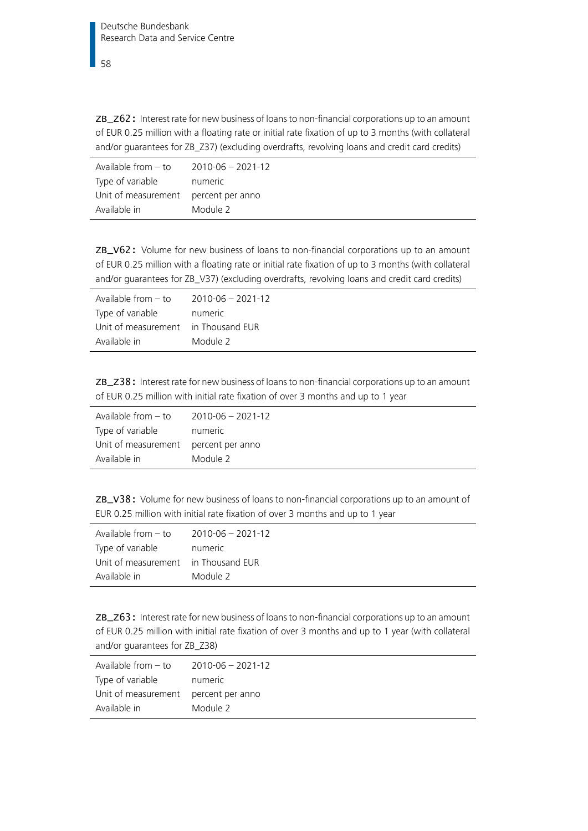ZB\_Z62: Interest rate for new business of loans to non-financial corporations up to an amount of EUR 0.25 million with a floating rate or initial rate fixation of up to 3 months (with collateral and/or guarantees for ZB\_Z37) (excluding overdrafts, revolving loans and credit card credits)

| Available from $-$ to | $2010 - 06 - 2021 - 12$ |
|-----------------------|-------------------------|
| Type of variable      | numeric                 |
| Unit of measurement   | percent per anno        |
| Available in          | Module 2                |

ZB\_V62: Volume for new business of loans to non-financial corporations up to an amount of EUR 0.25 million with a floating rate or initial rate fixation of up to 3 months (with collateral and/or guarantees for ZB\_V37) (excluding overdrafts, revolving loans and credit card credits)

| $2010 - 06 - 2021 - 12$             |
|-------------------------------------|
| numeric                             |
| Unit of measurement in Thousand EUR |
| Module 2                            |
|                                     |

ZB\_Z38: Interest rate for new business of loans to non-financial corporations up to an amount of EUR 0.25 million with initial rate fixation of over 3 months and up to 1 year

| Available from $-$ to | $2010 - 06 - 2021 - 12$ |
|-----------------------|-------------------------|
| Type of variable      | numeric                 |
| Unit of measurement   | percent per anno        |
| Available in          | Module 2                |

ZB\_V38: Volume for new business of loans to non-financial corporations up to an amount of EUR 0.25 million with initial rate fixation of over 3 months and up to 1 year

| Available from $-$ to | $2010 - 06 - 2021 - 12$ |
|-----------------------|-------------------------|
| Type of variable      | numeric                 |
| Unit of measurement   | in Thousand EUR         |
| Available in          | Module 2                |

ZB\_Z63: Interest rate for new business of loans to non-financial corporations up to an amount of EUR 0.25 million with initial rate fixation of over 3 months and up to 1 year (with collateral and/or guarantees for ZB\_Z38)

| Available from $-$ to                | $2010 - 06 - 2021 - 12$ |
|--------------------------------------|-------------------------|
| Type of variable                     | numeric                 |
| Unit of measurement percent per anno |                         |
| Available in                         | Module 2                |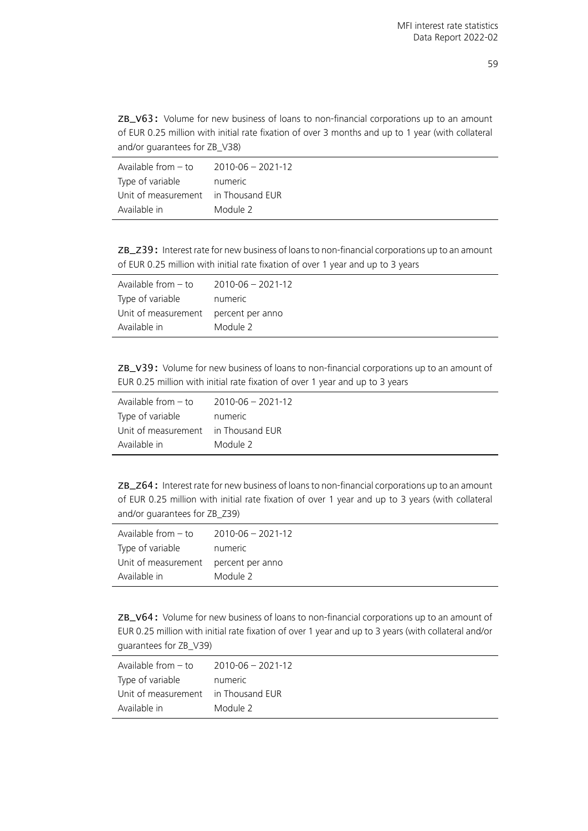ZB\_V63: Volume for new business of loans to non-financial corporations up to an amount of EUR 0.25 million with initial rate fixation of over 3 months and up to 1 year (with collateral and/or guarantees for ZB\_V38)

| Available from - to                 | 2010-06 - 2021-12 |
|-------------------------------------|-------------------|
| Type of variable                    | numeric           |
| Unit of measurement in Thousand EUR |                   |
| Available in                        | Module 2          |

ZB\_Z39: Interest rate for new business of loans to non-financial corporations up to an amount of EUR 0.25 million with initial rate fixation of over 1 year and up to 3 years

| Available from $-$ to                | $2010 - 06 - 2021 - 12$ |
|--------------------------------------|-------------------------|
| Type of variable                     | numeric                 |
| Unit of measurement percent per anno |                         |
| Available in                         | Module 2                |

ZB\_V39: Volume for new business of loans to non-financial corporations up to an amount of EUR 0.25 million with initial rate fixation of over 1 year and up to 3 years

| Available from - to                 | $2010 - 06 - 2021 - 12$ |
|-------------------------------------|-------------------------|
| Type of variable                    | numeric                 |
| Unit of measurement in Thousand EUR |                         |
| Available in                        | Module 2                |

ZB\_Z64: Interest rate for new business of loans to non-financial corporations up to an amount of EUR 0.25 million with initial rate fixation of over 1 year and up to 3 years (with collateral and/or guarantees for ZB\_Z39)

| Available from $-$ to | $2010 - 06 - 2021 - 12$ |
|-----------------------|-------------------------|
| Type of variable      | numeric                 |
| Unit of measurement   | percent per anno        |
| Available in          | Module 2                |

ZB\_V64: Volume for new business of loans to non-financial corporations up to an amount of EUR 0.25 million with initial rate fixation of over 1 year and up to 3 years (with collateral and/or guarantees for ZB\_V39)

| Available from – to                 | 2010-06 - 2021-12 |
|-------------------------------------|-------------------|
| Type of variable                    | numeric           |
| Unit of measurement in Thousand EUR |                   |
| Available in                        | Module 2          |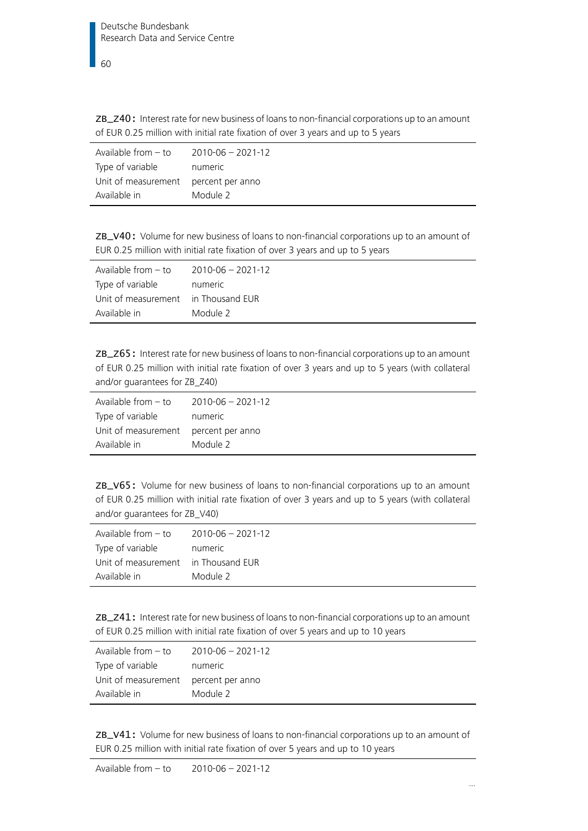ZB\_Z40: Interest rate for new business of loans to non-financial corporations up to an amount of EUR 0.25 million with initial rate fixation of over 3 years and up to 5 years

| Available from $-$ to | $2010 - 06 - 2021 - 12$ |
|-----------------------|-------------------------|
| Type of variable      | numeric                 |
| Unit of measurement   | percent per anno        |
| Available in          | Module 2                |

ZB\_V40: Volume for new business of loans to non-financial corporations up to an amount of EUR 0.25 million with initial rate fixation of over 3 years and up to 5 years

| Available from – to                 | 2010-06 - 2021-12 |
|-------------------------------------|-------------------|
| Type of variable                    | numeric           |
| Unit of measurement in Thousand EUR |                   |
| Available in                        | Module 2          |

ZB\_Z65: Interest rate for new business of loans to non-financial corporations up to an amount of EUR 0.25 million with initial rate fixation of over 3 years and up to 5 years (with collateral and/or guarantees for ZB\_Z40)

| Available from – to                  | 2010-06 - 2021-12 |
|--------------------------------------|-------------------|
| Type of variable                     | numeric           |
| Unit of measurement percent per anno |                   |
| Available in                         | Module 2          |

ZB\_V65: Volume for new business of loans to non-financial corporations up to an amount of EUR 0.25 million with initial rate fixation of over 3 years and up to 5 years (with collateral and/or guarantees for ZB\_V40)

| Available from $-$ to | $2010 - 06 - 2021 - 12$ |
|-----------------------|-------------------------|
| Type of variable      | numeric                 |
| Unit of measurement   | in Thousand EUR         |
| Available in          | Module 2                |

ZB\_Z41: Interest rate for new business of loans to non-financial corporations up to an amount of EUR 0.25 million with initial rate fixation of over 5 years and up to 10 years

| Available from - to                  | $2010 - 06 - 2021 - 12$ |
|--------------------------------------|-------------------------|
| Type of variable                     | numeric                 |
| Unit of measurement percent per anno |                         |
| Available in                         | Module 2                |

ZB\_V41: Volume for new business of loans to non-financial corporations up to an amount of EUR 0.25 million with initial rate fixation of over 5 years and up to 10 years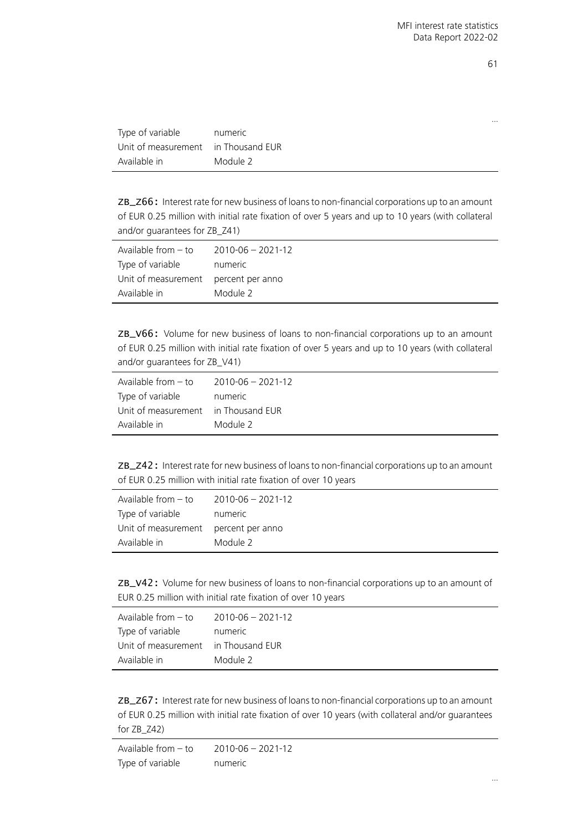| . .               | ۰<br>I |
|-------------------|--------|
| . .               |        |
| ۰.<br>×<br>×<br>v |        |

…

| Type of variable                    | numeric  |
|-------------------------------------|----------|
| Unit of measurement in Thousand EUR |          |
| Available in                        | Module 2 |

ZB\_Z66: Interest rate for new business of loans to non-financial corporations up to an amount of EUR 0.25 million with initial rate fixation of over 5 years and up to 10 years (with collateral and/or guarantees for ZB\_Z41)

| Available from - to                  | 2010-06 - 2021-12 |
|--------------------------------------|-------------------|
| Type of variable                     | numeric           |
| Unit of measurement percent per anno |                   |
| Available in                         | Module 2          |

ZB\_V66: Volume for new business of loans to non-financial corporations up to an amount of EUR 0.25 million with initial rate fixation of over 5 years and up to 10 years (with collateral and/or guarantees for ZB\_V41)

| Available from $-$ to               | 2010-06 - 2021-12 |
|-------------------------------------|-------------------|
| Type of variable                    | numeric           |
| Unit of measurement in Thousand EUR |                   |
| Available in                        | Module 2          |

|  |                                                                 |  |  | ZB_Z42: Interest rate for new business of loans to non-financial corporations up to an amount |  |
|--|-----------------------------------------------------------------|--|--|-----------------------------------------------------------------------------------------------|--|
|  | of EUR 0.25 million with initial rate fixation of over 10 years |  |  |                                                                                               |  |

| Available from $-$ to                | 2010-06 - 2021-12 |
|--------------------------------------|-------------------|
| Type of variable                     | numeric           |
| Unit of measurement percent per anno |                   |
| Available in                         | Module 2          |

ZB\_V42: Volume for new business of loans to non-financial corporations up to an amount of EUR 0.25 million with initial rate fixation of over 10 years

| Available from $-$ to               | $2010 - 06 - 2021 - 12$ |
|-------------------------------------|-------------------------|
| Type of variable                    | numeric                 |
| Unit of measurement in Thousand EUR |                         |
| Available in                        | Module 2                |

ZB\_Z67: Interest rate for new business of loans to non-financial corporations up to an amount of EUR 0.25 million with initial rate fixation of over 10 years (with collateral and/or guarantees for ZB\_Z42)

Available from – to 2010-06 – 2021-12 Type of variable mumeric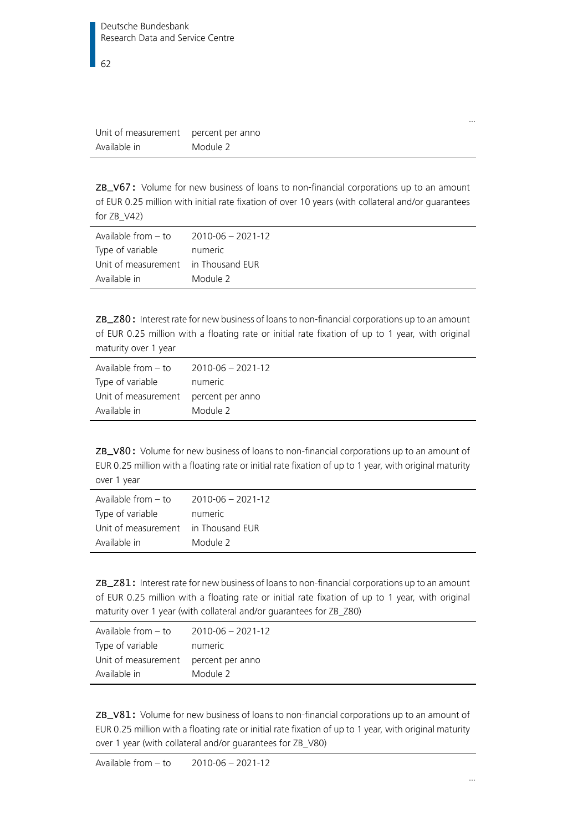| Unit of measurement | percent per anno |
|---------------------|------------------|
| Available in        | Module 2         |

ZB\_V67: Volume for new business of loans to non-financial corporations up to an amount of EUR 0.25 million with initial rate fixation of over 10 years (with collateral and/or guarantees for ZB\_V42)

| Available from – to                 | 2010-06 - 2021-12 |
|-------------------------------------|-------------------|
| Type of variable                    | numeric           |
| Unit of measurement in Thousand EUR |                   |
| Available in                        | Module 2          |

ZB\_Z80: Interest rate for new business of loans to non-financial corporations up to an amount of EUR 0.25 million with a floating rate or initial rate fixation of up to 1 year, with original maturity over 1 year

| Available from – to                  | 2010-06 - 2021-12 |
|--------------------------------------|-------------------|
| Type of variable                     | numeric           |
| Unit of measurement percent per anno |                   |
| Available in                         | Module 2          |

ZB\_V80: Volume for new business of loans to non-financial corporations up to an amount of EUR 0.25 million with a floating rate or initial rate fixation of up to 1 year, with original maturity over 1 year

| Available from $-$ to               | $2010 - 06 - 2021 - 12$ |
|-------------------------------------|-------------------------|
| Type of variable                    | numeric                 |
| Unit of measurement in Thousand EUR |                         |
| Available in                        | Module 2                |

ZB\_Z81: Interest rate for new business of loans to non-financial corporations up to an amount of EUR 0.25 million with a floating rate or initial rate fixation of up to 1 year, with original maturity over 1 year (with collateral and/or guarantees for ZB\_Z80)

| Available from $-$ to                | $2010 - 06 - 2021 - 12$ |
|--------------------------------------|-------------------------|
| Type of variable                     | numeric                 |
| Unit of measurement percent per anno |                         |
| Available in                         | Module 2                |

ZB\_V81: Volume for new business of loans to non-financial corporations up to an amount of EUR 0.25 million with a floating rate or initial rate fixation of up to 1 year, with original maturity over 1 year (with collateral and/or guarantees for ZB\_V80)

…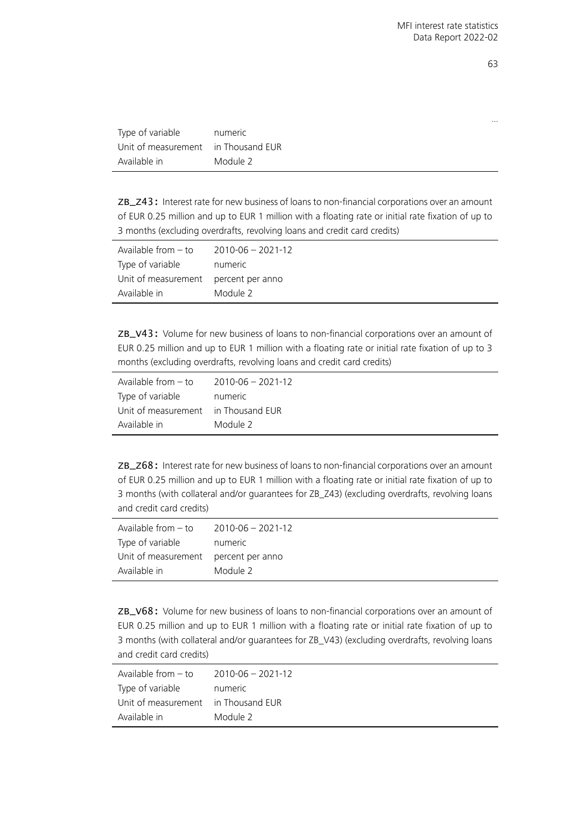| Type of variable                    | numeric  |
|-------------------------------------|----------|
| Unit of measurement in Thousand EUR |          |
| Available in                        | Module 2 |

ZB\_Z43: Interest rate for new business of loans to non-financial corporations over an amount of EUR 0.25 million and up to EUR 1 million with a floating rate or initial rate fixation of up to 3 months (excluding overdrafts, revolving loans and credit card credits)

| Available from $-$ to | $2010 - 06 - 2021 - 12$ |
|-----------------------|-------------------------|
| Type of variable      | numeric                 |
| Unit of measurement   | percent per anno        |
| Available in          | Module 2                |

ZB\_V43: Volume for new business of loans to non-financial corporations over an amount of EUR 0.25 million and up to EUR 1 million with a floating rate or initial rate fixation of up to 3 months (excluding overdrafts, revolving loans and credit card credits)

| Available from $-$ to               | $2010 - 06 - 2021 - 12$ |
|-------------------------------------|-------------------------|
| Type of variable                    | numeric                 |
| Unit of measurement in Thousand EUR |                         |
| Available in                        | Module 2                |

ZB\_Z68: Interest rate for new business of loans to non-financial corporations over an amount of EUR 0.25 million and up to EUR 1 million with a floating rate or initial rate fixation of up to 3 months (with collateral and/or guarantees for ZB\_Z43) (excluding overdrafts, revolving loans and credit card credits)

| Available from $-$ to | $2010 - 06 - 2021 - 12$ |
|-----------------------|-------------------------|
| Type of variable      | numeric                 |
| Unit of measurement   | percent per anno        |
| Available in          | Module 2                |

ZB\_V68: Volume for new business of loans to non-financial corporations over an amount of EUR 0.25 million and up to EUR 1 million with a floating rate or initial rate fixation of up to 3 months (with collateral and/or guarantees for ZB\_V43) (excluding overdrafts, revolving loans and credit card credits)

| Available from $-$ to               | 2010-06 - 2021-12 |
|-------------------------------------|-------------------|
| Type of variable                    | numeric           |
| Unit of measurement in Thousand EUR |                   |
| Available in                        | Module 2          |
|                                     |                   |

63

…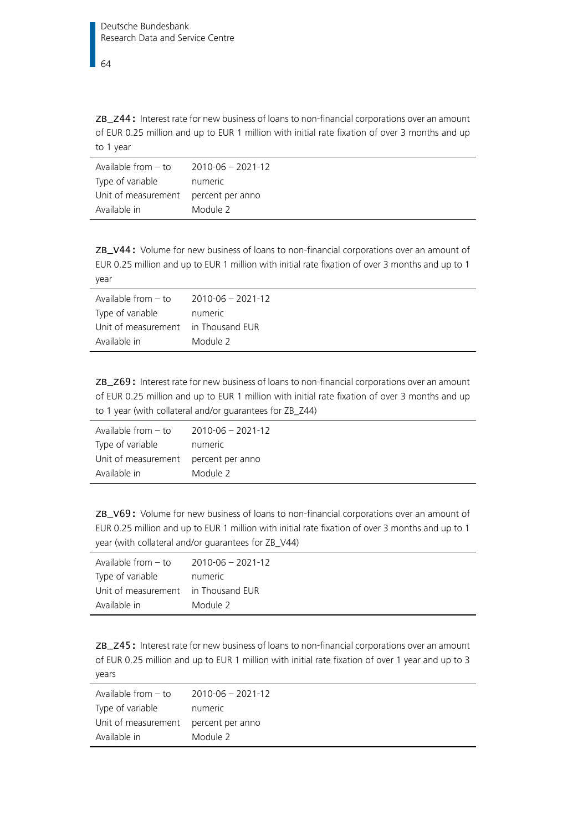ZB\_Z44: Interest rate for new business of loans to non-financial corporations over an amount of EUR 0.25 million and up to EUR 1 million with initial rate fixation of over 3 months and up to 1 year

| Available from – to                  | 2010-06 - 2021-12 |
|--------------------------------------|-------------------|
| Type of variable                     | numeric           |
| Unit of measurement percent per anno |                   |
| Available in                         | Module 2          |

ZB\_V44: Volume for new business of loans to non-financial corporations over an amount of EUR 0.25 million and up to EUR 1 million with initial rate fixation of over 3 months and up to 1 year

| Available from $-$ to               | 2010-06 - 2021-12 |
|-------------------------------------|-------------------|
| Type of variable                    | numeric           |
| Unit of measurement in Thousand EUR |                   |
| Available in                        | Module 2          |

ZB\_Z69: Interest rate for new business of loans to non-financial corporations over an amount of EUR 0.25 million and up to EUR 1 million with initial rate fixation of over 3 months and up to 1 year (with collateral and/or guarantees for ZB\_Z44)

| Available from $-$ to                | 2010-06 - 2021-12 |
|--------------------------------------|-------------------|
| Type of variable                     | numeric           |
| Unit of measurement percent per anno |                   |
| Available in                         | Module 2          |

ZB\_V69: Volume for new business of loans to non-financial corporations over an amount of EUR 0.25 million and up to EUR 1 million with initial rate fixation of over 3 months and up to 1 year (with collateral and/or guarantees for ZB\_V44)

| Available from $-$ to               | $2010 - 06 - 2021 - 12$ |
|-------------------------------------|-------------------------|
| Type of variable                    | numeric                 |
| Unit of measurement in Thousand EUR |                         |
| Available in                        | Module 2                |

ZB\_Z45: Interest rate for new business of loans to non-financial corporations over an amount of EUR 0.25 million and up to EUR 1 million with initial rate fixation of over 1 year and up to 3 years

| Available from $-$ to                | $2010 - 06 - 2021 - 12$ |
|--------------------------------------|-------------------------|
| Type of variable                     | numeric                 |
| Unit of measurement percent per anno |                         |
| Available in                         | Module 2                |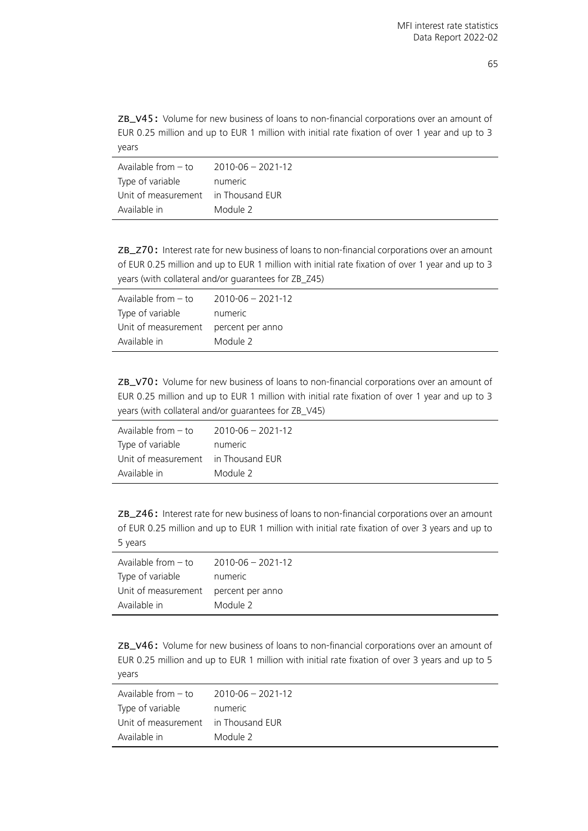ZB\_V45: Volume for new business of loans to non-financial corporations over an amount of EUR 0.25 million and up to EUR 1 million with initial rate fixation of over 1 year and up to 3 years

| Available from – to                 | 2010-06 - 2021-12 |
|-------------------------------------|-------------------|
| Type of variable                    | numeric           |
| Unit of measurement in Thousand EUR |                   |
| Available in                        | Module 2          |

ZB\_Z70: Interest rate for new business of loans to non-financial corporations over an amount of EUR 0.25 million and up to EUR 1 million with initial rate fixation of over 1 year and up to 3 years (with collateral and/or guarantees for ZB\_Z45)

| Available from $-$ to                | $2010 - 06 - 2021 - 12$ |
|--------------------------------------|-------------------------|
| Type of variable                     | numeric                 |
| Unit of measurement percent per anno |                         |
| Available in                         | Module 2                |

ZB\_V70: Volume for new business of loans to non-financial corporations over an amount of EUR 0.25 million and up to EUR 1 million with initial rate fixation of over 1 year and up to 3 years (with collateral and/or guarantees for ZB\_V45)

| Available from – to                 | 2010-06 - 2021-12 |
|-------------------------------------|-------------------|
| Type of variable                    | numeric           |
| Unit of measurement in Thousand EUR |                   |
| Available in                        | Module 2          |

ZB\_Z46: Interest rate for new business of loans to non-financial corporations over an amount of EUR 0.25 million and up to EUR 1 million with initial rate fixation of over 3 years and up to 5 years

| Available from $-$ to                | 2010-06 - 2021-12 |
|--------------------------------------|-------------------|
| Type of variable                     | numeric           |
| Unit of measurement percent per anno |                   |
| Available in                         | Module 2          |

ZB\_V46: Volume for new business of loans to non-financial corporations over an amount of EUR 0.25 million and up to EUR 1 million with initial rate fixation of over 3 years and up to 5 years

| Available from - to                 | 2010-06 - 2021-12 |
|-------------------------------------|-------------------|
| Type of variable                    | numeric           |
| Unit of measurement in Thousand EUR |                   |
| Available in                        | Module 2          |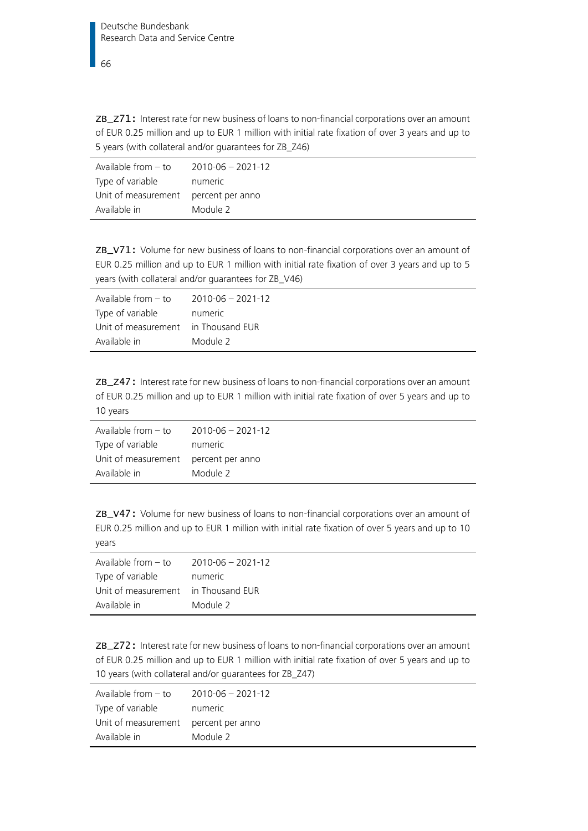ZB\_Z71: Interest rate for new business of loans to non-financial corporations over an amount of EUR 0.25 million and up to EUR 1 million with initial rate fixation of over 3 years and up to 5 years (with collateral and/or guarantees for ZB\_Z46)

| Available from – to                  | 2010-06 - 2021-12 |
|--------------------------------------|-------------------|
| Type of variable                     | numeric           |
| Unit of measurement percent per anno |                   |
| Available in                         | Module 2          |

ZB\_V71: Volume for new business of loans to non-financial corporations over an amount of EUR 0.25 million and up to EUR 1 million with initial rate fixation of over 3 years and up to 5 years (with collateral and/or guarantees for ZB\_V46)

| Available from $-$ to               | 2010-06 - 2021-12 |
|-------------------------------------|-------------------|
| Type of variable                    | numeric           |
| Unit of measurement in Thousand EUR |                   |
| Available in                        | Module 2          |

ZB\_Z47: Interest rate for new business of loans to non-financial corporations over an amount of EUR 0.25 million and up to EUR 1 million with initial rate fixation of over 5 years and up to 10 years

| Available from $-$ to                | $2010 - 06 - 2021 - 12$ |
|--------------------------------------|-------------------------|
| Type of variable                     | numeric                 |
| Unit of measurement percent per anno |                         |
| Available in                         | Module 2                |

ZB\_V47: Volume for new business of loans to non-financial corporations over an amount of EUR 0.25 million and up to EUR 1 million with initial rate fixation of over 5 years and up to 10 years

| Available from $-$ to               | $2010 - 06 - 2021 - 12$ |
|-------------------------------------|-------------------------|
| Type of variable                    | numeric                 |
| Unit of measurement in Thousand EUR |                         |
| Available in                        | Module 2                |

ZB\_Z72: Interest rate for new business of loans to non-financial corporations over an amount of EUR 0.25 million and up to EUR 1 million with initial rate fixation of over 5 years and up to 10 years (with collateral and/or guarantees for ZB\_Z47)

| Available from $-$ to                | 2010-06 - 2021-12 |
|--------------------------------------|-------------------|
| Type of variable                     | numeric           |
| Unit of measurement percent per anno |                   |
| Available in                         | Module 2          |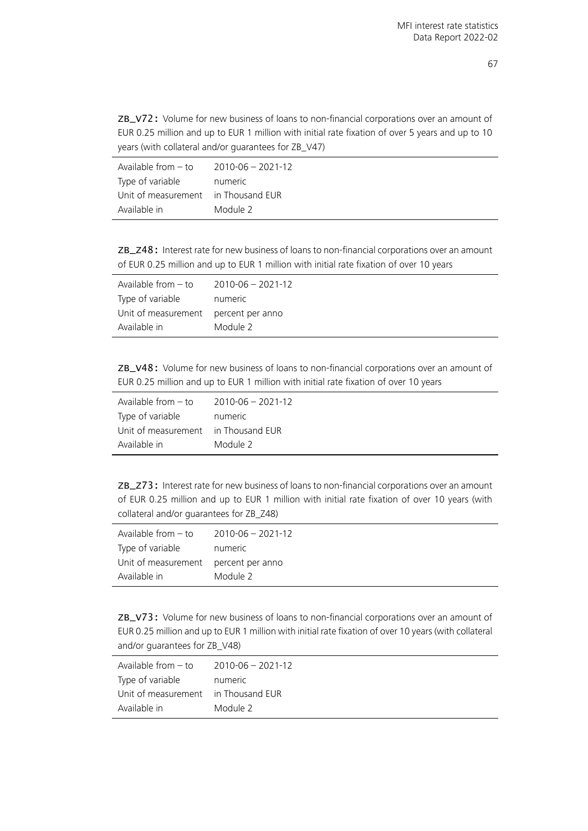ZB\_V72: Volume for new business of loans to non-financial corporations over an amount of EUR 0.25 million and up to EUR 1 million with initial rate fixation of over 5 years and up to 10 years (with collateral and/or guarantees for ZB\_V47)

| Available from – to                 | 2010-06 - 2021-12 |
|-------------------------------------|-------------------|
| Type of variable                    | numeric           |
| Unit of measurement in Thousand EUR |                   |
| Available in                        | Module 2          |

ZB\_Z48: Interest rate for new business of loans to non-financial corporations over an amount of EUR 0.25 million and up to EUR 1 million with initial rate fixation of over 10 years

| Available from $-$ to | $2010 - 06 - 2021 - 12$ |
|-----------------------|-------------------------|
| Type of variable      | numeric                 |
| Unit of measurement   | percent per anno        |
| Available in          | Module 2                |

ZB\_V48: Volume for new business of loans to non-financial corporations over an amount of EUR 0.25 million and up to EUR 1 million with initial rate fixation of over 10 years

| Available from $-$ to | $2010 - 06 - 2021 - 12$ |
|-----------------------|-------------------------|
| Type of variable      | numeric                 |
| Unit of measurement   | in Thousand EUR         |
| Available in          | Module 2                |

ZB\_Z73: Interest rate for new business of loans to non-financial corporations over an amount of EUR 0.25 million and up to EUR 1 million with initial rate fixation of over 10 years (with collateral and/or guarantees for ZB\_Z48)

| Available from $-$ to | $2010 - 06 - 2021 - 12$ |
|-----------------------|-------------------------|
| Type of variable      | numeric                 |
| Unit of measurement   | percent per anno        |
| Available in          | Module 2                |

ZB\_V73: Volume for new business of loans to non-financial corporations over an amount of EUR 0.25 million and up to EUR 1 million with initial rate fixation of over 10 years (with collateral and/or guarantees for ZB\_V48)

| Available from $-$ to               | 2010-06 - 2021-12 |
|-------------------------------------|-------------------|
| Type of variable                    | numeric           |
| Unit of measurement in Thousand EUR |                   |
| Available in                        | Module 2          |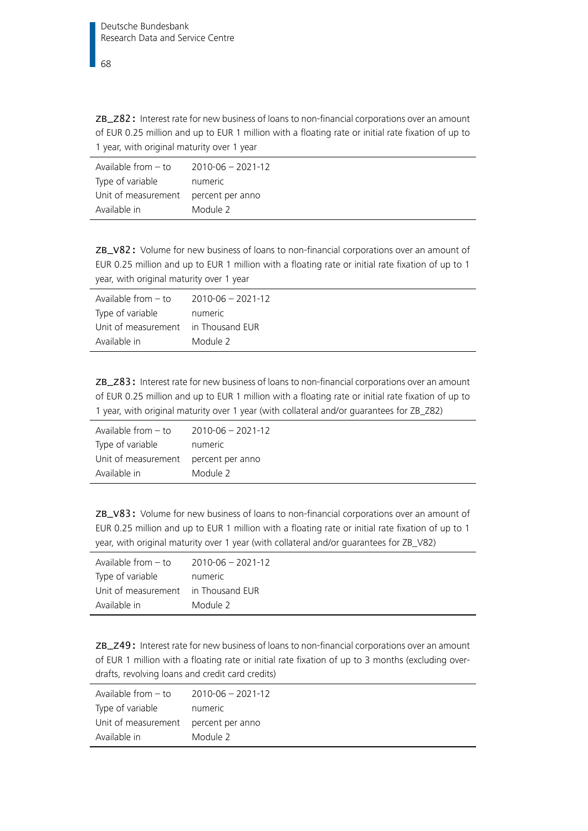ZB\_Z82: Interest rate for new business of loans to non-financial corporations over an amount of EUR 0.25 million and up to EUR 1 million with a floating rate or initial rate fixation of up to 1 year, with original maturity over 1 year

| Available from – to                  | 2010-06 - 2021-12 |
|--------------------------------------|-------------------|
| Type of variable                     | numeric           |
| Unit of measurement percent per anno |                   |
| Available in                         | Module 2          |

ZB\_V82: Volume for new business of loans to non-financial corporations over an amount of EUR 0.25 million and up to EUR 1 million with a floating rate or initial rate fixation of up to 1 year, with original maturity over 1 year

| Available from - to                 | 2010-06 - 2021-12 |
|-------------------------------------|-------------------|
| Type of variable                    | numeric           |
| Unit of measurement in Thousand EUR |                   |
| Available in                        | Module 2          |
|                                     |                   |

ZB\_Z83: Interest rate for new business of loans to non-financial corporations over an amount of EUR 0.25 million and up to EUR 1 million with a floating rate or initial rate fixation of up to 1 year, with original maturity over 1 year (with collateral and/or guarantees for ZB\_Z82)

| Available from $-$ to                | 2010-06 - 2021-12 |
|--------------------------------------|-------------------|
| Type of variable                     | numeric           |
| Unit of measurement percent per anno |                   |
| Available in                         | Module 2          |

ZB\_V83: Volume for new business of loans to non-financial corporations over an amount of EUR 0.25 million and up to EUR 1 million with a floating rate or initial rate fixation of up to 1 year, with original maturity over 1 year (with collateral and/or guarantees for ZB\_V82)

| Available from $-$ to               | 2010-06 - 2021-12 |
|-------------------------------------|-------------------|
| Type of variable                    | numeric           |
| Unit of measurement in Thousand EUR |                   |
| Available in                        | Module 2          |

ZB\_Z49: Interest rate for new business of loans to non-financial corporations over an amount of EUR 1 million with a floating rate or initial rate fixation of up to 3 months (excluding overdrafts, revolving loans and credit card credits)

| Available from $-$ to                | 2010-06 - 2021-12 |
|--------------------------------------|-------------------|
| Type of variable                     | numeric           |
| Unit of measurement percent per anno |                   |
| Available in                         | Module 2          |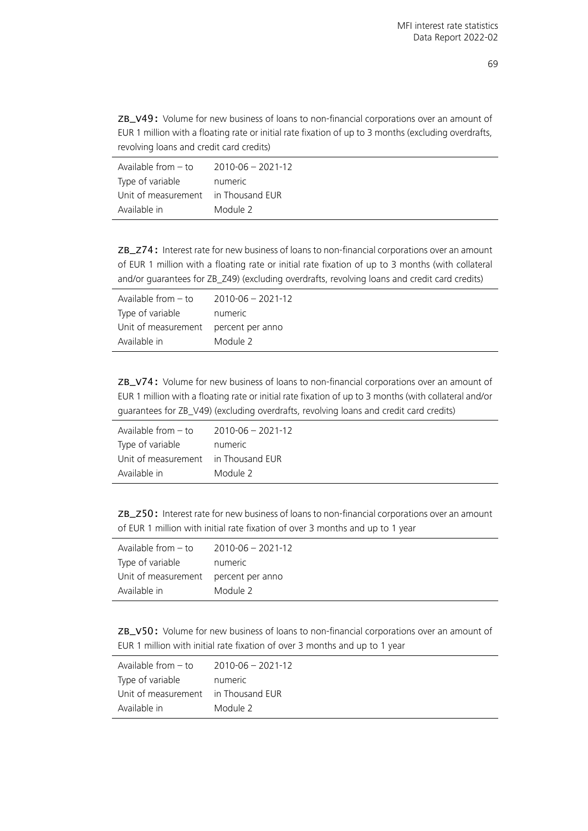ZB\_V49: Volume for new business of loans to non-financial corporations over an amount of EUR 1 million with a floating rate or initial rate fixation of up to 3 months (excluding overdrafts, revolving loans and credit card credits)

| Available from - to                 | 2010-06 - 2021-12 |
|-------------------------------------|-------------------|
| Type of variable                    | numeric           |
| Unit of measurement in Thousand EUR |                   |
| Available in                        | Module 2          |

ZB\_Z74: Interest rate for new business of loans to non-financial corporations over an amount of EUR 1 million with a floating rate or initial rate fixation of up to 3 months (with collateral and/or guarantees for ZB\_Z49) (excluding overdrafts, revolving loans and credit card credits)

| Available from $-$ to                | 2010-06 - 2021-12 |
|--------------------------------------|-------------------|
| Type of variable                     | numeric           |
| Unit of measurement percent per anno |                   |
| Available in                         | Module 2          |

ZB\_V74: Volume for new business of loans to non-financial corporations over an amount of EUR 1 million with a floating rate or initial rate fixation of up to 3 months (with collateral and/or guarantees for ZB\_V49) (excluding overdrafts, revolving loans and credit card credits)

| Available from $-$ to               | 2010-06 - 2021-12 |
|-------------------------------------|-------------------|
| Type of variable                    | numeric           |
| Unit of measurement in Thousand EUR |                   |
| Available in                        | Module 2          |

ZB\_Z50: Interest rate for new business of loans to non-financial corporations over an amount of EUR 1 million with initial rate fixation of over 3 months and up to 1 year

| Available from - to                  | 2010-06 - 2021-12 |
|--------------------------------------|-------------------|
| Type of variable                     | numeric           |
| Unit of measurement percent per anno |                   |
| Available in                         | Module 2          |

ZB\_V50: Volume for new business of loans to non-financial corporations over an amount of EUR 1 million with initial rate fixation of over 3 months and up to 1 year

| $2010 - 06 - 2021 - 12$             |
|-------------------------------------|
| numeric                             |
| Unit of measurement in Thousand EUR |
| Module 2                            |
|                                     |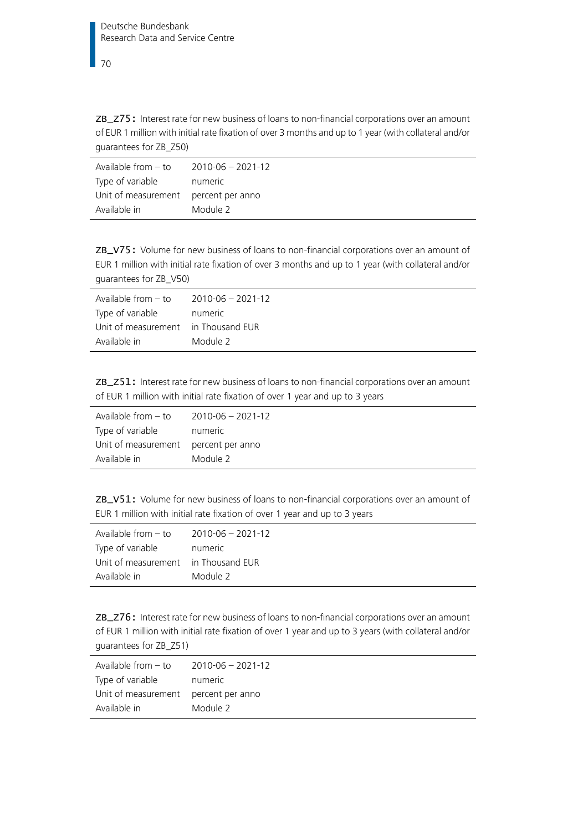ZB\_Z75: Interest rate for new business of loans to non-financial corporations over an amount of EUR 1 million with initial rate fixation of over 3 months and up to 1 year (with collateral and/or guarantees for ZB\_Z50)

| Available from $-$ to                | 2010-06 - 2021-12 |
|--------------------------------------|-------------------|
| Type of variable                     | numeric           |
| Unit of measurement percent per anno |                   |
| Available in                         | Module 2          |

ZB\_V75: Volume for new business of loans to non-financial corporations over an amount of EUR 1 million with initial rate fixation of over 3 months and up to 1 year (with collateral and/or guarantees for ZB\_V50)

| Available from $-$ to               | 2010-06 - 2021-12 |
|-------------------------------------|-------------------|
| Type of variable                    | numeric           |
| Unit of measurement in Thousand EUR |                   |
| Available in                        | Module 2          |
|                                     |                   |

ZB\_Z51: Interest rate for new business of loans to non-financial corporations over an amount of EUR 1 million with initial rate fixation of over 1 year and up to 3 years

| Available from $-$ to                | $2010 - 06 - 2021 - 12$ |
|--------------------------------------|-------------------------|
| Type of variable                     | numeric                 |
| Unit of measurement percent per anno |                         |
| Available in                         | Module 2                |

ZB\_V51: Volume for new business of loans to non-financial corporations over an amount of EUR 1 million with initial rate fixation of over 1 year and up to 3 years

| Available from $-$ to | $2010 - 06 - 2021 - 12$ |
|-----------------------|-------------------------|
| Type of variable      | numeric                 |
| Unit of measurement   | in Thousand EUR         |
| Available in          | Module 2                |

ZB\_Z76: Interest rate for new business of loans to non-financial corporations over an amount of EUR 1 million with initial rate fixation of over 1 year and up to 3 years (with collateral and/or guarantees for ZB\_Z51)

| Available from $-$ to                | $2010 - 06 - 2021 - 12$ |
|--------------------------------------|-------------------------|
| Type of variable                     | numeric                 |
| Unit of measurement percent per anno |                         |
| Available in                         | Module 2                |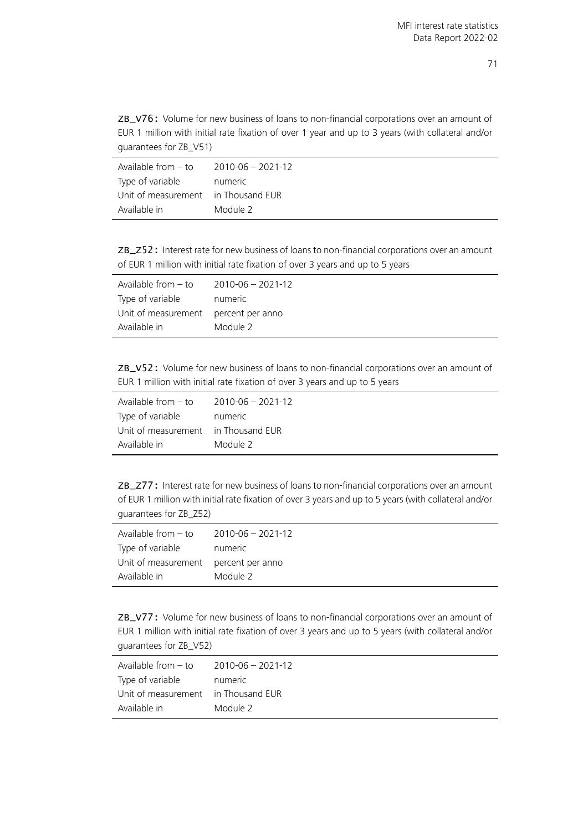ZB\_V76: Volume for new business of loans to non-financial corporations over an amount of EUR 1 million with initial rate fixation of over 1 year and up to 3 years (with collateral and/or guarantees for ZB\_V51)

| Available from – to                 | 2010-06 - 2021-12 |
|-------------------------------------|-------------------|
| Type of variable                    | numeric           |
| Unit of measurement in Thousand EUR |                   |
| Available in                        | Module 2          |

ZB\_Z52: Interest rate for new business of loans to non-financial corporations over an amount of EUR 1 million with initial rate fixation of over 3 years and up to 5 years

| Available from $-$ to | $2010 - 06 - 2021 - 12$ |
|-----------------------|-------------------------|
| Type of variable      | numeric                 |
| Unit of measurement   | percent per anno        |
| Available in          | Module 2                |

ZB\_V52: Volume for new business of loans to non-financial corporations over an amount of EUR 1 million with initial rate fixation of over 3 years and up to 5 years

| Available from - to                 | $2010 - 06 - 2021 - 12$ |
|-------------------------------------|-------------------------|
| Type of variable                    | numeric                 |
| Unit of measurement in Thousand EUR |                         |
| Available in                        | Module 2                |

ZB\_Z77: Interest rate for new business of loans to non-financial corporations over an amount of EUR 1 million with initial rate fixation of over 3 years and up to 5 years (with collateral and/or guarantees for ZB\_Z52)

| Available from $-$ to | $2010 - 06 - 2021 - 12$ |
|-----------------------|-------------------------|
| Type of variable      | numeric                 |
| Unit of measurement   | percent per anno        |
| Available in          | Module 2                |

ZB\_V77: Volume for new business of loans to non-financial corporations over an amount of EUR 1 million with initial rate fixation of over 3 years and up to 5 years (with collateral and/or guarantees for ZB\_V52)

| Available from $-$ to               | 2010-06 - 2021-12 |
|-------------------------------------|-------------------|
| Type of variable                    | numeric           |
| Unit of measurement in Thousand EUR |                   |
| Available in                        | Module 2          |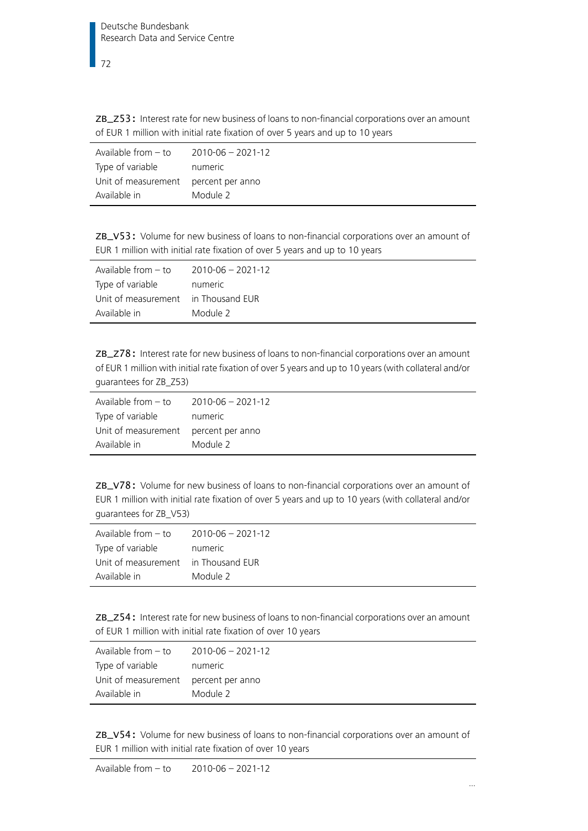ZB\_Z53: Interest rate for new business of loans to non-financial corporations over an amount of EUR 1 million with initial rate fixation of over 5 years and up to 10 years

| Available from $-$ to | $2010 - 06 - 2021 - 12$ |
|-----------------------|-------------------------|
| Type of variable      | numeric                 |
| Unit of measurement   | percent per anno        |
| Available in          | Module 2                |

ZB\_V53: Volume for new business of loans to non-financial corporations over an amount of EUR 1 million with initial rate fixation of over 5 years and up to 10 years

| Available from – to                 | 2010-06 - 2021-12 |
|-------------------------------------|-------------------|
| Type of variable                    | numeric           |
| Unit of measurement in Thousand EUR |                   |
| Available in                        | Module 2          |

ZB\_Z78: Interest rate for new business of loans to non-financial corporations over an amount of EUR 1 million with initial rate fixation of over 5 years and up to 10 years (with collateral and/or guarantees for ZB\_Z53)

| Available from $-$ to                | 2010-06 - 2021-12 |
|--------------------------------------|-------------------|
| Type of variable                     | numeric           |
| Unit of measurement percent per anno |                   |
| Available in                         | Module 2          |

ZB\_V78: Volume for new business of loans to non-financial corporations over an amount of EUR 1 million with initial rate fixation of over 5 years and up to 10 years (with collateral and/or guarantees for ZB\_V53)

| Available from $-$ to | $2010 - 06 - 2021 - 12$ |
|-----------------------|-------------------------|
| Type of variable      | numeric                 |
| Unit of measurement   | in Thousand EUR         |
| Available in          | Module 2                |

ZB\_Z54: Interest rate for new business of loans to non-financial corporations over an amount of EUR 1 million with initial rate fixation of over 10 years

| Available from $-$ to | $2010 - 06 - 2021 - 12$ |
|-----------------------|-------------------------|
| Type of variable      | numeric                 |
| Unit of measurement   | percent per anno        |
| Available in          | Module 2                |

ZB\_V54: Volume for new business of loans to non-financial corporations over an amount of EUR 1 million with initial rate fixation of over 10 years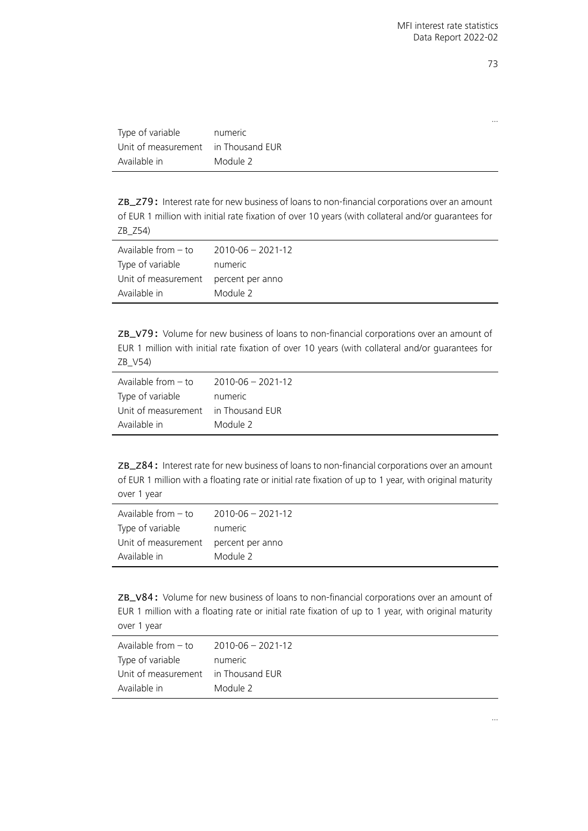| Type of variable                    | numeric  |
|-------------------------------------|----------|
| Unit of measurement in Thousand EUR |          |
| Available in                        | Module 2 |

ZB\_Z79: Interest rate for new business of loans to non-financial corporations over an amount of EUR 1 million with initial rate fixation of over 10 years (with collateral and/or guarantees for ZB\_Z54)

| Available from $-$ to                | 2010-06 - 2021-12 |
|--------------------------------------|-------------------|
| Type of variable                     | numeric           |
| Unit of measurement percent per anno |                   |
| Available in                         | Module 2          |

ZB\_V79: Volume for new business of loans to non-financial corporations over an amount of EUR 1 million with initial rate fixation of over 10 years (with collateral and/or guarantees for ZB\_V54)

| Available from $-$ to | $2010 - 06 - 2021 - 12$ |
|-----------------------|-------------------------|
| Type of variable      | numeric                 |
| Unit of measurement   | in Thousand EUR         |
| Available in          | Module 2                |

ZB\_Z84: Interest rate for new business of loans to non-financial corporations over an amount of EUR 1 million with a floating rate or initial rate fixation of up to 1 year, with original maturity over 1 year

| Available from – to                  | $2010 - 06 - 2021 - 12$ |
|--------------------------------------|-------------------------|
| Type of variable                     | numeric                 |
| Unit of measurement percent per anno |                         |
| Available in                         | Module 2                |

ZB\_V84: Volume for new business of loans to non-financial corporations over an amount of EUR 1 million with a floating rate or initial rate fixation of up to 1 year, with original maturity over 1 year

| Available from $-$ to               | 2010-06 - 2021-12 |
|-------------------------------------|-------------------|
| Type of variable                    | numeric           |
| Unit of measurement in Thousand EUR |                   |
| Available in                        | Module 2          |

73

…

…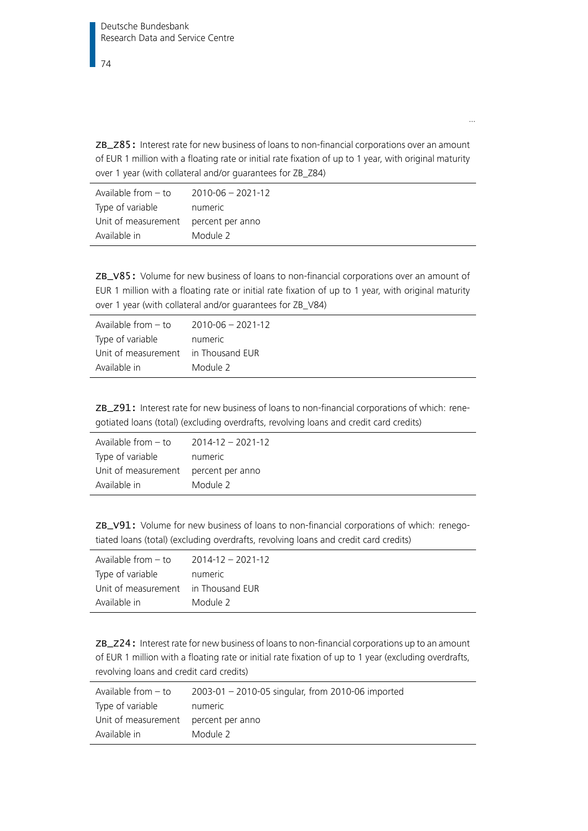ZB\_Z85: Interest rate for new business of loans to non-financial corporations over an amount of EUR 1 million with a floating rate or initial rate fixation of up to 1 year, with original maturity over 1 year (with collateral and/or guarantees for ZB\_Z84)

…

| Available from $-$ to                | $2010 - 06 - 2021 - 12$ |
|--------------------------------------|-------------------------|
| Type of variable                     | numeric                 |
| Unit of measurement percent per anno |                         |
| Available in                         | Module 2                |

ZB\_V85: Volume for new business of loans to non-financial corporations over an amount of EUR 1 million with a floating rate or initial rate fixation of up to 1 year, with original maturity over 1 year (with collateral and/or guarantees for ZB\_V84)

| Available from $-$ to               | $2010 - 06 - 2021 - 12$ |
|-------------------------------------|-------------------------|
| Type of variable                    | numeric                 |
| Unit of measurement in Thousand EUR |                         |
| Available in                        | Module 2                |

ZB\_Z91: Interest rate for new business of loans to non-financial corporations of which: renegotiated loans (total) (excluding overdrafts, revolving loans and credit card credits)

| Available from $-$ to                | $2014 - 12 - 2021 - 12$ |
|--------------------------------------|-------------------------|
| Type of variable                     | numeric                 |
| Unit of measurement percent per anno |                         |
| Available in                         | Module 2                |

ZB\_V91: Volume for new business of loans to non-financial corporations of which: renegotiated loans (total) (excluding overdrafts, revolving loans and credit card credits)

| Available from $-$ to               | $2014 - 12 - 2021 - 12$ |
|-------------------------------------|-------------------------|
| Type of variable                    | numeric                 |
| Unit of measurement in Thousand EUR |                         |
| Available in                        | Module 2                |

ZB\_Z24: Interest rate for new business of loans to non-financial corporations up to an amount of EUR 1 million with a floating rate or initial rate fixation of up to 1 year (excluding overdrafts, revolving loans and credit card credits)

| Available from - to                  | 2003-01 - 2010-05 singular, from 2010-06 imported |
|--------------------------------------|---------------------------------------------------|
| Type of variable                     | numeric                                           |
| Unit of measurement percent per anno |                                                   |
| Available in                         | Module 2                                          |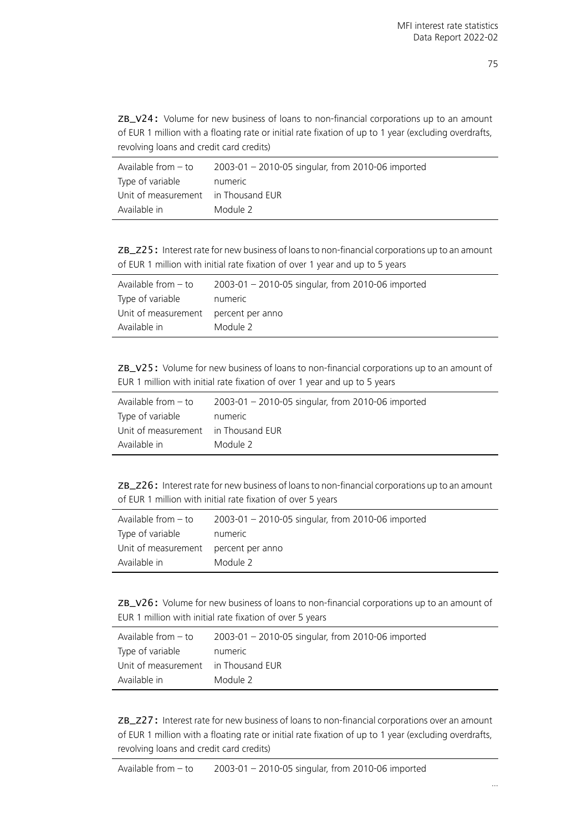ZB\_V24: Volume for new business of loans to non-financial corporations up to an amount of EUR 1 million with a floating rate or initial rate fixation of up to 1 year (excluding overdrafts, revolving loans and credit card credits)

| Available from - to                 | 2003-01 - 2010-05 singular, from 2010-06 imported |
|-------------------------------------|---------------------------------------------------|
| Type of variable                    | numeric                                           |
| Unit of measurement in Thousand EUR |                                                   |
| Available in                        | Module 2                                          |

ZB\_Z25: Interest rate for new business of loans to non-financial corporations up to an amount of EUR 1 million with initial rate fixation of over 1 year and up to 5 years

| Available from - to                  | 2003-01 - 2010-05 singular, from 2010-06 imported |
|--------------------------------------|---------------------------------------------------|
| Type of variable                     | numeric                                           |
| Unit of measurement percent per anno |                                                   |
| Available in                         | Module 2                                          |

ZB\_V25: Volume for new business of loans to non-financial corporations up to an amount of EUR 1 million with initial rate fixation of over 1 year and up to 5 years

| Available from $-$ to               | 2003-01 - 2010-05 singular, from 2010-06 imported |
|-------------------------------------|---------------------------------------------------|
| Type of variable                    | numeric                                           |
| Unit of measurement in Thousand EUR |                                                   |
| Available in                        | Module 2                                          |

ZB\_Z26: Interest rate for new business of loans to non-financial corporations up to an amount of EUR 1 million with initial rate fixation of over 5 years

| Available from – to                  | 2003-01 - 2010-05 singular, from 2010-06 imported |
|--------------------------------------|---------------------------------------------------|
| Type of variable                     | numeric                                           |
| Unit of measurement percent per anno |                                                   |
| Available in                         | Module 2                                          |

ZB\_V26: Volume for new business of loans to non-financial corporations up to an amount of EUR 1 million with initial rate fixation of over 5 years

| Available from - to                 | 2003-01 - 2010-05 singular, from 2010-06 imported |
|-------------------------------------|---------------------------------------------------|
| Type of variable                    | numeric                                           |
| Unit of measurement in Thousand EUR |                                                   |
| Available in                        | Module 2                                          |

ZB\_Z27: Interest rate for new business of loans to non-financial corporations over an amount of EUR 1 million with a floating rate or initial rate fixation of up to 1 year (excluding overdrafts, revolving loans and credit card credits)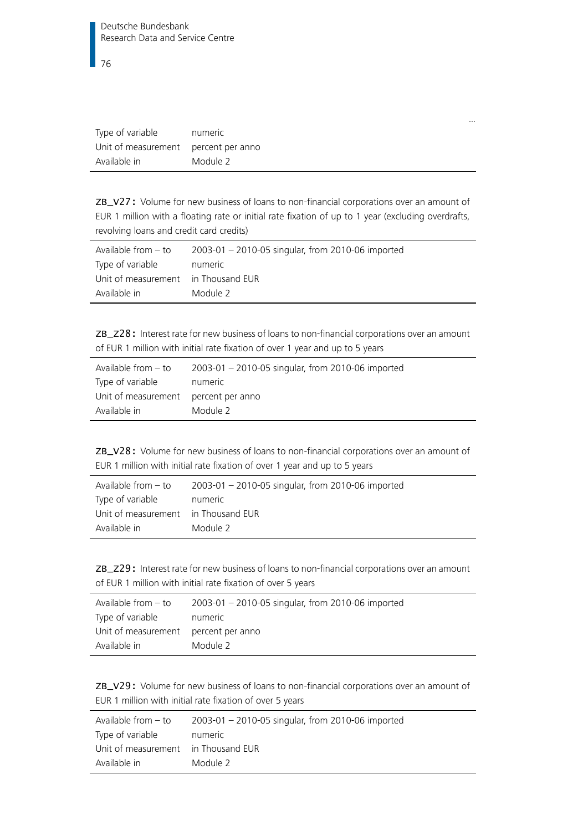| Type of variable                     | numeric  |
|--------------------------------------|----------|
| Unit of measurement percent per anno |          |
| Available in                         | Module 2 |

ZB\_V27: Volume for new business of loans to non-financial corporations over an amount of EUR 1 million with a floating rate or initial rate fixation of up to 1 year (excluding overdrafts, revolving loans and credit card credits)

| Available from $-$ to               | 2003-01 - 2010-05 singular, from 2010-06 imported |
|-------------------------------------|---------------------------------------------------|
| Type of variable                    | numeric                                           |
| Unit of measurement in Thousand EUR |                                                   |
| Available in                        | Module 2                                          |

ZB\_Z28: Interest rate for new business of loans to non-financial corporations over an amount of EUR 1 million with initial rate fixation of over 1 year and up to 5 years

| Available from $-$ to                | 2003-01 - 2010-05 singular, from 2010-06 imported |
|--------------------------------------|---------------------------------------------------|
| Type of variable                     | numeric                                           |
| Unit of measurement percent per anno |                                                   |
| Available in                         | Module 2                                          |

ZB\_V28: Volume for new business of loans to non-financial corporations over an amount of EUR 1 million with initial rate fixation of over 1 year and up to 5 years

| Available from $-$ to               | 2003-01 - 2010-05 singular, from 2010-06 imported |
|-------------------------------------|---------------------------------------------------|
| Type of variable                    | numeric                                           |
| Unit of measurement in Thousand EUR |                                                   |
| Available in                        | Module 2                                          |

ZB\_Z29: Interest rate for new business of loans to non-financial corporations over an amount of EUR 1 million with initial rate fixation of over 5 years

| Available from $-$ to                | 2003-01 - 2010-05 singular, from 2010-06 imported |
|--------------------------------------|---------------------------------------------------|
| Type of variable                     | numeric                                           |
| Unit of measurement percent per anno |                                                   |
| Available in                         | Module 2                                          |

ZB\_V29: Volume for new business of loans to non-financial corporations over an amount of EUR 1 million with initial rate fixation of over 5 years

| Available from - to                 | 2003-01 - 2010-05 singular, from 2010-06 imported |
|-------------------------------------|---------------------------------------------------|
| Type of variable                    | numeric                                           |
| Unit of measurement in Thousand EUR |                                                   |
| Available in                        | Module 2                                          |

…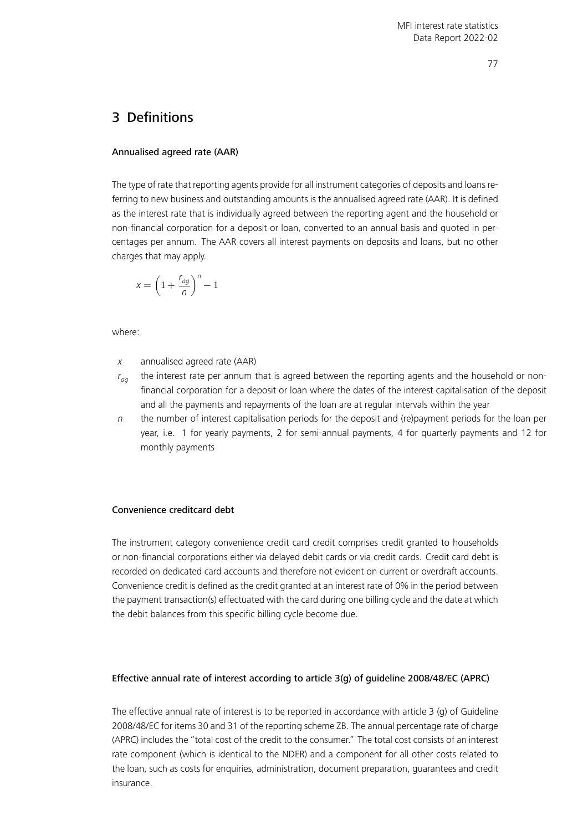# 3 Definitions

# Annualised agreed rate (AAR)

The type of rate that reporting agents provide for all instrument categories of deposits and loans referring to new business and outstanding amounts is the annualised agreed rate (AAR). It is defined as the interest rate that is individually agreed between the reporting agent and the household or non-financial corporation for a deposit or loan, converted to an annual basis and quoted in percentages per annum. The AAR covers all interest payments on deposits and loans, but no other charges that may apply.

$$
x = \left(1 + \frac{r_{ag}}{n}\right)^n - 1
$$

where:

- $x$  annualised agreed rate (AAR)
- $r_{aa}$  the interest rate per annum that is agreed between the reporting agents and the household or nonfinancial corporation for a deposit or loan where the dates of the interest capitalisation of the deposit and all the payments and repayments of the loan are at regular intervals within the year
- $n$  the number of interest capitalisation periods for the deposit and (re)payment periods for the loan per year, i.e. 1 for yearly payments, 2 for semi-annual payments, 4 for quarterly payments and 12 for monthly payments

## Convenience creditcard debt

The instrument category convenience credit card credit comprises credit granted to households or non-financial corporations either via delayed debit cards or via credit cards. Credit card debt is recorded on dedicated card accounts and therefore not evident on current or overdraft accounts. Convenience credit is defined as the credit granted at an interest rate of 0% in the period between the payment transaction(s) effectuated with the card during one billing cycle and the date at which the debit balances from this specific billing cycle become due.

## Effective annual rate of interest according to article 3(g) of guideline 2008/48/EC (APRC)

The effective annual rate of interest is to be reported in accordance with article 3 (g) of Guideline 2008/48/EC for items 30 and 31 of the reporting scheme ZB. The annual percentage rate of charge (APRC) includes the "total cost of the credit to the consumer." The total cost consists of an interest rate component (which is identical to the NDER) and a component for all other costs related to the loan, such as costs for enquiries, administration, document preparation, guarantees and credit insurance.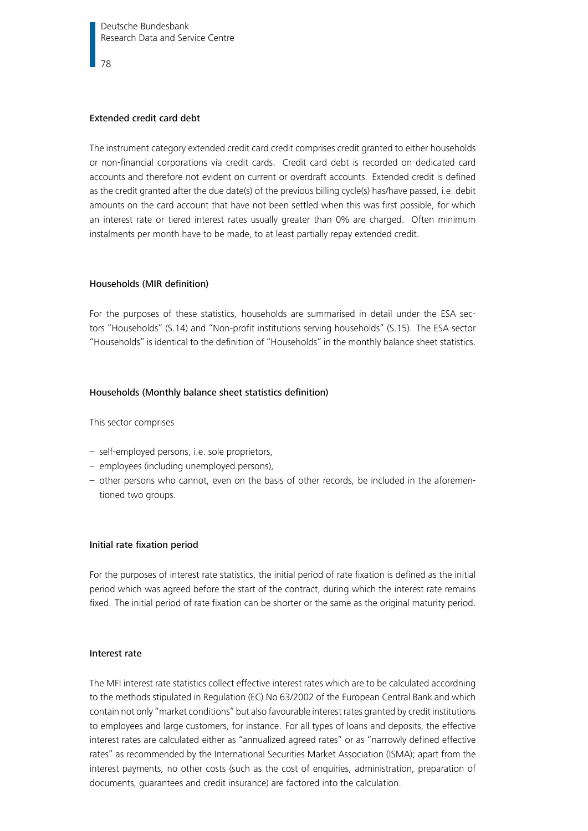#### Extended credit card debt

The instrument category extended credit card credit comprises credit granted to either households or non-financial corporations via credit cards. Credit card debt is recorded on dedicated card accounts and therefore not evident on current or overdraft accounts. Extended credit is defined as the credit granted after the due date(s) of the previous billing cycle(s) has/have passed, i.e. debit amounts on the card account that have not been settled when this was first possible, for which an interest rate or tiered interest rates usually greater than 0% are charged. Often minimum instalments per month have to be made, to at least partially repay extended credit.

#### Households (MIR definition)

For the purposes of these statistics, households are summarised in detail under the ESA sectors "Households" (S.14) and "Non-profit institutions serving households" (S.15). The ESA sector "Households" is identical to the definition of "Households" in the monthly balance sheet statistics.

#### Households (Monthly balance sheet statistics definition)

This sector comprises

- self-employed persons, i.e. sole proprietors,
- employees (including unemployed persons),
- other persons who cannot, even on the basis of other records, be included in the aforementioned two groups.

#### Initial rate fixation period

For the purposes of interest rate statistics, the initial period of rate fixation is defined as the initial period which was agreed before the start of the contract, during which the interest rate remains fixed. The initial period of rate fixation can be shorter or the same as the original maturity period.

#### Interest rate

The MFI interest rate statistics collect effective interest rates which are to be calculated accordning to the methods stipulated in Regulation (EC) No 63/2002 of the European Central Bank and which contain not only "market conditions" but also favourable interest rates granted by credit institutions to employees and large customers, for instance. For all types of loans and deposits, the effective interest rates are calculated either as "annualized agreed rates" or as "narrowly defined effective rates" as recommended by the International Securities Market Association (ISMA); apart from the interest payments, no other costs (such as the cost of enquiries, administration, preparation of documents, guarantees and credit insurance) are factored into the calculation.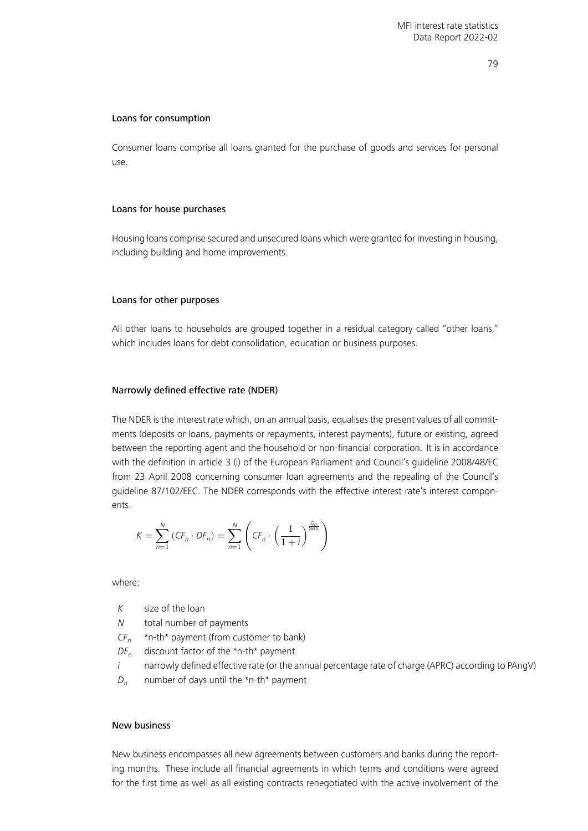#### 79

#### Loans for consumption

Consumer loans comprise all loans granted for the purchase of goods and services for personal use.

#### Loans for house purchases

Housing loans comprise secured and unsecured loans which were granted for investing in housing, including building and home improvements.

#### Loans for other purposes

All other loans to households are grouped together in a residual category called "other loans," which includes loans for debt consolidation, education or business purposes.

#### Narrowly defined effective rate (NDER)

The NDER is the interest rate which, on an annual basis, equalises the present values of all commitments (deposits or loans, payments or repayments, interest payments), future or existing, agreed between the reporting agent and the household or non-financial corporation. It is in accordance with the definition in article 3 (i) of the European Parliament and Council's guideline 2008/48/EC from 23 April 2008 concerning consumer loan agreements and the repealing of the Council's guideline 87/102/EEC. The NDER corresponds with the effective interest rate's interest components.

$$
K = \sum_{n=1}^{N} (CF_n \cdot DF_n) = \sum_{n=1}^{N} \left( CF_n \cdot \left( \frac{1}{1+i} \right)^{\frac{D_n}{365}} \right)
$$

where:

- $K$  size of the loan
- N total number of payments
- $CF_n$ \*n-th\* payment (from customer to bank)
- $DF_n$  discount factor of the \*n-th\* payment
- $i$  narrowly defined effective rate (or the annual percentage rate of charge (APRC) according to PAngV)
- $D_n$  number of days until the \*n-th\* payment

#### New business

New business encompasses all new agreements between customers and banks during the reporting months. These include all financial agreements in which terms and conditions were agreed for the first time as well as all existing contracts renegotiated with the active involvement of the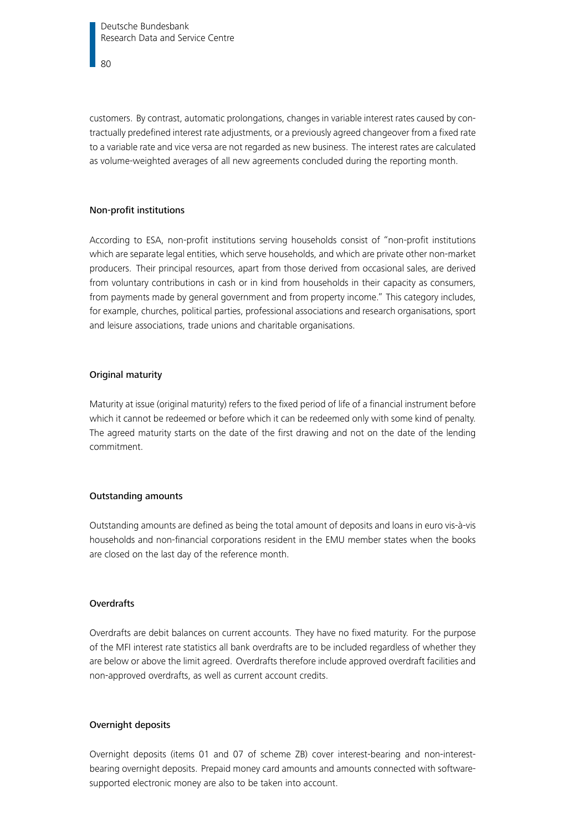Deutsche Bundesbank Research Data and Service Centre

 $80$ 

customers. By contrast, automatic prolongations, changes in variable interest rates caused by contractually predefined interest rate adjustments, or a previously agreed changeover from a fixed rate to a variable rate and vice versa are not regarded as new business. The interest rates are calculated as volume-weighted averages of all new agreements concluded during the reporting month.

### Non-profit institutions

According to ESA, non-profit institutions serving households consist of "non-profit institutions which are separate legal entities, which serve households, and which are private other non-market producers. Their principal resources, apart from those derived from occasional sales, are derived from voluntary contributions in cash or in kind from households in their capacity as consumers, from payments made by general government and from property income." This category includes, for example, churches, political parties, professional associations and research organisations, sport and leisure associations, trade unions and charitable organisations.

#### Original maturity

Maturity at issue (original maturity) refers to the fixed period of life of a financial instrument before which it cannot be redeemed or before which it can be redeemed only with some kind of penalty. The agreed maturity starts on the date of the first drawing and not on the date of the lending commitment.

#### Outstanding amounts

Outstanding amounts are defined as being the total amount of deposits and loans in euro vis-à-vis households and non-financial corporations resident in the EMU member states when the books are closed on the last day of the reference month.

### **Overdrafts**

Overdrafts are debit balances on current accounts. They have no fixed maturity. For the purpose of the MFI interest rate statistics all bank overdrafts are to be included regardless of whether they are below or above the limit agreed. Overdrafts therefore include approved overdraft facilities and non-approved overdrafts, as well as current account credits.

#### Overnight deposits

Overnight deposits (items 01 and 07 of scheme ZB) cover interest-bearing and non-interestbearing overnight deposits. Prepaid money card amounts and amounts connected with softwaresupported electronic money are also to be taken into account.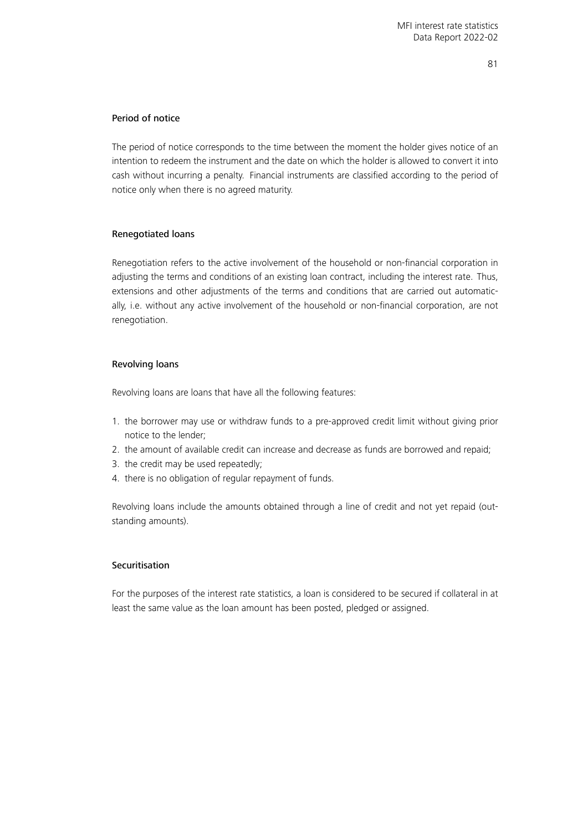## Period of notice

The period of notice corresponds to the time between the moment the holder gives notice of an intention to redeem the instrument and the date on which the holder is allowed to convert it into cash without incurring a penalty. Financial instruments are classified according to the period of notice only when there is no agreed maturity.

# Renegotiated loans

Renegotiation refers to the active involvement of the household or non-financial corporation in adjusting the terms and conditions of an existing loan contract, including the interest rate. Thus, extensions and other adjustments of the terms and conditions that are carried out automatically, i.e. without any active involvement of the household or non-financial corporation, are not renegotiation.

## Revolving loans

Revolving loans are loans that have all the following features:

- 1. the borrower may use or withdraw funds to a pre-approved credit limit without giving prior notice to the lender;
- 2. the amount of available credit can increase and decrease as funds are borrowed and repaid;
- 3. the credit may be used repeatedly;
- 4. there is no obligation of regular repayment of funds.

Revolving loans include the amounts obtained through a line of credit and not yet repaid (outstanding amounts).

## Securitisation

For the purposes of the interest rate statistics, a loan is considered to be secured if collateral in at least the same value as the loan amount has been posted, pledged or assigned.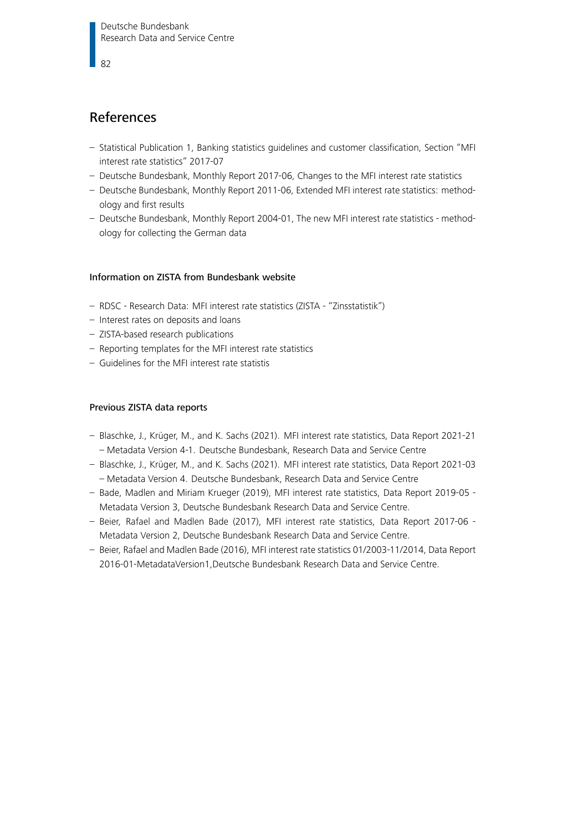82

# References

- [Statistical Publication 1, Banking statistics guidelines and customer classification, Section "MFI](https://www.bundesbank.de/resource/blob/620056/99b6af9c6d6e48669112cc8bedf19ffc/mL/statso01-04-mfi-zinsstatistik-data.pdf) [interest rate statistics" 2017-07](https://www.bundesbank.de/resource/blob/620056/99b6af9c6d6e48669112cc8bedf19ffc/mL/statso01-04-mfi-zinsstatistik-data.pdf)
- [Deutsche Bundesbank, Monthly Report 2017-06, Changes to the MFI interest rate statistics](https://www.bundesbank.de/resource/blob/622238/754e195191abe677b51f443d9cd5623c/mL/2017-07-changes-data.pdf)
- [Deutsche Bundesbank, Monthly Report 2011-06, Extended MFI interest rate statistics: method](https://www.bundesbank.de/resource/blob/622256/872d0b5869b0d20bfe6a091b6665b5cc/mL/2011-06-extended-mfi-interest-rate-statistics-methodology-first-results-data.pdf)[ology and first results](https://www.bundesbank.de/resource/blob/622256/872d0b5869b0d20bfe6a091b6665b5cc/mL/2011-06-extended-mfi-interest-rate-statistics-methodology-first-results-data.pdf)
- [Deutsche Bundesbank, Monthly Report 2004-01, The new MFI interest rate statistics method](https://www.bundesbank.de/resource/blob/622258/41e393ecd8ec5d45afd98916e131fd34/mL/2004-01-mfi-data.pdf)[ology for collecting the German data](https://www.bundesbank.de/resource/blob/622258/41e393ecd8ec5d45afd98916e131fd34/mL/2004-01-mfi-data.pdf)

# Information on ZISTA from Bundesbank website

- [RDSC Research Data: MFI interest rate statistics \(ZISTA "Zinsstatistik"\)](https://www.bundesbank.de/en/bundesbank/research/rdsc/research-data/mfi-interest-rate-statistics-zista-zinsstatistik--618036)
- [Interest rates on deposits and loans](https://www.bundesbank.de/en/statistics/money-and-capital-markets/interest-rates-and-yields/interest-rates-on-deposits-and-loans/interest-rates-on-deposits-and-loans-793626)
- [ZISTA-based research publications](https://www.bundesbank.de/en/bundesbank/research/rdsc/research-data/zista-based-research-publications-755936)
- [Reporting templates for the MFI interest rate statistics](https://www.bundesbank.de/resource/blob/618204/3f976bfae04b051378700df72b88cfdd/mL/reporting-templates-for-the-mfi-interest-rate-statistics-data.pdf)
- [Guidelines for the MFI interest rate statistis](https://www.bundesbank.de/resource/blob/618218/53c8bbc6634e9f904dcff3fbf07b5bb8/mL/guidelines-for-the-mfi-interest-rate-statistics-final-version-data.pdf)

## Previous ZISTA data reports

- [Blaschke, J., Krüger, M., and K. Sachs \(2021\). MFI interest rate statistics, Data Report 2021-21](https://www.bundesbank.de/resource/blob/876686/a62d65b1396c8ab3e748ced15d874a90/mL/2021-21-zista-data.pdf) [– Metadata Version 4-1. Deutsche Bundesbank, Research Data and Service Centre](https://www.bundesbank.de/resource/blob/876686/a62d65b1396c8ab3e748ced15d874a90/mL/2021-21-zista-data.pdf)
- [Blaschke, J., Krüger, M., and K. Sachs \(2021\). MFI interest rate statistics, Data Report 2021-03](https://www.bundesbank.de/resource/blob/811900/e5ce0dcbee405ce00f8eb1ff84cbe664/mL/2021-03-zista-data.pdf) [– Metadata Version 4. Deutsche Bundesbank, Research Data and Service Centre](https://www.bundesbank.de/resource/blob/811900/e5ce0dcbee405ce00f8eb1ff84cbe664/mL/2021-03-zista-data.pdf)
- [Bade, Madlen and Miriam Krueger \(2019\), MFI interest rate statistics, Data Report 2019-05 -](https://www.bundesbank.de/resource/blob/795676/0c56d8bbcd15f900dfef6d1d4e58e3f2/mL/2019-05-zista-data.pdf) [Metadata Version 3, Deutsche Bundesbank Research Data and Service Centre.](https://www.bundesbank.de/resource/blob/795676/0c56d8bbcd15f900dfef6d1d4e58e3f2/mL/2019-05-zista-data.pdf)
- [Beier, Rafael and Madlen Bade \(2017\), MFI interest rate statistics, Data Report 2017-06 -](https://www.bundesbank.de/resource/blob/604796/d52dbf21479d4be76e0afd0d3d50e7bb/mL/2017-06-zista-data.pdf) [Metadata Version 2, Deutsche Bundesbank Research Data and Service Centre.](https://www.bundesbank.de/resource/blob/604796/d52dbf21479d4be76e0afd0d3d50e7bb/mL/2017-06-zista-data.pdf)
- [Beier, Rafael and Madlen Bade \(2016\), MFI interest rate statistics 01/2003-11/2014, Data Report](https://www.bundesbank.de/resource/blob/604808/2633c37586cfef448c2ebf650480ccb5/mL/2016-01-zista-data.pdf) [2016-01-MetadataVersion1,Deutsche Bundesbank Research Data and Service Centre.](https://www.bundesbank.de/resource/blob/604808/2633c37586cfef448c2ebf650480ccb5/mL/2016-01-zista-data.pdf)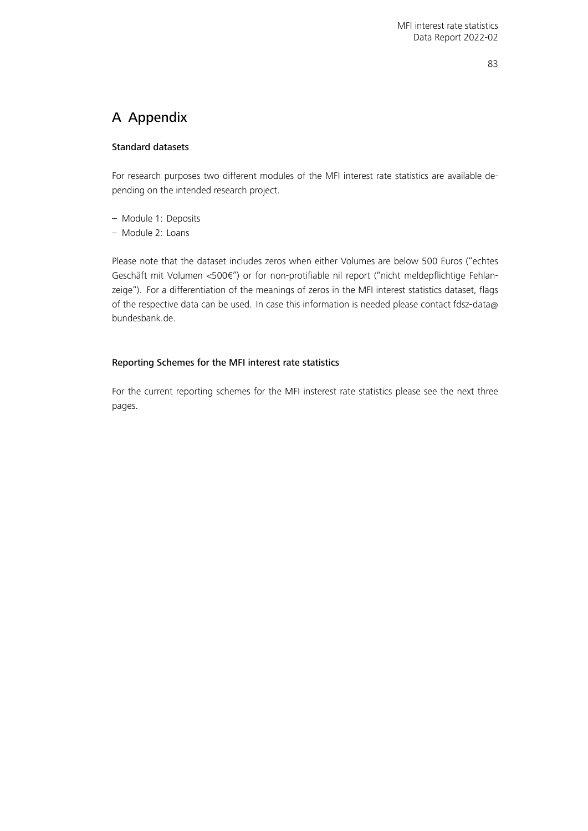# A Appendix

# Standard datasets

For research purposes two different modules of the MFI interest rate statistics are available depending on the intended research project.

- Module 1: Deposits
- Module 2: Loans

Please note that the dataset includes zeros when either Volumes are below 500 Euros ("echtes Geschäft mit Volumen <500€") or for non-protifiable nil report ("nicht meldepflichtige Fehlanzeige"). For a differentiation of the meanings of zeros in the MFI interest statistics dataset, flags of the respective data can be used. In case this information is needed please contact [fdsz-data@](mailto:fdsz-data@bundesbank.de) [bundesbank.de.](mailto:fdsz-data@bundesbank.de)

# Reporting Schemes for the MFI interest rate statistics

For the current reporting schemes for the MFI insterest rate statistics please see the next three pages.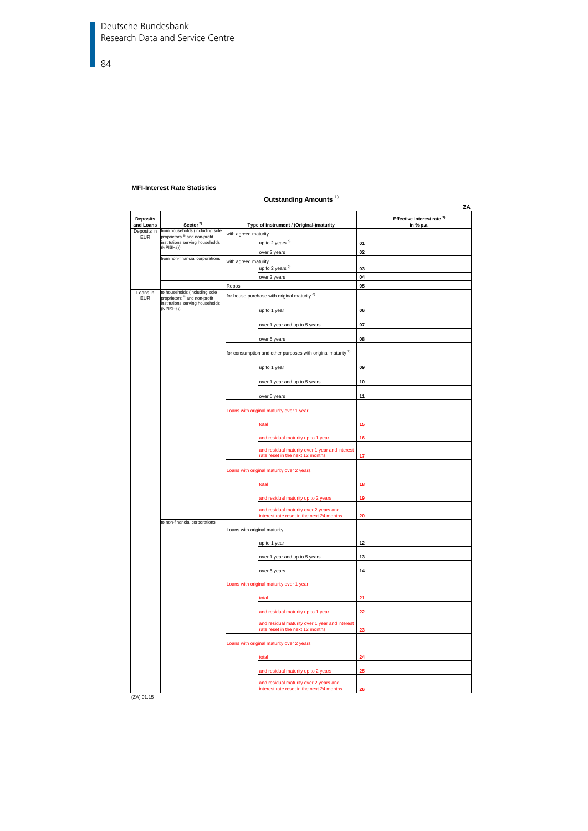Deutsche Bundesbank Research Data and Service Centre

84

#### **MFI-Interest Rate Statistics**

#### **Outstanding Amounts 1)**

|                              |                                                                                          | ouwanang Amoano                                                                     |    | ΖA                                                 |
|------------------------------|------------------------------------------------------------------------------------------|-------------------------------------------------------------------------------------|----|----------------------------------------------------|
| <b>Deposits</b><br>and Loans | Sector <sup>2)</sup>                                                                     | Type of instrument / (Original-)maturity                                            |    | Effective interest rate <sup>3)</sup><br>in % p.a. |
| Deposits in<br><b>EUR</b>    | from households (including sole<br>proprietors <sup>4)</sup> and non-profit              | with agreed maturity                                                                |    |                                                    |
|                              | institutions serving households                                                          | up to 2 years <sup>5)</sup>                                                         | 01 |                                                    |
|                              | (NPISHs))                                                                                | over 2 years                                                                        | 02 |                                                    |
|                              | from non-financial corporations                                                          | with agreed maturity                                                                |    |                                                    |
|                              |                                                                                          | up to 2 years <sup>5)</sup>                                                         | 03 |                                                    |
|                              |                                                                                          | over 2 years                                                                        | 04 |                                                    |
|                              |                                                                                          | Repos                                                                               | 05 |                                                    |
| Loans in                     | to households (including sole                                                            | for house purchase with original maturity 6)                                        |    |                                                    |
| <b>EUR</b>                   | proprietors <sup>4)</sup> and non-profit<br>institutions serving households<br>(NPISHs)) |                                                                                     |    |                                                    |
|                              |                                                                                          | up to 1 year                                                                        | 06 |                                                    |
|                              |                                                                                          | over 1 year and up to 5 years                                                       | 07 |                                                    |
|                              |                                                                                          | over 5 years                                                                        | 08 |                                                    |
|                              |                                                                                          | for consumption and other purposes with original maturity 7)                        |    |                                                    |
|                              | up to 1 year                                                                             | 09                                                                                  |    |                                                    |
|                              |                                                                                          | over 1 year and up to 5 years                                                       | 10 |                                                    |
|                              |                                                                                          | over 5 years                                                                        | 11 |                                                    |
|                              |                                                                                          | Loans with original maturity over 1 year                                            |    |                                                    |
|                              |                                                                                          | total                                                                               | 15 |                                                    |
|                              |                                                                                          | and residual maturity up to 1 year                                                  | 16 |                                                    |
|                              |                                                                                          | and residual maturity over 1 year and interest<br>rate reset in the next 12 months  | 17 |                                                    |
|                              |                                                                                          | Loans with original maturity over 2 years                                           |    |                                                    |
|                              |                                                                                          | total                                                                               | 18 |                                                    |
|                              |                                                                                          | and residual maturity up to 2 years                                                 | 19 |                                                    |
|                              |                                                                                          | and residual maturity over 2 years and<br>interest rate reset in the next 24 months | 20 |                                                    |
|                              | to non-financial corporations                                                            |                                                                                     |    |                                                    |
|                              |                                                                                          | Loans with original maturity                                                        |    |                                                    |
|                              |                                                                                          | up to 1 year                                                                        | 12 |                                                    |
|                              |                                                                                          | over 1 year and up to 5 years                                                       | 13 |                                                    |
|                              |                                                                                          | over 5 years                                                                        | 14 |                                                    |
|                              |                                                                                          | Loans with original maturity over 1 year                                            |    |                                                    |
|                              |                                                                                          | total                                                                               | 21 |                                                    |
|                              |                                                                                          | and residual maturity up to 1 year                                                  | 22 |                                                    |
|                              |                                                                                          | and residual maturity over 1 year and interest<br>rate reset in the next 12 months  | 23 |                                                    |
|                              |                                                                                          | Loans with original maturity over 2 years                                           |    |                                                    |
|                              |                                                                                          | total                                                                               | 24 |                                                    |
|                              |                                                                                          | and residual maturity up to 2 years                                                 | 25 |                                                    |
|                              |                                                                                          | and residual maturity over 2 years and<br>interest rate reset in the next 24 months | 26 |                                                    |
|                              |                                                                                          |                                                                                     |    |                                                    |

(ZA) 01.15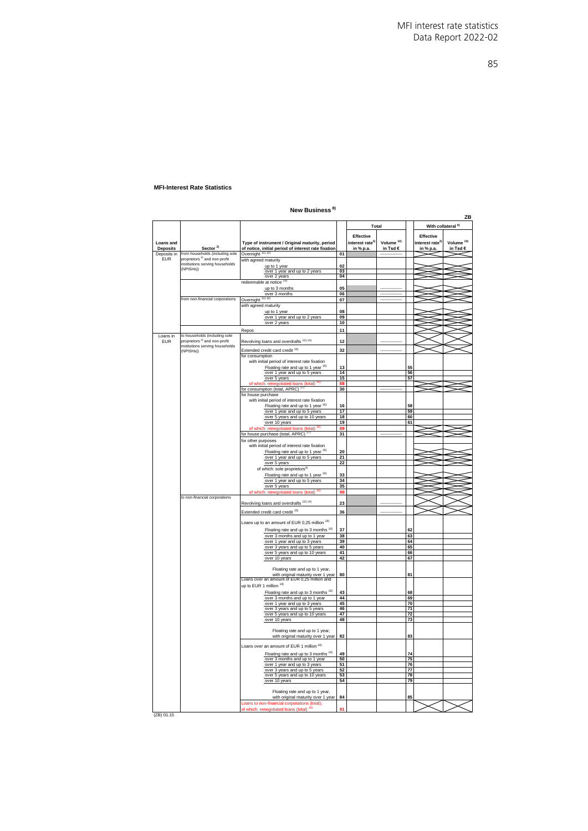#### 85

#### **MFI-Interest Rate Statistics**

# **New Business 8)**

|                 |                                          |                                                                                      |           |                             |                  |    |                             | ZB                            |
|-----------------|------------------------------------------|--------------------------------------------------------------------------------------|-----------|-----------------------------|------------------|----|-----------------------------|-------------------------------|
|                 |                                          |                                                                                      |           | Total                       |                  |    |                             | With collateral <sup>9)</sup> |
|                 |                                          |                                                                                      |           |                             |                  |    |                             |                               |
|                 |                                          |                                                                                      |           | Effective                   |                  |    | Effective                   |                               |
| Loans and       |                                          | Type of instrument / Original maturity, period                                       |           | interest rate <sup>3)</sup> | Volume $10$      |    | interest rate <sup>3)</sup> | Volume <sup>10)</sup>         |
| <b>Deposits</b> | Sector <sup>2)</sup>                     | of notice, initial period of interest rate fixation                                  |           | in % p.a.                   | in Tsd €         |    | in % p.a                    | in Tsd €                      |
| Deposits in     | from households (including sole          | Overnight <sup>11)</sup> <sup>12)</sup>                                              | 01        |                             |                  |    |                             |                               |
| <b>EUR</b>      | proprietors <sup>4)</sup> and non-profit | with agreed maturity                                                                 |           |                             |                  |    |                             |                               |
|                 | institutions serving households          |                                                                                      | 02        |                             |                  |    |                             |                               |
|                 | (NPISHs))                                | up to 1 year<br>over 1 year and up to 2 years                                        | 03        |                             |                  |    |                             |                               |
|                 |                                          | over 2 years                                                                         | 04        |                             |                  |    |                             |                               |
|                 |                                          | redeemable at notice <sup>13)</sup>                                                  |           |                             |                  |    |                             |                               |
|                 |                                          |                                                                                      | 05        |                             |                  |    |                             |                               |
|                 |                                          | up to 3 months<br>over 3 months                                                      | 06        |                             |                  |    |                             |                               |
|                 | from non-financial corporations          |                                                                                      |           |                             | ---------------- |    |                             |                               |
|                 |                                          | Overnight <sup>11) 12]</sup>                                                         | $07\,$    |                             |                  |    |                             |                               |
|                 |                                          | with agreed maturity                                                                 |           |                             |                  |    |                             |                               |
|                 |                                          | up to 1 year                                                                         | 08        |                             |                  |    |                             |                               |
|                 |                                          | over 1 year and up to 2 years                                                        | 09        |                             |                  |    |                             |                               |
|                 |                                          | over 2 years                                                                         | 10        |                             |                  |    |                             |                               |
|                 |                                          | Repos                                                                                | 11        |                             |                  |    |                             |                               |
| Loans in        | to households (including sole            |                                                                                      |           |                             |                  |    |                             |                               |
| <b>EUR</b>      | proprietors <sup>4)</sup> and non-profit | Revolving loans and overdrafts <sup>12)14)</sup>                                     | 12        |                             |                  |    |                             |                               |
|                 | institutions serving households          |                                                                                      |           |                             |                  |    |                             |                               |
|                 | (NPISHs))                                | Extended credit card credit <sup>15)</sup>                                           | 32        |                             |                  |    |                             |                               |
|                 |                                          | for consumption                                                                      |           |                             |                  |    |                             |                               |
|                 |                                          | with initial period of interest rate fixation                                        |           |                             |                  |    |                             |                               |
|                 |                                          | Floating rate and up to 1 year <sup>16)</sup>                                        | 13        |                             |                  | 55 |                             |                               |
|                 |                                          | over 1 year and up to 5 years                                                        | 14        |                             |                  | 56 |                             |                               |
|                 |                                          | over 5 years                                                                         | 15        |                             |                  | 57 |                             |                               |
|                 |                                          | tiated loans (total)                                                                 | <b>RF</b> |                             |                  |    |                             |                               |
|                 |                                          | 17)<br>for consumption (total, APRC)                                                 | 30        |                             |                  |    |                             |                               |
|                 |                                          | for house purchase                                                                   |           |                             |                  |    |                             |                               |
|                 |                                          | with initial period of interest rate fixation                                        |           |                             |                  |    |                             |                               |
|                 |                                          |                                                                                      | 16        |                             |                  | 58 |                             |                               |
|                 |                                          | Floating rate and up to 1 year 16)                                                   | 17        |                             |                  | 59 |                             |                               |
|                 |                                          | over 1 year and up to 5 years                                                        | 18        |                             |                  | 60 |                             |                               |
|                 |                                          | over 5 years and up to 10 years                                                      |           |                             |                  |    |                             |                               |
|                 |                                          | over 10 years                                                                        | 19        |                             |                  | 61 |                             |                               |
|                 |                                          | ans (total) <sup>16)</sup><br>of whi                                                 |           |                             |                  |    |                             |                               |
|                 |                                          | for house purchase (total, APRC) <sup>17</sup>                                       | 31        |                             |                  |    |                             |                               |
|                 |                                          | for other purposes                                                                   |           |                             |                  |    |                             |                               |
|                 |                                          | with initial period of interest rate fixation                                        |           |                             |                  |    |                             |                               |
|                 |                                          | Floating rate and up to 1 year <sup>16)</sup>                                        | 20        |                             |                  |    |                             |                               |
|                 |                                          | over 1 year and up to 5 years                                                        | 21        |                             |                  |    |                             |                               |
|                 |                                          | over 5 years                                                                         | 22        |                             |                  |    |                             |                               |
|                 |                                          |                                                                                      |           |                             |                  |    |                             |                               |
|                 |                                          | of which: sole proprietors <sup>4)</sup>                                             |           |                             |                  |    |                             |                               |
|                 |                                          | Floating rate and up to 1 year 16)                                                   | 33        |                             |                  |    |                             |                               |
|                 |                                          | over 1 year and up to 5 years                                                        | 34        |                             |                  |    |                             |                               |
|                 |                                          | over 5 years                                                                         | 35        |                             |                  |    |                             |                               |
|                 |                                          | of which: renegotiated loans (total) 16)                                             | <b>gn</b> |                             |                  |    |                             |                               |
|                 | to non-financial corporations            |                                                                                      |           |                             |                  |    |                             |                               |
|                 |                                          | Revolving loans and overdrafts <sup>12)14)</sup>                                     | 23        |                             |                  |    |                             |                               |
|                 |                                          |                                                                                      |           |                             |                  |    |                             |                               |
|                 |                                          | Extended credit card credit <sup>15)</sup>                                           | 36        |                             |                  |    |                             |                               |
|                 |                                          |                                                                                      |           |                             |                  |    |                             |                               |
|                 |                                          | Loans up to an amount of EUR 0,25 million 18)                                        |           |                             |                  |    |                             |                               |
|                 |                                          | Floating rate and up to 3 months 16)                                                 | 37        |                             |                  | 62 |                             |                               |
|                 |                                          | over 3 months and up to 1 year                                                       | 38        |                             |                  | 63 |                             |                               |
|                 |                                          | over 1 year and up to 3 years                                                        | 39        |                             |                  | 64 |                             |                               |
|                 |                                          | over 3 years and up to 5 years                                                       | 40        |                             |                  | 65 |                             |                               |
|                 |                                          | over 5 years and up to 10 years                                                      | 41        |                             |                  | 66 |                             |                               |
|                 |                                          | over 10 years                                                                        | 42        |                             |                  | 67 |                             |                               |
|                 |                                          |                                                                                      |           |                             |                  |    |                             |                               |
|                 |                                          | Floating rate and up to 1 year,                                                      |           |                             |                  |    |                             |                               |
|                 |                                          |                                                                                      | 80        |                             |                  | 81 |                             |                               |
|                 |                                          | with original maturity over 1 year<br>Loans over an amount of EUR 0,25 million and   |           |                             |                  |    |                             |                               |
|                 |                                          |                                                                                      |           |                             |                  |    |                             |                               |
|                 |                                          |                                                                                      |           |                             |                  |    |                             |                               |
|                 |                                          | up to EUR 1 million 18)                                                              |           |                             |                  |    |                             |                               |
|                 |                                          | Floating rate and up to 3 months 16)                                                 | 43        |                             |                  | 68 |                             |                               |
|                 |                                          | over 3 months and up to 1 year                                                       | 44        |                             |                  | 69 |                             |                               |
|                 |                                          | over 1 year and up to 3 years                                                        | 45        |                             |                  | 70 |                             |                               |
|                 |                                          | over 3 years and up to 5 years                                                       | 46        |                             |                  | 71 |                             |                               |
|                 |                                          | over 5 years and up to 10 years                                                      | 47        |                             |                  | 72 |                             |                               |
|                 |                                          | over 10 years                                                                        | 48        |                             |                  | 73 |                             |                               |
|                 |                                          |                                                                                      |           |                             |                  |    |                             |                               |
|                 |                                          |                                                                                      |           |                             |                  |    |                             |                               |
|                 |                                          | Floating rate and up to 1 year,                                                      |           |                             |                  |    |                             |                               |
|                 |                                          | with original maturity over 1 year                                                   | 82        |                             |                  | 83 |                             |                               |
|                 |                                          |                                                                                      |           |                             |                  |    |                             |                               |
|                 |                                          | Loans over an amount of EUR 1 million 18)                                            |           |                             |                  |    |                             |                               |
|                 |                                          | Floating rate and up to 3 months <sup>16)</sup>                                      | 49        |                             |                  | 74 |                             |                               |
|                 |                                          | over 3 months and up to 1 year                                                       | 50        |                             |                  | 75 |                             |                               |
|                 |                                          | over 1 year and up to 3 years                                                        | 51        |                             |                  | 76 |                             |                               |
|                 |                                          | over 3 years and up to 5 years                                                       | 52        |                             |                  | 77 |                             |                               |
|                 |                                          | over 5 years and up to 10 years                                                      | 53        |                             |                  | 78 |                             |                               |
|                 |                                          | over 10 years                                                                        | 54        |                             |                  | 79 |                             |                               |
|                 |                                          |                                                                                      |           |                             |                  |    |                             |                               |
|                 |                                          |                                                                                      |           |                             |                  |    |                             |                               |
|                 |                                          | Floating rate and up to 1 year,                                                      |           |                             |                  | 85 |                             |                               |
|                 |                                          | with original maturity over 1 year                                                   | 84        |                             |                  |    |                             |                               |
|                 |                                          | Loans to non-financial corporations (total);<br>of which: renegotiated loans (total) |           |                             |                  |    |                             |                               |